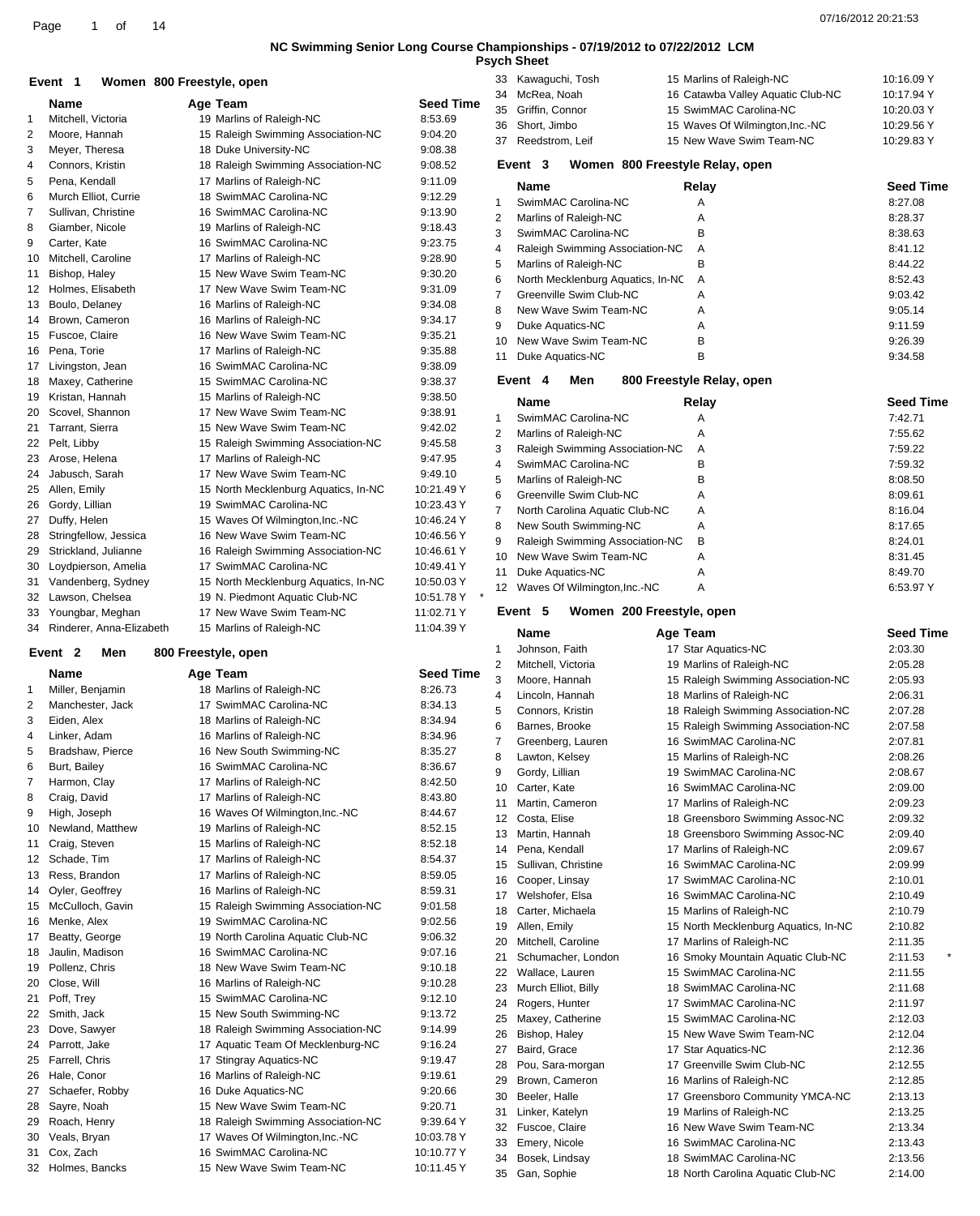**Psych Sheet**

### **Event** 1 **800 Freestyle, open**

|                 | Name                     | Age Team                             | <b>Seed Time</b> |
|-----------------|--------------------------|--------------------------------------|------------------|
| 1               | Mitchell, Victoria       | 19 Marlins of Raleigh-NC             | 8:53.69          |
| 2               | Moore, Hannah            | 15 Raleigh Swimming Association-NC   | 9:04.20          |
| 3               | Meyer, Theresa           | 18 Duke University-NC                | 9:08.38          |
| 4               | Connors, Kristin         | 18 Raleigh Swimming Association-NC   | 9:08.52          |
| 5               | Pena, Kendall            | 17 Marlins of Raleigh-NC             | 9:11.09          |
| 6               | Murch Elliot, Currie     | 18 SwimMAC Carolina-NC               | 9:12.29          |
| 7               | Sullivan, Christine      | 16 SwimMAC Carolina-NC               | 9:13.90          |
| 8               | Giamber, Nicole          | 19 Marlins of Raleigh-NC             | 9:18.43          |
| 9               | Carter, Kate             | 16 SwimMAC Carolina-NC               | 9:23.75          |
| 10              | Mitchell, Caroline       | 17 Marlins of Raleigh-NC             | 9:28.90          |
| 11              | Bishop, Haley            | 15 New Wave Swim Team-NC             | 9:30.20          |
| 12 <sup>2</sup> | Holmes, Elisabeth        | 17 New Wave Swim Team-NC             | 9:31.09          |
| 13              | Boulo, Delaney           | 16 Marlins of Raleigh-NC             | 9:34.08          |
| 14              | Brown, Cameron           | 16 Marlins of Raleigh-NC             | 9:34.17          |
| 15              | Fuscoe, Claire           | 16 New Wave Swim Team-NC             | 9:35.21          |
| 16              | Pena, Torie              | 17 Marlins of Raleigh-NC             | 9:35.88          |
| 17              | Livingston, Jean         | 16 SwimMAC Carolina-NC               | 9:38.09          |
| 18              | Maxey, Catherine         | 15 SwimMAC Carolina-NC               | 9:38.37          |
| 19              | Kristan, Hannah          | 15 Marlins of Raleigh-NC             | 9:38.50          |
| 20              | Scovel, Shannon          | 17 New Wave Swim Team-NC             | 9:38.91          |
| 21              | Tarrant. Sierra          | 15 New Wave Swim Team-NC             | 9:42.02          |
| 22              | Pelt, Libby              | 15 Raleigh Swimming Association-NC   | 9:45.58          |
| 23              | Arose, Helena            | 17 Marlins of Raleigh-NC             | 9:47.95          |
| 24              | Jabusch, Sarah           | 17 New Wave Swim Team-NC             | 9:49.10          |
| 25              | Allen, Emily             | 15 North Mecklenburg Aquatics, In-NC | 10:21.49 Y       |
| 26              | Gordy, Lillian           | 19 SwimMAC Carolina-NC               | 10:23.43 Y       |
| 27              | Duffy, Helen             | 15 Waves Of Wilmington.Inc.-NC       | 10:46.24 Y       |
| 28              | Stringfellow, Jessica    | 16 New Wave Swim Team-NC             | 10:46.56 Y       |
| 29              | Strickland, Julianne     | 16 Raleigh Swimming Association-NC   | 10:46.61 Y       |
| 30              | Loydpierson, Amelia      | 17 SwimMAC Carolina-NC               | 10:49.41 Y       |
| 31              | Vandenberg, Sydney       | 15 North Mecklenburg Aquatics, In-NC | 10:50.03 Y       |
| 32              | Lawson, Chelsea          | 19 N. Piedmont Aquatic Club-NC       | *<br>10:51.78 Y  |
| 33              | Youngbar, Meghan         | 17 New Wave Swim Team-NC             | 11:02.71 Y       |
| 34              | Rinderer, Anna-Elizabeth | 15 Marlins of Raleigh-NC             | 11:04.39 Y       |
|                 |                          |                                      |                  |

### **Event 2 Men 800 Freestyle, open**

|    | <b>Name</b>      | Age Team                           | <b>Seed Tin</b> |
|----|------------------|------------------------------------|-----------------|
| 1  | Miller, Benjamin | 18 Marlins of Raleigh-NC           | 8:26.73         |
| 2  | Manchester, Jack | 17 SwimMAC Carolina-NC             | 8:34.13         |
| 3  | Eiden, Alex      | 18 Marlins of Raleigh-NC           | 8:34.94         |
| 4  | Linker, Adam     | 16 Marlins of Raleigh-NC           | 8:34.96         |
| 5  | Bradshaw, Pierce | 16 New South Swimming-NC           | 8:35.27         |
| 6  | Burt, Bailey     | 16 SwimMAC Carolina-NC             | 8:36.67         |
| 7  | Harmon, Clay     | 17 Marlins of Raleigh-NC           | 8:42.50         |
| 8  | Craig, David     | 17 Marlins of Raleigh-NC           | 8:43.80         |
| 9  | High, Joseph     | 16 Waves Of Wilmington, Inc.-NC    | 8:44.67         |
| 10 | Newland, Matthew | 19 Marlins of Raleigh-NC           | 8:52.15         |
| 11 | Craig, Steven    | 15 Marlins of Raleigh-NC           | 8:52.18         |
| 12 | Schade, Tim      | 17 Marlins of Raleigh-NC           | 8:54.37         |
| 13 | Ress, Brandon    | 17 Marlins of Raleigh-NC           | 8:59.05         |
| 14 | Oyler, Geoffrey  | 16 Marlins of Raleigh-NC           | 8:59.31         |
| 15 | McCulloch, Gavin | 15 Raleigh Swimming Association-NC | 9:01.58         |
| 16 | Menke, Alex      | 19 SwimMAC Carolina-NC             | 9:02.56         |
| 17 | Beatty, George   | 19 North Carolina Aquatic Club-NC  | 9:06.32         |
| 18 | Jaulin, Madison  | 16 SwimMAC Carolina-NC             | 9:07.16         |
| 19 | Pollenz, Chris   | 18 New Wave Swim Team-NC           | 9:10.18         |
| 20 | Close, Will      | 16 Marlins of Raleigh-NC           | 9:10.28         |
| 21 | Poff, Trey       | 15 SwimMAC Carolina-NC             | 9:12.10         |
| 22 | Smith, Jack      | 15 New South Swimming-NC           | 9:13.72         |
| 23 | Dove, Sawyer     | 18 Raleigh Swimming Association-NC | 9:14.99         |
| 24 | Parrott, Jake    | 17 Aquatic Team Of Mecklenburg-NC  | 9:16.24         |
| 25 | Farrell, Chris   | 17 Stingray Aquatics-NC            | 9:19.47         |
| 26 | Hale, Conor      | 16 Marlins of Raleigh-NC           | 9:19.61         |
| 27 | Schaefer, Robby  | 16 Duke Aquatics-NC                | 9:20.66         |
| 28 | Sayre, Noah      | 15 New Wave Swim Team-NC           | 9:20.71         |
| 29 | Roach, Henry     | 18 Raleigh Swimming Association-NC | 9:39.64 Y       |
| 30 | Veals, Bryan     | 17 Waves Of Wilmington, Inc.-NC    | 10:03.78 Y      |
| 31 | Cox, Zach        | 16 SwimMAC Carolina-NC             | 10:10.77 Y      |
| 32 | Holmes, Bancks   | 15 New Wave Swim Team-NC           | 10:11.45 Y      |

|                    | 34             | McRea, Noah                          | 16 Catawba Valley Aquatic Club-NC    | 10:17.94 Y       |
|--------------------|----------------|--------------------------------------|--------------------------------------|------------------|
| <b>Seed Time</b>   | 35             | Griffin, Connor                      | 15 SwimMAC Carolina-NC               | 10:20.03 Y       |
| 8:53.69            | 36             | Short, Jimbo                         | 15 Waves Of Wilmington, Inc.-NC      | 10:29.56 Y       |
| 9:04.20            | 37             | Reedstrom, Leif                      | 15 New Wave Swim Team-NC             | 10:29.83 Y       |
| 9:08.38            |                |                                      |                                      |                  |
| 9:08.52            |                | Event 3                              | Women 800 Freestyle Relay, open      |                  |
| 9:11.09            |                | Name                                 | Relay                                | <b>Seed Time</b> |
| 9:12.29            | 1              | SwimMAC Carolina-NC                  | Α                                    | 8:27.08          |
| 9:13.90            |                |                                      |                                      |                  |
| 9:18.43            | $\overline{2}$ | Marlins of Raleigh-NC                | A                                    | 8:28.37          |
| 9:23.75            | 3              | SwimMAC Carolina-NC                  | В                                    | 8:38.63          |
| 9:28.90            | 4              | Raleigh Swimming Association-NC      | A                                    | 8:41.12          |
| 9:30.20            | 5              | Marlins of Raleigh-NC                | B                                    | 8:44.22          |
| 9:31.09            | 6              | North Mecklenburg Aquatics, In-NC    | A                                    | 8:52.43          |
| 9:34.08            | 7              | Greenville Swim Club-NC              | A                                    | 9:03.42          |
| 9:34.17            | 8              | New Wave Swim Team-NC                | A                                    | 9:05.14          |
|                    | 9              | Duke Aquatics-NC                     | A                                    | 9:11.59          |
| 9:35.21            | 10             | New Wave Swim Team-NC                | В                                    | 9:26.39          |
| 9:35.88            | 11             | Duke Aquatics-NC                     | В                                    | 9:34.58          |
| 9:38.09            |                |                                      |                                      |                  |
| 9:38.37            |                | Event 4<br>Men                       | 800 Freestyle Relay, open            |                  |
| 9:38.50            |                | Name                                 | Relay                                | <b>Seed Time</b> |
| 9:38.91            | $\mathbf{1}$   | SwimMAC Carolina-NC                  | A                                    | 7:42.71          |
| 9:42.02            | 2              | Marlins of Raleigh-NC                | A                                    | 7:55.62          |
| 9:45.58            | 3              | Raleigh Swimming Association-NC      | A                                    | 7:59.22          |
| 9:47.95            | 4              | SwimMAC Carolina-NC                  | B                                    | 7:59.32          |
| 9:49.10            | 5              | Marlins of Raleigh-NC                | В                                    | 8:08.50          |
| 10:21.49 Y         | 6              | Greenville Swim Club-NC              | A                                    | 8:09.61          |
| 10:23.43 Y         | 7              | North Carolina Aquatic Club-NC       | A                                    | 8:16.04          |
| 10:46.24 Y         | 8              | New South Swimming-NC                | A                                    | 8:17.65          |
| 10:46.56 Y         | 9              | Raleigh Swimming Association-NC      | В                                    | 8:24.01          |
| 10:46.61 Y         | 10             | New Wave Swim Team-NC                | A                                    | 8:31.45          |
| 10:49.41 Y         | 11             | Duke Aquatics-NC                     | A                                    | 8:49.70          |
| 10:50.03 Y         |                | Waves Of Wilmington, Inc.-NC         | A                                    | 6:53.97 Y        |
|                    |                |                                      |                                      |                  |
| 10:51.78 Y         | 12             |                                      |                                      |                  |
| 11:02.71 Y         |                | Event 5<br>Women 200 Freestyle, open |                                      |                  |
| 11:04.39 Y         |                |                                      |                                      |                  |
|                    |                | Name                                 | Age Team                             | <b>Seed Time</b> |
|                    | 1              | Johnson, Faith                       | 17 Star Aquatics-NC                  | 2:03.30          |
| <b>Seed Time</b>   | 2              | Mitchell, Victoria                   | 19 Marlins of Raleigh-NC             | 2:05.28          |
| 8:26.73            | 3              | Moore, Hannah                        | 15 Raleigh Swimming Association-NC   | 2:05.93          |
| 8:34.13            | 4              | Lincoln, Hannah                      | 18 Marlins of Raleigh-NC             | 2:06.31          |
|                    | 5              | Connors, Kristin                     | 18 Raleigh Swimming Association-NC   | 2:07.28          |
| 8:34.94            | 6              | Barnes, Brooke                       | 15 Raleigh Swimming Association-NC   | 2:07.58          |
| 8:34.96            | 7              | Greenberg, Lauren                    | 16 SwimMAC Carolina-NC               | 2:07.81          |
| 8:35.27            | 8              | Lawton, Kelsey                       | 15 Marlins of Raleigh-NC             | 2:08.26          |
| 8:36.67            | 9              | Gordy, Lillian                       | 19 SwimMAC Carolina-NC               | 2:08.67          |
| 8:42.50            | 10             | Carter, Kate                         | 16 SwimMAC Carolina-NC               | 2:09.00          |
| 8:43.80            | 11             | Martin, Cameron                      | 17 Marlins of Raleigh-NC             | 2:09.23          |
| 8:44.67            | 12             | Costa, Elise                         | 18 Greensboro Swimming Assoc-NC      | 2:09.32          |
| 8:52.15            | 13             | Martin, Hannah                       | 18 Greensboro Swimming Assoc-NC      | 2:09.40          |
| 8:52.18            | 14             | Pena, Kendall                        | 17 Marlins of Raleigh-NC             | 2:09.67          |
| 8:54.37            | 15             | Sullivan, Christine                  | 16 SwimMAC Carolina-NC               | 2:09.99          |
| 8:59.05            | 16             | Cooper, Linsay                       | 17 SwimMAC Carolina-NC               | 2:10.01          |
| 8:59.31            | 17             | Welshofer, Elsa                      | 16 SwimMAC Carolina-NC               | 2:10.49          |
| 9:01.58            | 18             | Carter, Michaela                     | 15 Marlins of Raleigh-NC             | 2:10.79          |
| 9:02.56            | 19             | Allen, Emily                         | 15 North Mecklenburg Aquatics, In-NC | 2:10.82          |
| 9:06.32            | 20             | Mitchell, Caroline                   | 17 Marlins of Raleigh-NC             | 2:11.35          |
| 9:07.16            | 21             | Schumacher, London                   | 16 Smoky Mountain Aquatic Club-NC    | 2:11.53          |
| 9:10.18            | 22             | Wallace, Lauren                      | 15 SwimMAC Carolina-NC               | 2:11.55          |
| 9:10.28            | 23             | Murch Elliot, Billy                  | 18 SwimMAC Carolina-NC               | 2:11.68          |
| 9:12.10<br>9:13.72 | 24             | Rogers, Hunter                       | 17 SwimMAC Carolina-NC               | 2:11.97          |

 Bishop, Haley 15 New Wave Swim Team-NC 2:12.04 27 Baird, Grace 17 Star Aquatics-NC 2:12.36 Pou, Sara-morgan 17 Greenville Swim Club-NC 2:12.55 Brown, Cameron 16 Marlins of Raleigh-NC 2:12.85 Beeler, Halle 17 Greensboro Community YMCA-NC 2:13.13 Linker, Katelyn 19 Marlins of Raleigh-NC 2:13.25 Fuscoe, Claire 16 New Wave Swim Team-NC 2:13.34 Emery, Nicole 16 SwimMAC Carolina-NC 2:13.43 Bosek, Lindsay 18 SwimMAC Carolina-NC 2:13.56 Gan, Sophie 18 North Carolina Aquatic Club-NC 2:14.00

Kawaguchi, Tosh 15 Marlins of Raleigh-NC 10:16.09 Y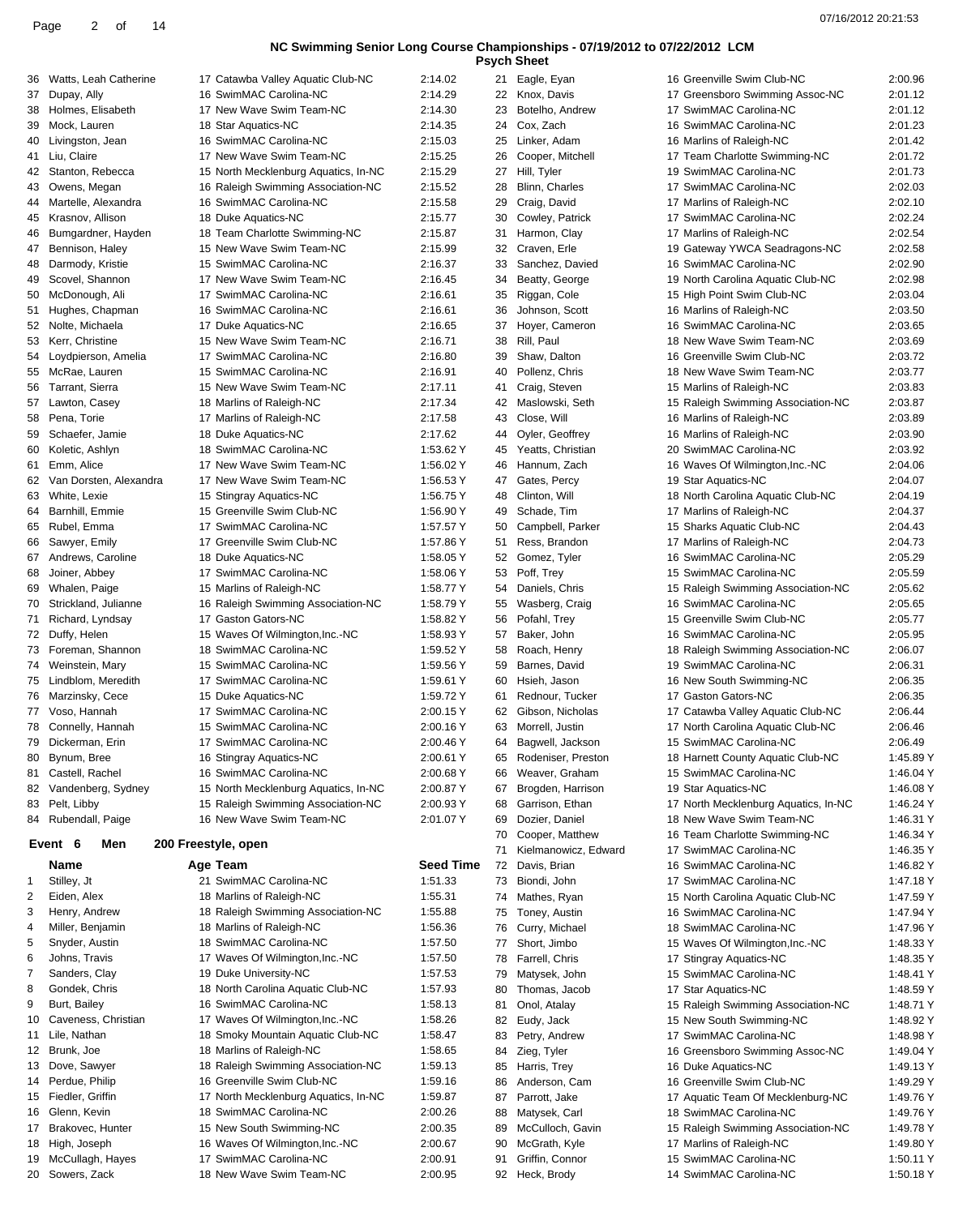| <b>Psych Sheet</b> |  |
|--------------------|--|

| 36 | Watts, Leah Catherine                  | 17 Catawba Valley Aquatic Club-NC                  | 2:14.02            | 21 | Eagle, Eyan                       | 16 Greenville Swim Club-NC                       | 2:00.96                |
|----|----------------------------------------|----------------------------------------------------|--------------------|----|-----------------------------------|--------------------------------------------------|------------------------|
| 37 | Dupay, Ally                            | 16 SwimMAC Carolina-NC                             | 2:14.29            | 22 | Knox, Davis                       | 17 Greensboro Swimming Assoc-NC                  | 2:01.12                |
| 38 | Holmes, Elisabeth                      | 17 New Wave Swim Team-NC                           | 2:14.30            | 23 | Botelho, Andrew                   | 17 SwimMAC Carolina-NC                           | 2:01.12                |
| 39 | Mock, Lauren                           | 18 Star Aquatics-NC                                | 2:14.35            | 24 | Cox, Zach                         | 16 SwimMAC Carolina-NC                           | 2:01.23                |
| 40 | Livingston, Jean                       | 16 SwimMAC Carolina-NC                             | 2:15.03            | 25 | Linker, Adam                      | 16 Marlins of Raleigh-NC                         | 2:01.42                |
|    | 41 Liu, Claire                         | 17 New Wave Swim Team-NC                           | 2:15.25            | 26 | Cooper, Mitchell                  | 17 Team Charlotte Swimming-NC                    | 2:01.72                |
| 42 | Stanton, Rebecca                       | 15 North Mecklenburg Aquatics, In-NC               | 2:15.29            | 27 | Hill, Tyler                       | 19 SwimMAC Carolina-NC                           | 2:01.73                |
|    |                                        |                                                    |                    |    |                                   |                                                  |                        |
| 43 | Owens, Megan                           | 16 Raleigh Swimming Association-NC                 | 2:15.52            | 28 | Blinn, Charles                    | 17 SwimMAC Carolina-NC                           | 2:02.03                |
| 44 | Martelle, Alexandra                    | 16 SwimMAC Carolina-NC                             | 2:15.58            | 29 | Craig, David                      | 17 Marlins of Raleigh-NC                         | 2:02.10                |
| 45 | Krasnov, Allison                       | 18 Duke Aquatics-NC                                | 2:15.77            | 30 | Cowley, Patrick                   | 17 SwimMAC Carolina-NC                           | 2:02.24                |
| 46 | Bumgardner, Hayden                     | 18 Team Charlotte Swimming-NC                      | 2:15.87            | 31 | Harmon, Clay                      | 17 Marlins of Raleigh-NC                         | 2:02.54                |
| 47 | Bennison, Haley                        | 15 New Wave Swim Team-NC                           | 2:15.99            | 32 | Craven, Erle                      | 19 Gateway YWCA Seadragons-NC                    | 2:02.58                |
| 48 | Darmody, Kristie                       | 15 SwimMAC Carolina-NC                             | 2:16.37            | 33 | Sanchez, Davied                   | 16 SwimMAC Carolina-NC                           | 2:02.90                |
| 49 | Scovel, Shannon                        | 17 New Wave Swim Team-NC                           | 2:16.45            | 34 | Beatty, George                    | 19 North Carolina Aquatic Club-NC                | 2:02.98                |
| 50 | McDonough, Ali                         | 17 SwimMAC Carolina-NC                             | 2:16.61            | 35 | Riggan, Cole                      | 15 High Point Swim Club-NC                       | 2:03.04                |
| 51 | Hughes, Chapman                        | 16 SwimMAC Carolina-NC                             | 2:16.61            | 36 | Johnson, Scott                    | 16 Marlins of Raleigh-NC                         | 2:03.50                |
|    | 52 Nolte, Michaela                     | 17 Duke Aquatics-NC                                | 2:16.65            | 37 | Hoyer, Cameron                    | 16 SwimMAC Carolina-NC                           | 2:03.65                |
|    |                                        |                                                    |                    |    |                                   |                                                  |                        |
| 53 | Kerr, Christine                        | 15 New Wave Swim Team-NC                           | 2:16.71            | 38 | Rill, Paul                        | 18 New Wave Swim Team-NC                         | 2:03.69                |
| 54 | Loydpierson, Amelia                    | 17 SwimMAC Carolina-NC                             | 2:16.80            | 39 | Shaw, Dalton                      | 16 Greenville Swim Club-NC                       | 2:03.72                |
| 55 | McRae, Lauren                          | 15 SwimMAC Carolina-NC                             | 2:16.91            | 40 | Pollenz, Chris                    | 18 New Wave Swim Team-NC                         | 2:03.77                |
| 56 | Tarrant, Sierra                        | 15 New Wave Swim Team-NC                           | 2:17.11            | 41 | Craig, Steven                     | 15 Marlins of Raleigh-NC                         | 2:03.83                |
| 57 | Lawton, Casey                          | 18 Marlins of Raleigh-NC                           | 2:17.34            | 42 | Maslowski, Seth                   | 15 Raleigh Swimming Association-NC               | 2:03.87                |
|    | 58 Pena, Torie                         | 17 Marlins of Raleigh-NC                           | 2:17.58            | 43 | Close, Will                       | 16 Marlins of Raleigh-NC                         | 2:03.89                |
| 59 | Schaefer, Jamie                        | 18 Duke Aquatics-NC                                | 2:17.62            | 44 | Oyler, Geoffrey                   | 16 Marlins of Raleigh-NC                         | 2:03.90                |
| 60 | Koletic, Ashlyn                        | 18 SwimMAC Carolina-NC                             | 1:53.62 Y          | 45 | Yeatts, Christian                 | 20 SwimMAC Carolina-NC                           | 2:03.92                |
|    | 61 Emm, Alice                          | 17 New Wave Swim Team-NC                           | 1:56.02 Y          | 46 | Hannum, Zach                      | 16 Waves Of Wilmington, Inc.-NC                  | 2:04.06                |
| 62 | Van Dorsten, Alexandra                 | 17 New Wave Swim Team-NC                           | 1:56.53 Y          | 47 | Gates, Percy                      |                                                  | 2:04.07                |
|    |                                        |                                                    |                    |    |                                   | 19 Star Aquatics-NC                              |                        |
| 63 | White, Lexie                           | 15 Stingray Aquatics-NC                            | 1:56.75 Y          | 48 | Clinton, Will                     | 18 North Carolina Aquatic Club-NC                | 2:04.19                |
| 64 | Barnhill, Emmie                        | 15 Greenville Swim Club-NC                         | 1:56.90 Y          | 49 | Schade, Tim                       | 17 Marlins of Raleigh-NC                         | 2:04.37                |
| 65 | Rubel, Emma                            | 17 SwimMAC Carolina-NC                             | 1:57.57 Y          | 50 | Campbell, Parker                  | 15 Sharks Aquatic Club-NC                        | 2:04.43                |
| 66 | Sawyer, Emily                          | 17 Greenville Swim Club-NC                         | 1:57.86 Y          | 51 | Ress, Brandon                     | 17 Marlins of Raleigh-NC                         | 2:04.73                |
| 67 | Andrews, Caroline                      | 18 Duke Aquatics-NC                                | 1:58.05 Y          | 52 | Gomez, Tyler                      | 16 SwimMAC Carolina-NC                           | 2:05.29                |
| 68 | Joiner, Abbey                          | 17 SwimMAC Carolina-NC                             | 1:58.06 Y          | 53 | Poff, Trey                        | 15 SwimMAC Carolina-NC                           | 2:05.59                |
| 69 | Whalen, Paige                          | 15 Marlins of Raleigh-NC                           | 1:58.77 Y          | 54 | Daniels, Chris                    | 15 Raleigh Swimming Association-NC               | 2:05.62                |
| 70 | Strickland, Julianne                   | 16 Raleigh Swimming Association-NC                 | 1:58.79 Y          | 55 | Wasberg, Craig                    | 16 SwimMAC Carolina-NC                           | 2:05.65                |
|    |                                        | 17 Gaston Gators-NC                                | 1:58.82 Y          | 56 | Pofahl, Trey                      | 15 Greenville Swim Club-NC                       | 2:05.77                |
|    | 71 Richard, Lyndsay                    |                                                    |                    |    |                                   |                                                  |                        |
|    | 72 Duffy, Helen                        | 15 Waves Of Wilmington, Inc.-NC                    | 1:58.93 Y          | 57 | Baker, John                       | 16 SwimMAC Carolina-NC                           | 2:05.95                |
|    | 73 Foreman, Shannon                    | 18 SwimMAC Carolina-NC                             | 1:59.52 Y          | 58 | Roach, Henry                      | 18 Raleigh Swimming Association-NC               | 2:06.07                |
|    | 74 Weinstein, Mary                     | 15 SwimMAC Carolina-NC                             | 1:59.56 Y          | 59 | Barnes, David                     | 19 SwimMAC Carolina-NC                           | 2:06.31                |
| 75 | Lindblom, Meredith                     | 17 SwimMAC Carolina-NC                             | 1:59.61 Y          | 60 | Hsieh, Jason                      | 16 New South Swimming-NC                         | 2:06.35                |
|    | 76 Marzinsky, Cece                     | 15 Duke Aquatics-NC                                | 1:59.72 Y          | 61 | Rednour, Tucker                   | 17 Gaston Gators-NC                              | 2:06.35                |
|    | 77 Voso, Hannah                        | 17 SwimMAC Carolina-NC                             | 2:00.15 Y          | 62 | Gibson, Nicholas                  | 17 Catawba Valley Aquatic Club-NC                | 2:06.44                |
|    | 78 Connelly, Hannah                    | 15 SwimMAC Carolina-NC                             | 2:00.16 Y          | 63 | Morrell, Justin                   | 17 North Carolina Aquatic Club-NC                | 2:06.46                |
|    | 79 Dickerman, Erin                     | 17 SwimMAC Carolina-NC                             | 2:00.46 Y          | 64 | Bagwell, Jackson                  | 15 SwimMAC Carolina-NC                           | 2:06.49                |
|    | 80 Bynum, Bree                         |                                                    |                    |    |                                   |                                                  |                        |
|    |                                        | 16 Stingray Aquatics-NC                            | 2:00.61 Y          | 65 | Rodeniser, Preston                | 18 Harnett County Aquatic Club-NC                | 1:45.89 Y              |
| 81 | Castell, Rachel                        | 16 SwimMAC Carolina-NC                             | 2:00.68 Y          | 66 | Weaver, Graham                    | 15 SwimMAC Carolina-NC                           | 1:46.04 Y              |
| 82 | Vandenberg, Sydney                     | 15 North Mecklenburg Aquatics, In-NC               | 2:00.87 Y          | 67 | Brogden, Harrison                 | 19 Star Aquatics-NC                              | 1:46.08 Y              |
|    | 83 Pelt, Libby                         | 15 Raleigh Swimming Association-NC                 | 2:00.93 Y          | 68 | Garrison, Ethan                   | 17 North Mecklenburg Aquatics, In-NC             | 1:46.24 Y              |
| 84 | Rubendall, Paige                       | 16 New Wave Swim Team-NC                           | 2:01.07 Y          | 69 | Dozier, Daniel                    | 18 New Wave Swim Team-NC                         | 1:46.31 Y              |
|    |                                        |                                                    |                    | 70 | Cooper, Matthew                   | 16 Team Charlotte Swimming-NC                    | 1:46.34 Y              |
|    | Men<br>Event 6                         | 200 Freestyle, open                                |                    | 71 | Kielmanowicz, Edward              | 17 SwimMAC Carolina-NC                           | 1:46.35 Y              |
|    | Name                                   | Age Team                                           | <b>Seed Time</b>   | 72 | Davis, Brian                      | 16 SwimMAC Carolina-NC                           | 1:46.82 Y              |
|    | Stilley, Jt                            | 21 SwimMAC Carolina-NC                             | 1:51.33            | 73 | Biondi, John                      | 17 SwimMAC Carolina-NC                           | 1:47.18 Y              |
| 2  | Eiden, Alex                            | 18 Marlins of Raleigh-NC                           | 1:55.31            | 74 | Mathes, Ryan                      | 15 North Carolina Aquatic Club-NC                | 1:47.59 Y              |
|    |                                        |                                                    |                    |    |                                   |                                                  |                        |
| 3  | Henry, Andrew                          | 18 Raleigh Swimming Association-NC                 | 1:55.88            | 75 | Toney, Austin                     | 16 SwimMAC Carolina-NC                           | 1:47.94 Y              |
| 4  | Miller, Benjamin                       | 18 Marlins of Raleigh-NC                           | 1:56.36            | 76 | Curry, Michael                    | 18 SwimMAC Carolina-NC                           | 1:47.96 Y              |
| 5  | Snyder, Austin                         | 18 SwimMAC Carolina-NC                             | 1:57.50            | 77 | Short, Jimbo                      | 15 Waves Of Wilmington, Inc.-NC                  | 1:48.33 Y              |
| 6  | Johns, Travis                          | 17 Waves Of Wilmington, Inc.-NC                    | 1:57.50            | 78 | Farrell, Chris                    | 17 Stingray Aquatics-NC                          | 1:48.35 Y              |
| 7  | Sanders, Clay                          | 19 Duke University-NC                              | 1:57.53            | 79 | Matysek, John                     | 15 SwimMAC Carolina-NC                           | 1:48.41 Y              |
| 8  | Gondek, Chris                          | 18 North Carolina Aquatic Club-NC                  | 1:57.93            | 80 | Thomas, Jacob                     | 17 Star Aquatics-NC                              | 1:48.59 Y              |
| 9  | Burt, Bailey                           | 16 SwimMAC Carolina-NC                             | 1:58.13            | 81 | Onol, Atalay                      | 15 Raleigh Swimming Association-NC               | 1:48.71 Y              |
| 10 | Caveness, Christian                    | 17 Waves Of Wilmington, Inc.-NC                    | 1:58.26            | 82 | Eudy, Jack                        | 15 New South Swimming-NC                         | 1:48.92 Y              |
| 11 | Lile, Nathan                           | 18 Smoky Mountain Aquatic Club-NC                  | 1:58.47            | 83 | Petry, Andrew                     | 17 SwimMAC Carolina-NC                           | 1:48.98 Y              |
|    |                                        | 18 Marlins of Raleigh-NC                           |                    |    |                                   |                                                  |                        |
|    | 12 Brunk, Joe                          |                                                    | 1:58.65            | 84 | Zieg, Tyler                       | 16 Greensboro Swimming Assoc-NC                  | 1:49.04 Y              |
|    | 13 Dove, Sawyer                        | 18 Raleigh Swimming Association-NC                 | 1:59.13            | 85 | Harris, Trey                      | 16 Duke Aquatics-NC                              | 1:49.13 Y              |
|    | 14 Perdue, Philip                      | 16 Greenville Swim Club-NC                         | 1:59.16            | 86 | Anderson, Cam                     | 16 Greenville Swim Club-NC                       | 1:49.29 Y              |
|    | 15 Fiedler, Griffin                    | 17 North Mecklenburg Aquatics, In-NC               | 1:59.87            | 87 | Parrott, Jake                     | 17 Aquatic Team Of Mecklenburg-NC                | 1:49.76 Y              |
| 16 | Glenn, Kevin                           | 18 SwimMAC Carolina-NC                             | 2:00.26            | 88 | Matysek, Carl                     | 18 SwimMAC Carolina-NC                           | 1:49.76 Y              |
|    | 17 Brakovec, Hunter                    | 15 New South Swimming-NC                           | 2:00.35            | 89 | McCulloch, Gavin                  | 15 Raleigh Swimming Association-NC               | 1:49.78 Y              |
|    | 18 High, Joseph                        | 16 Waves Of Wilmington, Inc.-NC                    | 2:00.67            | 90 | McGrath, Kyle                     | 17 Marlins of Raleigh-NC                         | 1:49.80 Y              |
|    |                                        |                                                    |                    |    |                                   |                                                  |                        |
|    |                                        |                                                    |                    |    |                                   |                                                  |                        |
|    | 19 McCullagh, Hayes<br>20 Sowers, Zack | 17 SwimMAC Carolina-NC<br>18 New Wave Swim Team-NC | 2:00.91<br>2:00.95 | 91 | Griffin, Connor<br>92 Heck, Brody | 15 SwimMAC Carolina-NC<br>14 SwimMAC Carolina-NC | 1:50.11 Y<br>1:50.18 Y |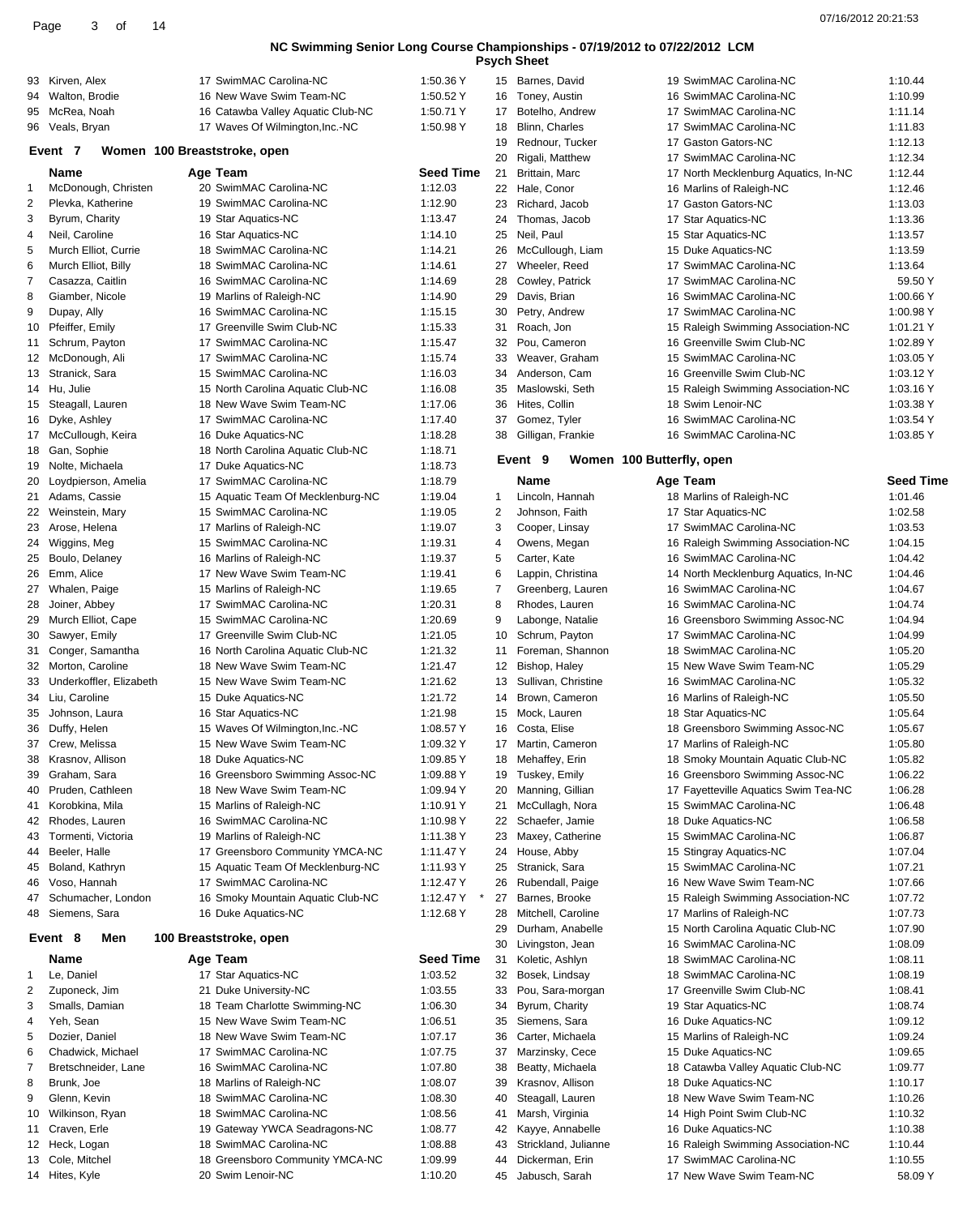| <b>Psych Sheet</b> |  |
|--------------------|--|
|--------------------|--|

|                |                                  |                                                             |                        |                | <b>PSych Sheet</b>                  |                                                                  |                    |
|----------------|----------------------------------|-------------------------------------------------------------|------------------------|----------------|-------------------------------------|------------------------------------------------------------------|--------------------|
|                | 93 Kirven, Alex                  | 17 SwimMAC Carolina-NC                                      | 1:50.36 Y              |                | 15 Barnes, David                    | 19 SwimMAC Carolina-NC                                           | 1:10.44            |
|                | 94 Walton, Brodie                | 16 New Wave Swim Team-NC                                    | 1:50.52 Y              | 16             | Toney, Austin                       | 16 SwimMAC Carolina-NC                                           | 1:10.99            |
|                | 95 McRea, Noah                   | 16 Catawba Valley Aquatic Club-NC                           | 1:50.71 Y              | 17             | Botelho, Andrew                     | 17 SwimMAC Carolina-NC                                           | 1:11.14            |
|                | 96 Veals, Bryan                  | 17 Waves Of Wilmington, Inc.-NC                             | 1:50.98 Y              | 18             | Blinn, Charles                      | 17 SwimMAC Carolina-NC                                           | 1:11.83            |
|                | Event 7                          | Women 100 Breaststroke, open                                |                        | 19             | Rednour, Tucker                     | 17 Gaston Gators-NC                                              | 1:12.13            |
|                | Name                             |                                                             | <b>Seed Time</b>       | 20<br>21       | Rigali, Matthew                     | 17 SwimMAC Carolina-NC                                           | 1:12.34<br>1:12.44 |
| 1              | McDonough, Christen              | Age Team<br>20 SwimMAC Carolina-NC                          | 1:12.03                | 22             | Brittain, Marc<br>Hale, Conor       | 17 North Mecklenburg Aquatics, In-NC<br>16 Marlins of Raleigh-NC | 1:12.46            |
| $\overline{c}$ | Plevka, Katherine                | 19 SwimMAC Carolina-NC                                      | 1:12.90                | 23             | Richard, Jacob                      | 17 Gaston Gators-NC                                              | 1:13.03            |
| 3              | Byrum, Charity                   | 19 Star Aquatics-NC                                         | 1:13.47                | 24             | Thomas, Jacob                       | 17 Star Aquatics-NC                                              | 1:13.36            |
| 4              | Neil, Caroline                   | 16 Star Aquatics-NC                                         | 1:14.10                | 25             | Neil, Paul                          | 15 Star Aquatics-NC                                              | 1:13.57            |
| 5              | Murch Elliot, Currie             | 18 SwimMAC Carolina-NC                                      | 1:14.21                | 26             | McCullough, Liam                    | 15 Duke Aquatics-NC                                              | 1:13.59            |
| 6              | Murch Elliot, Billy              | 18 SwimMAC Carolina-NC                                      | 1:14.61                | 27             | Wheeler, Reed                       | 17 SwimMAC Carolina-NC                                           | 1:13.64            |
| $\overline{7}$ | Casazza, Caitlin                 | 16 SwimMAC Carolina-NC                                      | 1:14.69                | 28             | Cowley, Patrick                     | 17 SwimMAC Carolina-NC                                           | 59.50 Y            |
| 8              | Giamber, Nicole                  | 19 Marlins of Raleigh-NC                                    | 1:14.90                | 29             | Davis, Brian                        | 16 SwimMAC Carolina-NC                                           | 1:00.66 Y          |
| 9              | Dupay, Ally                      | 16 SwimMAC Carolina-NC                                      | 1:15.15                | 30             | Petry, Andrew                       | 17 SwimMAC Carolina-NC                                           | 1:00.98 Y          |
| 10             | Pfeiffer, Emily                  | 17 Greenville Swim Club-NC                                  | 1:15.33                | 31             | Roach, Jon                          | 15 Raleigh Swimming Association-NC                               | 1:01.21 Y          |
| 11             | Schrum, Payton                   | 17 SwimMAC Carolina-NC                                      | 1:15.47                | 32             | Pou, Cameron                        | 16 Greenville Swim Club-NC                                       | 1:02.89 Y          |
|                | 12 McDonough, Ali                | 17 SwimMAC Carolina-NC                                      | 1:15.74                | 33             | Weaver, Graham                      | 15 SwimMAC Carolina-NC                                           | 1:03.05 Y          |
|                | 13 Stranick, Sara                | 15 SwimMAC Carolina-NC                                      | 1:16.03                | 34             | Anderson, Cam                       | 16 Greenville Swim Club-NC                                       | 1:03.12 Y          |
|                | 14 Hu, Julie                     | 15 North Carolina Aquatic Club-NC                           | 1:16.08                | 35             | Maslowski, Seth                     | 15 Raleigh Swimming Association-NC                               | 1:03.16 Y          |
|                | 15 Steagall, Lauren              | 18 New Wave Swim Team-NC                                    | 1:17.06                | 36             | Hites, Collin                       | 18 Swim Lenoir-NC                                                | 1:03.38 Y          |
|                | 16 Dyke, Ashley                  | 17 SwimMAC Carolina-NC                                      | 1:17.40                | 37             | Gomez, Tyler                        | 16 SwimMAC Carolina-NC                                           | 1:03.54 Y          |
|                | 17 McCullough, Keira             | 16 Duke Aquatics-NC                                         | 1:18.28                | 38             | Gilligan, Frankie                   | 16 SwimMAC Carolina-NC                                           | 1:03.85 Y          |
|                | 18 Gan, Sophie                   | 18 North Carolina Aquatic Club-NC                           | 1:18.71                |                | Event 9                             | Women 100 Butterfly, open                                        |                    |
|                | 19 Nolte, Michaela               | 17 Duke Aquatics-NC                                         | 1:18.73                |                |                                     |                                                                  |                    |
| 20             | Loydpierson, Amelia              | 17 SwimMAC Carolina-NC                                      | 1:18.79                |                | <b>Name</b>                         | Age Team                                                         | <b>Seed Time</b>   |
|                | 21 Adams, Cassie                 | 15 Aquatic Team Of Mecklenburg-NC                           | 1:19.04                | 1              | Lincoln, Hannah                     | 18 Marlins of Raleigh-NC                                         | 1:01.46            |
|                | 22 Weinstein, Mary               | 15 SwimMAC Carolina-NC                                      | 1:19.05                | 2              | Johnson, Faith                      | 17 Star Aquatics-NC                                              | 1:02.58            |
| 23             | Arose, Helena                    | 17 Marlins of Raleigh-NC                                    | 1:19.07                | 3              | Cooper, Linsay                      | 17 SwimMAC Carolina-NC                                           | 1:03.53            |
|                | 24 Wiggins, Meg                  | 15 SwimMAC Carolina-NC                                      | 1:19.31                | 4              | Owens, Megan                        | 16 Raleigh Swimming Association-NC                               | 1:04.15            |
| 25             | Boulo, Delaney                   | 16 Marlins of Raleigh-NC                                    | 1:19.37                | 5              | Carter, Kate                        | 16 SwimMAC Carolina-NC                                           | 1:04.42            |
| 26             | Emm, Alice                       | 17 New Wave Swim Team-NC                                    | 1:19.41                | 6              | Lappin, Christina                   | 14 North Mecklenburg Aquatics, In-NC                             | 1:04.46            |
|                | 27 Whalen, Paige                 | 15 Marlins of Raleigh-NC                                    | 1:19.65                | $\overline{7}$ | Greenberg, Lauren                   | 16 SwimMAC Carolina-NC                                           | 1:04.67            |
| 28             | Joiner, Abbey                    | 17 SwimMAC Carolina-NC                                      | 1:20.31                | 8              | Rhodes, Lauren                      | 16 SwimMAC Carolina-NC                                           | 1:04.74            |
|                | 29 Murch Elliot, Cape            | 15 SwimMAC Carolina-NC                                      | 1:20.69                | 9              | Labonge, Natalie                    | 16 Greensboro Swimming Assoc-NC                                  | 1:04.94            |
|                | 30 Sawyer, Emily                 | 17 Greenville Swim Club-NC                                  | 1:21.05                | 10             | Schrum, Payton                      | 17 SwimMAC Carolina-NC                                           | 1:04.99            |
| 31             | Conger, Samantha                 | 16 North Carolina Aquatic Club-NC                           | 1:21.32                | 11             | Foreman, Shannon                    | 18 SwimMAC Carolina-NC                                           | 1:05.20            |
| 32             | Morton, Caroline                 | 18 New Wave Swim Team-NC                                    | 1:21.47                | 12             | Bishop, Haley                       | 15 New Wave Swim Team-NC                                         | 1:05.29            |
|                | 33 Underkoffler, Elizabeth       | 15 New Wave Swim Team-NC                                    | 1:21.62                | 13             | Sullivan, Christine                 | 16 SwimMAC Carolina-NC                                           | 1:05.32            |
|                | 34 Liu, Caroline                 | 15 Duke Aquatics-NC                                         | 1:21.72                | 14             | Brown, Cameron                      | 16 Marlins of Raleigh-NC                                         | 1:05.50            |
| 35             | Johnson, Laura                   | 16 Star Aquatics-NC                                         | 1:21.98                | 15             | Mock, Lauren                        | 18 Star Aquatics-NC                                              | 1:05.64            |
|                | 36 Duffy, Helen                  | 15 Waves Of Wilmington, Inc.-NC                             | 1:08.57 Y              | 16             | Costa, Elise                        | 18 Greensboro Swimming Assoc-NC<br>17 Marlins of Raleigh-NC      | 1:05.67<br>1:05.80 |
|                | 37 Crew, Melissa                 | 15 New Wave Swim Team-NC                                    | 1:09.32 Y              |                | 17 Martin, Cameron                  |                                                                  |                    |
| 38<br>39       | Krasnov, Allison<br>Graham, Sara | 18 Duke Aquatics-NC                                         | 1:09.85 Y<br>1:09.88 Y | 18             | Mehaffey, Erin<br>Tuskey, Emily     | 18 Smoky Mountain Aquatic Club-NC                                | 1:05.82<br>1:06.22 |
|                | Pruden, Cathleen                 | 16 Greensboro Swimming Assoc-NC<br>18 New Wave Swim Team-NC | 1:09.94 Y              | 19             |                                     | 16 Greensboro Swimming Assoc-NC                                  | 1:06.28            |
| 40             | Korobkina, Mila                  | 15 Marlins of Raleigh-NC                                    | 1:10.91 Y              | 20<br>21       | Manning, Gillian<br>McCullagh, Nora | 17 Fayetteville Aquatics Swim Tea-NC<br>15 SwimMAC Carolina-NC   | 1:06.48            |
| 41             | 42 Rhodes, Lauren                | 16 SwimMAC Carolina-NC                                      | 1:10.98 Y              |                | 22 Schaefer, Jamie                  | 18 Duke Aquatics-NC                                              | 1:06.58            |
| 43             | Tormenti, Victoria               | 19 Marlins of Raleigh-NC                                    | 1:11.38 Y              | 23             | Maxey, Catherine                    | 15 SwimMAC Carolina-NC                                           | 1:06.87            |
| 44             | Beeler, Halle                    | 17 Greensboro Community YMCA-NC                             | 1:11.47 Y              | 24             | House, Abby                         | 15 Stingray Aquatics-NC                                          | 1:07.04            |
| 45             | Boland, Kathryn                  | 15 Aquatic Team Of Mecklenburg-NC                           | 1:11.93 Y              | 25             | Stranick, Sara                      | 15 SwimMAC Carolina-NC                                           | 1:07.21            |
| 46             | Voso, Hannah                     | 17 SwimMAC Carolina-NC                                      | 1:12.47 Y              | 26             | Rubendall, Paige                    | 16 New Wave Swim Team-NC                                         | 1:07.66            |
| 47             | Schumacher, London               | 16 Smoky Mountain Aquatic Club-NC                           | 1:12.47 Y              | 27             | Barnes, Brooke                      | 15 Raleigh Swimming Association-NC                               | 1:07.72            |
| 48             | Siemens, Sara                    | 16 Duke Aquatics-NC                                         | 1:12.68 Y              | 28             | Mitchell, Caroline                  | 17 Marlins of Raleigh-NC                                         | 1:07.73            |
|                |                                  |                                                             |                        | 29             | Durham, Anabelle                    | 15 North Carolina Aquatic Club-NC                                | 1:07.90            |
|                | Event 8<br>Men                   | 100 Breaststroke, open                                      |                        | 30             | Livingston, Jean                    | 16 SwimMAC Carolina-NC                                           | 1:08.09            |
|                | Name                             | Age Team                                                    | <b>Seed Time</b>       | 31             | Koletic, Ashlyn                     | 18 SwimMAC Carolina-NC                                           | 1:08.11            |
| 1              | Le, Daniel                       | 17 Star Aquatics-NC                                         | 1:03.52                | 32             | Bosek, Lindsay                      | 18 SwimMAC Carolina-NC                                           | 1:08.19            |
| $\overline{c}$ | Zuponeck, Jim                    | 21 Duke University-NC                                       | 1:03.55                | 33             | Pou, Sara-morgan                    | 17 Greenville Swim Club-NC                                       | 1:08.41            |
| 3              | Smalls, Damian                   | 18 Team Charlotte Swimming-NC                               | 1:06.30                | 34             | Byrum, Charity                      | 19 Star Aquatics-NC                                              | 1:08.74            |
| 4              | Yeh, Sean                        | 15 New Wave Swim Team-NC                                    | 1:06.51                | 35             | Siemens, Sara                       | 16 Duke Aquatics-NC                                              | 1:09.12            |
| 5              | Dozier, Daniel                   | 18 New Wave Swim Team-NC                                    | 1:07.17                | 36             | Carter, Michaela                    | 15 Marlins of Raleigh-NC                                         | 1:09.24            |
| 6              | Chadwick, Michael                | 17 SwimMAC Carolina-NC                                      | 1:07.75                | 37             | Marzinsky, Cece                     | 15 Duke Aquatics-NC                                              | 1:09.65            |
| 7              | Bretschneider, Lane              | 16 SwimMAC Carolina-NC                                      | 1:07.80                | 38             | Beatty, Michaela                    | 18 Catawba Valley Aquatic Club-NC                                | 1:09.77            |
| 8              | Brunk, Joe                       | 18 Marlins of Raleigh-NC                                    | 1:08.07                | 39             | Krasnov, Allison                    | 18 Duke Aquatics-NC                                              | 1:10.17            |
| 9              | Glenn, Kevin                     | 18 SwimMAC Carolina-NC                                      | 1:08.30                | 40             | Steagall, Lauren                    | 18 New Wave Swim Team-NC                                         | 1:10.26            |
| 10             | Wilkinson, Ryan                  | 18 SwimMAC Carolina-NC                                      | 1:08.56                | 41             | Marsh, Virginia                     | 14 High Point Swim Club-NC                                       | 1:10.32            |
| 11             | Craven, Erle                     | 19 Gateway YWCA Seadragons-NC                               | 1:08.77                | 42             | Kayye, Annabelle                    | 16 Duke Aquatics-NC                                              | 1:10.38            |
|                | 12 Heck, Logan                   | 18 SwimMAC Carolina-NC                                      | 1:08.88                | 43             | Strickland, Julianne                | 16 Raleigh Swimming Association-NC                               | 1:10.44            |
|                | 13 Cole, Mitchel                 | 18 Greensboro Community YMCA-NC                             | 1:09.99                | 44             | Dickerman, Erin                     | 17 SwimMAC Carolina-NC                                           | 1:10.55            |
|                | 14 Hites, Kyle                   | 20 Swim Lenoir-NC                                           | 1:10.20                |                | 45 Jabusch, Sarah                   | 17 New Wave Swim Team-NC                                         | 58.09 Y            |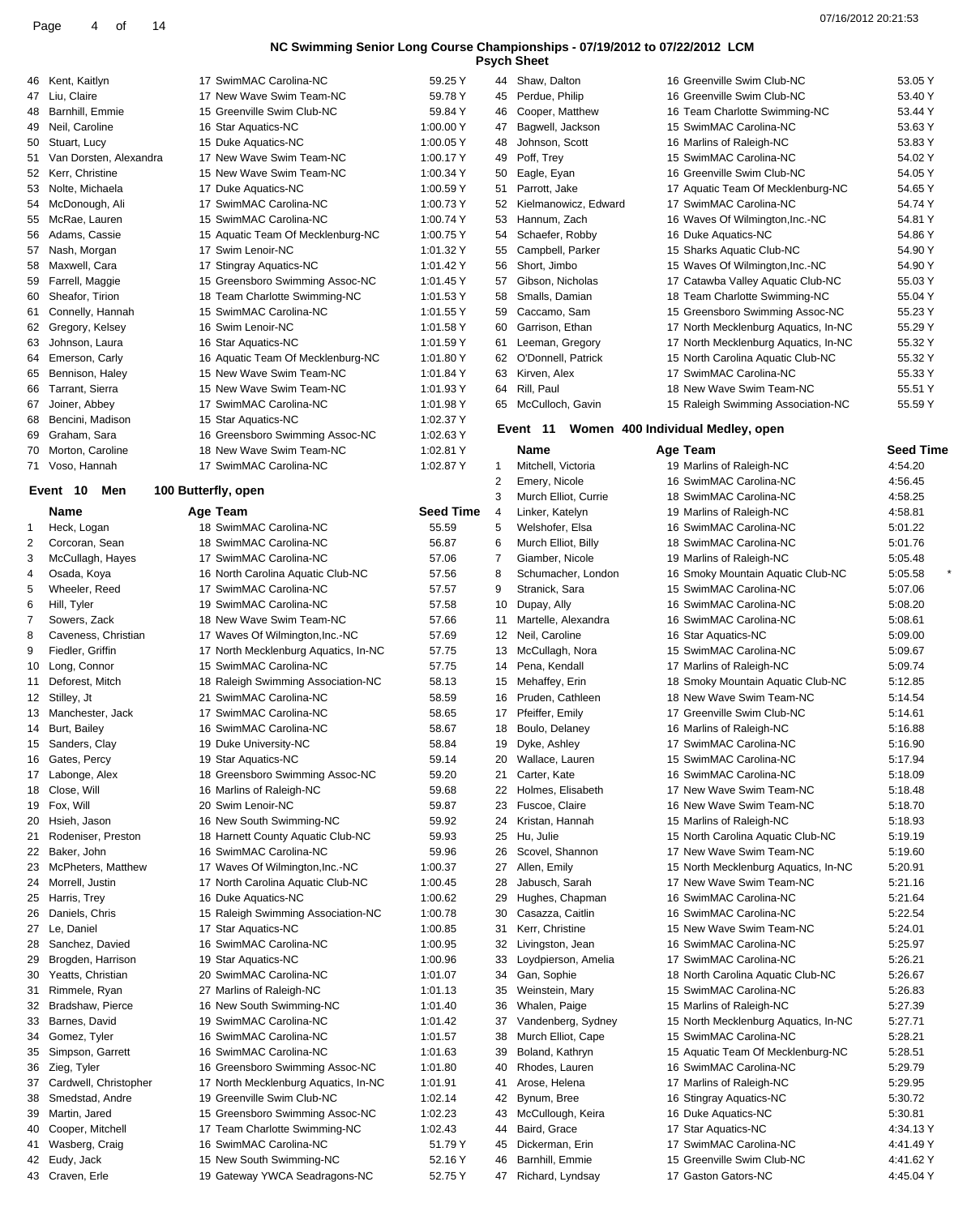|                           | <b>NC Swimming Senior Long Cour</b> |         |
|---------------------------|-------------------------------------|---------|
| 46 Kent, Kaitlyn          | 17 SwimMAC Carolina-NC              | 59.25   |
| 47 Liu, Claire            | 17 New Wave Swim Team-NC            | 59.78   |
| 48 Barnhill, Emmie        | 15 Greenville Swim Club-NC          | 59.84   |
| 49 Neil, Caroline         | 16 Star Aquatics-NC                 | 1:00.00 |
| 50 Stuart, Lucy           | 15 Duke Aquatics-NC                 | 1:00.05 |
| 51 Van Dorsten, Alexandra | 17 New Wave Swim Team-NC            | 1:00.17 |
| 52 Kerr, Christine        | 15 New Wave Swim Team-NC            | 1:00.34 |
| 53 Nolte, Michaela        | 17 Duke Aquatics-NC                 | 1:00.59 |
| 54 McDonough, Ali         | 17 SwimMAC Carolina-NC              | 1:00.73 |
| 55 McRae, Lauren          | 15 SwimMAC Carolina-NC              | 1:00.74 |

| ບບ | MUNAC, LAUICII    | TU OWINING CARDINA-NO             | $1.00.74$ T |
|----|-------------------|-----------------------------------|-------------|
| 56 | Adams, Cassie     | 15 Aquatic Team Of Mecklenburg-NC | 1:00.75 Y   |
| 57 | Nash, Morgan      | 17 Swim Lenoir-NC                 | 1:01.32 Y   |
| 58 | Maxwell, Cara     | 17 Stingray Aquatics-NC           | 1:01.42 Y   |
| 59 | Farrell, Maggie   | 15 Greensboro Swimming Assoc-NC   | 1:01.45 Y   |
| 60 | Sheafor, Tirion   | 18 Team Charlotte Swimming-NC     | 1:01.53 Y   |
| 61 | Connelly, Hannah  | 15 SwimMAC Carolina-NC            | 1:01.55 Y   |
| 62 | Gregory, Kelsey   | 16 Swim Lenoir-NC                 | 1:01.58 Y   |
| 63 | Johnson, Laura    | 16 Star Aquatics-NC               | 1:01.59 Y   |
|    | 64 Emerson, Carly | 16 Aquatic Team Of Mecklenburg-NC | 1:01.80 Y   |
| 65 | Bennison, Haley   | 15 New Wave Swim Team-NC          | 1:01.84 Y   |
| 66 | Tarrant, Sierra   | 15 New Wave Swim Team-NC          | 1:01.93 Y   |
| 67 | Joiner, Abbey     | 17 SwimMAC Carolina-NC            | 1:01.98 Y   |
| 68 | Bencini, Madison  | 15 Star Aquatics-NC               | 1:02.37 Y   |
| 69 | Graham, Sara      | 16 Greensboro Swimming Assoc-NC   | 1:02.63 Y   |
| 70 | Morton, Caroline  | 18 New Wave Swim Team-NC          | 1:02.81 Y   |

### 100 Bu

| 3  | McCullagh, Hayes      |
|----|-----------------------|
| 4  | Osada, Koya           |
| 5  | Wheeler, Reed         |
| 6  | Hill, Tyler           |
| 7  | Sowers, Zack          |
| 8  | Caveness, Christian   |
| 9  | Fiedler, Griffin      |
| 10 | Long, Connor          |
| 11 | Deforest, Mitch       |
| 12 | Stilley, Jt           |
| 13 | Manchester, Jack      |
| 14 | Burt, Bailey          |
| 15 | Sanders, Clay         |
| 16 | Gates, Percy          |
| 17 | Labonge, Alex         |
| 18 | Close, Will           |
| 19 | Fox, Will             |
| 20 | Hsieh, Jason          |
| 21 | Rodeniser, Preston    |
| 22 | Baker, John           |
| 23 | McPheters, Matthew    |
| 24 | Morrell, Justin       |
| 25 | Harris, Trey          |
| 26 | Daniels, Chris        |
| 27 | Le, Daniel            |
| 28 | Sanchez, Davied       |
| 29 | Brogden, Harrison     |
| 30 | Yeatts, Christian     |
| 31 | Rimmele, Ryan         |
| 32 | Bradshaw, Pierce      |
| 33 | Barnes, David         |
| 34 | Gomez, Tyler          |
| 35 | Simpson, Garrett      |
| 36 | Zieg, Tyler           |
| 37 | Cardwell, Christopher |
| 38 | Smedstad, Andre       |
| 39 | Martin, Jared         |
| 40 | Cooper, Mitchell      |

| 67 | Joiner, Abbey       |                     | 17 SwimMAC Carolina-NC               | 1:01.98 Y        |
|----|---------------------|---------------------|--------------------------------------|------------------|
| 68 | Bencini, Madison    |                     | 15 Star Aquatics-NC                  | 1:02.37 Y        |
| 69 | Graham, Sara        |                     | 16 Greensboro Swimming Assoc-NC      | 1:02.63 Y        |
| 70 | Morton, Caroline    |                     | 18 New Wave Swim Team-NC             | 1:02.81 Y        |
| 71 | Voso, Hannah        |                     | 17 SwimMAC Carolina-NC               | 1:02.87 Y        |
|    | 10<br>Event<br>Men  | 100 Butterfly, open |                                      |                  |
|    | Name                |                     | Age Team                             | <b>Seed Time</b> |
| 1  | Heck, Logan         |                     | 18 SwimMAC Carolina-NC               | 55.59            |
| 2  | Corcoran, Sean      |                     | 18 SwimMAC Carolina-NC               | 56.87            |
| 3  | McCullagh, Hayes    |                     | 17 SwimMAC Carolina-NC               | 57.06            |
| 4  | Osada, Koya         |                     | 16 North Carolina Aquatic Club-NC    | 57.56            |
| 5  | Wheeler, Reed       |                     | 17 SwimMAC Carolina-NC               | 57.57            |
| 6  | Hill, Tyler         |                     | 19 SwimMAC Carolina-NC               | 57.58            |
| 7  | Sowers, Zack        |                     | 18 New Wave Swim Team-NC             | 57.66            |
| 8  | Caveness, Christian |                     | 17 Waves Of Wilmington, Inc.-NC      | 57.69            |
| 9  | Fiedler, Griffin    |                     | 17 North Mecklenburg Aquatics, In-NC | 57.75            |
| 10 | Long, Connor        |                     | 15 SwimMAC Carolina-NC               | 57.75            |
| 11 | Deforest, Mitch     |                     | 18 Raleigh Swimming Association-NC   | 58.13            |
| 12 | Stilley, Jt         |                     | 21 SwimMAC Carolina-NC               | 58.59            |
| 13 | Manchester, Jack    |                     | 17 SwimMAC Carolina-NC               | 58.65            |
| 14 | Burt, Bailey        |                     | 16 SwimMAC Carolina-NC               | 58.67            |
| 15 | Sanders, Clay       |                     | 19 Duke University-NC                | 58.84            |
| 16 | Gates, Percy        |                     | 19 Star Aquatics-NC                  | 59.14            |
| 17 | Labonge, Alex       |                     | 18 Greensboro Swimming Assoc-NC      | 59.20            |
| 18 | Close, Will         |                     | 16 Marlins of Raleigh-NC             | 59.68            |
| 19 | Fox, Will           |                     | 20 Swim Lenoir-NC                    | 59.87            |
| 20 | Hsieh, Jason        |                     | 16 New South Swimming-NC             | 59.92            |
| 21 | Rodeniser, Preston  |                     | 18 Harnett County Aquatic Club-NC    | 59.93            |
| 22 | Baker, John         |                     | 16 SwimMAC Carolina-NC               | 59.96            |
| 23 | McPheters, Matthew  |                     | 17 Waves Of Wilmington, Inc.-NC      | 1:00.37          |
| 24 | Morrell, Justin     |                     | 17 North Carolina Aquatic Club-NC    | 1:00.45          |
| 25 | Harris, Trey        |                     | 16 Duke Aquatics-NC                  | 1:00.62          |
| 26 | Daniels, Chris      |                     | 15 Raleigh Swimming Association-NC   | 1:00.78          |
| 27 | Le. Daniel          |                     | 17 Star Aquatics-NC                  | 1:00.85          |
| 28 | Sanchez, Davied     |                     | 16 SwimMAC Carolina-NC               | 1:00.95          |
| 29 | Brogden, Harrison   |                     | 19 Star Aquatics-NC                  | 1:00.96          |
| 30 | Yeatts, Christian   |                     | 20 SwimMAC Carolina-NC               | 1:01.07          |
| 31 | Rimmele, Ryan       |                     | 27 Marlins of Raleigh-NC             | 1:01.13          |
| 32 | Bradshaw, Pierce    |                     | 16 New South Swimming-NC             | 1:01.40          |
| 33 | Barnes, David       |                     | 19 SwimMAC Carolina-NC               | 1:01.42          |

16 SwimMAC Carolina-NC 1:01.57 16 SwimMAC Carolina-NC 1:01.63 16 Greensboro Swimming Assoc-NC 1:01.80 17 North Mecklenburg Aquatics, In-NC 1:01.91 19 Greenville Swim Club-NC 1:02.14 15 Greensboro Swimming Assoc-NC 1:02.23 17 Team Charlotte Swimming-NC 1:02.43

43 Craven, Erle 19 Gateway YWCA Seadragons-NC 52.75 Y

|   | -,-- |                      |
|---|------|----------------------|
| Ý | 44   | Shaw, Dalton         |
| Y | 45   | Perdue, Philip       |
| Y | 46   | Cooper, Matthew      |
| Ý | 47   | Bagwell, Jackson     |
| Ý | 48   | Johnson, Scott       |
| Ý | 49   | Poff, Trey           |
| Y | 50   | Eagle, Eyan          |
| Ý | 51   | Parrott, Jake        |
| Y | 52   | Kielmanowicz, Edward |
| Ý | 53   | Hannum, Zach         |
| Ý | 54   | Schaefer, Robby      |
| Ý | 55   | Campbell, Parker     |
| Ý | 56   | Short, Jimbo         |
| Ý | 57   | Gibson, Nicholas     |
| Ý | 58   | Smalls, Damian       |
| Ý | 59   | Caccamo, Sam         |
| Ý | 60   | Garrison, Ethan      |
| Y | 61   | Leeman, Gregory      |
| Ý | 62   | O'Donnell, Patrick   |
| Y | 63   | Kirven, Alex         |
| Ý | 64   | Rill. Paul           |
| Y | 65   | McCulloch, Gavin     |
| Y |      | Women<br>Event<br>40 |
| Y |      |                      |

# 41 Wasberg, Craig 16 SwimMAC Carolina-NC 51.79 Y Eudy, Jack 15 New South Swimming-NC 52.16 Y

| 44 | Shaw, Dalton         | 16 Greenville Swim Club-NC           | 53.05 Y |
|----|----------------------|--------------------------------------|---------|
| 45 | Perdue, Philip       | 16 Greenville Swim Club-NC           | 53.40 Y |
| 46 | Cooper, Matthew      | 16 Team Charlotte Swimming-NC        | 53.44 Y |
| 47 | Bagwell, Jackson     | 15 SwimMAC Carolina-NC               | 53.63 Y |
| 48 | Johnson, Scott       | 16 Marlins of Raleigh-NC             | 53.83 Y |
| 49 | Poff, Trey           | 15 SwimMAC Carolina-NC               | 54.02 Y |
| 50 | Eagle, Eyan          | 16 Greenville Swim Club-NC           | 54.05 Y |
| 51 | Parrott, Jake        | 17 Aquatic Team Of Mecklenburg-NC    | 54.65 Y |
| 52 | Kielmanowicz, Edward | 17 SwimMAC Carolina-NC               | 54.74 Y |
| 53 | Hannum, Zach         | 16 Waves Of Wilmington, Inc.-NC      | 54.81 Y |
| 54 | Schaefer, Robby      | 16 Duke Aquatics-NC                  | 54.86 Y |
| 55 | Campbell, Parker     | 15 Sharks Aquatic Club-NC            | 54.90 Y |
| 56 | Short, Jimbo         | 15 Waves Of Wilmington, Inc.-NC      | 54.90 Y |
| 57 | Gibson, Nicholas     | 17 Catawba Valley Aquatic Club-NC    | 55.03 Y |
| 58 | Smalls, Damian       | 18 Team Charlotte Swimming-NC        | 55.04 Y |
| 59 | Caccamo, Sam         | 15 Greensboro Swimming Assoc-NC      | 55.23 Y |
| 60 | Garrison, Ethan      | 17 North Mecklenburg Aquatics, In-NC | 55.29 Y |
| 61 | Leeman, Gregory      | 17 North Mecklenburg Aquatics, In-NC | 55.32 Y |
| 62 | O'Donnell, Patrick   | 15 North Carolina Aquatic Club-NC    | 55.32 Y |
| 63 | Kirven, Alex         | 17 SwimMAC Carolina-NC               | 55.33 Y |
| 64 | Rill, Paul           | 18 New Wave Swim Team-NC             | 55.51 Y |
| 65 | McCulloch, Gavin     | 15 Raleigh Swimming Association-NC   | 55.59 Y |
|    | .                    | .                                    |         |

### **400 Individual Medley, open**

|          | Name                 | Age Team                                          | <b>Seed Time</b> |
|----------|----------------------|---------------------------------------------------|------------------|
| 1        | Mitchell, Victoria   | 19 Marlins of Raleigh-NC                          | 4:54.20          |
| 2        | Emery, Nicole        | 16 SwimMAC Carolina-NC                            | 4:56.45          |
| 3        | Murch Elliot, Currie | 18 SwimMAC Carolina-NC                            | 4:58.25          |
| 4        | Linker, Katelyn      | 19 Marlins of Raleigh-NC                          | 4:58.81          |
| 5        | Welshofer, Elsa      | 16 SwimMAC Carolina-NC                            | 5:01.22          |
| 6        | Murch Elliot, Billy  | 18 SwimMAC Carolina-NC                            | 5:01.76          |
| 7        | Giamber, Nicole      | 19 Marlins of Raleigh-NC                          | 5:05.48          |
| 8        | Schumacher, London   | 16 Smoky Mountain Aquatic Club-NC                 | 5:05.58          |
| 9        | Stranick, Sara       | 15 SwimMAC Carolina-NC                            | 5:07.06          |
| 10       | Dupay, Ally          | 16 SwimMAC Carolina-NC                            | 5:08.20          |
| 11       | Martelle, Alexandra  | 16 SwimMAC Carolina-NC                            | 5:08.61          |
| 12       | Neil, Caroline       | 16 Star Aquatics-NC                               | 5:09.00          |
| 13       | McCullagh, Nora      | 15 SwimMAC Carolina-NC                            | 5:09.67          |
| 14       | Pena, Kendall        | 17 Marlins of Raleigh-NC                          | 5:09.74          |
| 15       | Mehaffey, Erin       | 18 Smoky Mountain Aquatic Club-NC                 | 5:12.85          |
| 16       | Pruden, Cathleen     | 18 New Wave Swim Team-NC                          | 5:14.54          |
| 17       | Pfeiffer, Emily      | 17 Greenville Swim Club-NC                        | 5:14.61          |
| 18       | Boulo, Delaney       | 16 Marlins of Raleigh-NC                          | 5:16.88          |
| 19       | Dyke, Ashley         | 17 SwimMAC Carolina-NC                            | 5:16.90          |
| 20       | Wallace, Lauren      | 15 SwimMAC Carolina-NC                            | 5:17.94          |
| 21       | Carter, Kate         | 16 SwimMAC Carolina-NC                            | 5:18.09          |
| 22       | Holmes, Elisabeth    | 17 New Wave Swim Team-NC                          | 5:18.48          |
| 23       | Fuscoe, Claire       | 16 New Wave Swim Team-NC                          | 5:18.70          |
| 24       | Kristan, Hannah      | 15 Marlins of Raleigh-NC                          | 5:18.93          |
| 25       | Hu, Julie            | 15 North Carolina Aquatic Club-NC                 | 5:19.19          |
| 26       | Scovel, Shannon      | 17 New Wave Swim Team-NC                          | 5:19.60          |
| 27       | Allen, Emily         | 15 North Mecklenburg Aquatics, In-NC              | 5:20.91          |
| 28       | Jabusch, Sarah       | 17 New Wave Swim Team-NC                          | 5:21.16          |
| 29       | Hughes, Chapman      | 16 SwimMAC Carolina-NC                            | 5:21.64          |
| 30       | Casazza, Caitlin     | 16 SwimMAC Carolina-NC                            | 5:22.54          |
| 31       | Kerr, Christine      | 15 New Wave Swim Team-NC                          | 5:24.01          |
| 32       | Livingston, Jean     | 16 SwimMAC Carolina-NC                            | 5:25.97          |
| 33       | Loydpierson, Amelia  | 17 SwimMAC Carolina-NC                            | 5:26.21          |
| 34       | Gan, Sophie          | 18 North Carolina Aquatic Club-NC                 | 5:26.67          |
| 35       | Weinstein, Mary      | 15 SwimMAC Carolina-NC                            | 5:26.83          |
| 36       | Whalen, Paige        | 15 Marlins of Raleigh-NC                          | 5:27.39          |
| 37       | Vandenberg, Sydney   | 15 North Mecklenburg Aquatics, In-NC              | 5:27.71          |
| 38       | Murch Elliot, Cape   | 15 SwimMAC Carolina-NC                            | 5:28.21          |
| 39       | Boland, Kathryn      | 15 Aquatic Team Of Mecklenburg-NC                 | 5:28.51          |
| 40       | Rhodes, Lauren       | 16 SwimMAC Carolina-NC                            | 5:29.79          |
| 41       | Arose, Helena        | 17 Marlins of Raleigh-NC                          | 5:29.95          |
| 42       | Bynum, Bree          | 16 Stingray Aquatics-NC                           | 5:30.72          |
| 43       | McCullough, Keira    | 16 Duke Aquatics-NC                               | 5:30.81          |
| 44       | Baird, Grace         | 17 Star Aquatics-NC                               | 4:34.13 Y        |
| 45       | Dickerman, Erin      | 17 SwimMAC Carolina-NC                            | 4:41.49 Y        |
| 46<br>47 | Barnhill, Emmie      | 15 Greenville Swim Club-NC<br>17 Gaston Gators-NC | 4:41.62 Y        |
|          | Richard, Lyndsay     |                                                   | 4:45.04 Y        |
|          |                      |                                                   |                  |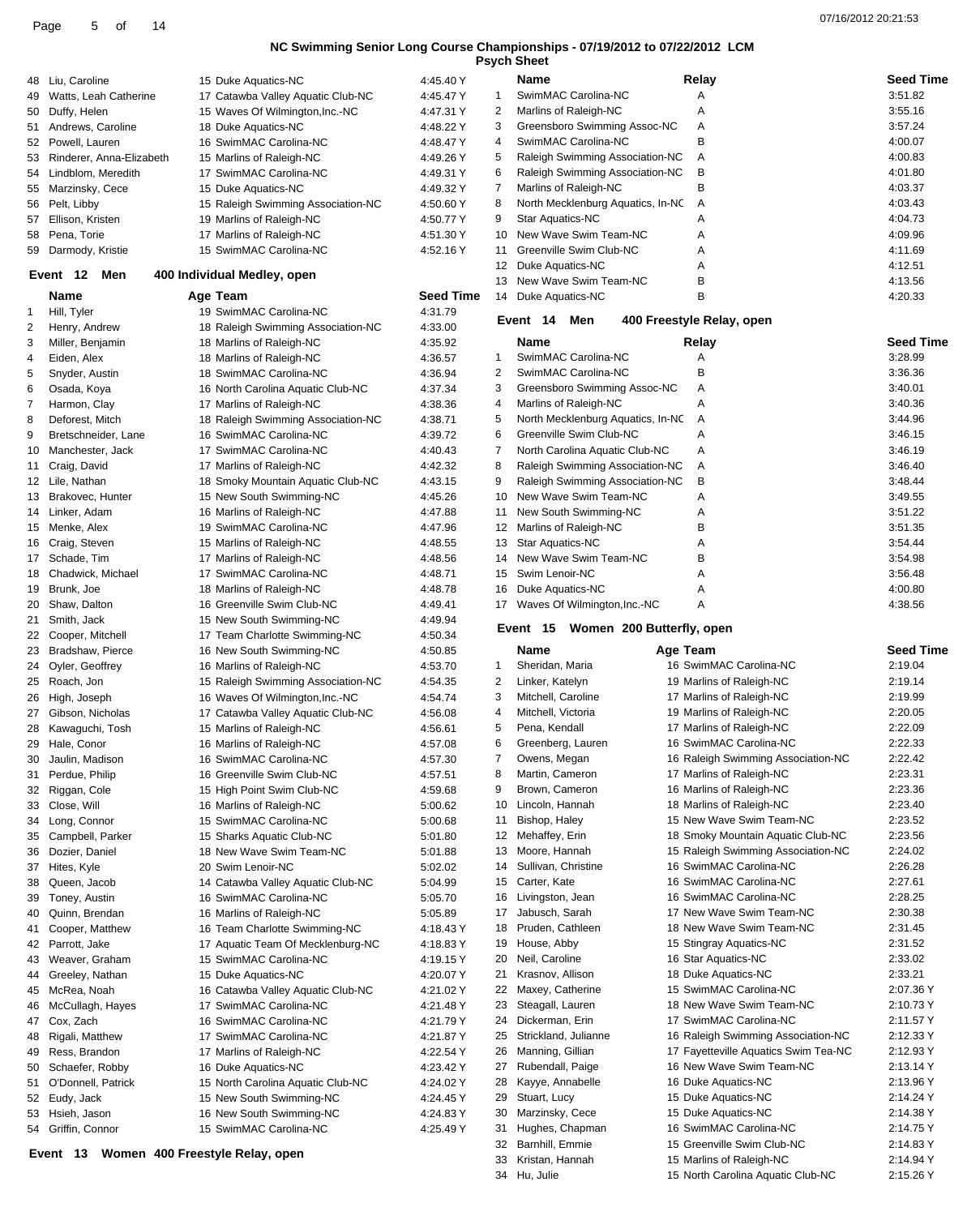07/16/2012 20:21:53 Page <sup>5</sup> of <sup>14</sup>

### **NC Swimming Senior Long Course Championships - 07/19/2012 to 07/22/2012 LCM**

|             |                          |                                                    |                        |                | <b>Psych Sheet</b>                        |                                      |                    |
|-------------|--------------------------|----------------------------------------------------|------------------------|----------------|-------------------------------------------|--------------------------------------|--------------------|
| 48          | Liu, Caroline            | 15 Duke Aquatics-NC                                | 4:45.40 Y              |                | <b>Name</b>                               | Relay                                | <b>Seed Time</b>   |
| 49          | Watts, Leah Catherine    | 17 Catawba Valley Aquatic Club-NC                  | 4:45.47 Y              | 1              | SwimMAC Carolina-NC                       | Α                                    | 3:51.82            |
|             | 50 Duffy, Helen          | 15 Waves Of Wilmington, Inc.-NC                    | 4:47.31 Y              | 2              | Marlins of Raleigh-NC                     | Α                                    | 3:55.16            |
|             | 51 Andrews, Caroline     | 18 Duke Aquatics-NC                                | 4:48.22 Y              | 3              | Greensboro Swimming Assoc-NC              | Α                                    | 3:57.24            |
| 52          | Powell, Lauren           | 16 SwimMAC Carolina-NC                             | 4:48.47 Y              | 4              | SwimMAC Carolina-NC                       | B                                    | 4:00.07            |
| 53          | Rinderer, Anna-Elizabeth | 15 Marlins of Raleigh-NC                           | 4:49.26 Y              | 5              | Raleigh Swimming Association-NC           | Α                                    | 4:00.83            |
| 54          | Lindblom, Meredith       | 17 SwimMAC Carolina-NC                             | 4:49.31 Y              | 6              | Raleigh Swimming Association-NC           | В                                    | 4:01.80            |
| 55          | Marzinsky, Cece          | 15 Duke Aquatics-NC                                | 4:49.32 Y              | $\overline{7}$ | Marlins of Raleigh-NC                     | В                                    | 4:03.37            |
|             | 56 Pelt, Libby           | 15 Raleigh Swimming Association-NC                 | 4:50.60 Y              | 8              | North Mecklenburg Aquatics, In-NC         | Α                                    | 4:03.43            |
| 57          | Ellison, Kristen         | 19 Marlins of Raleigh-NC                           | 4:50.77 Y              | 9              | Star Aquatics-NC<br>New Wave Swim Team-NC | Α                                    | 4:04.73            |
| 58          | Pena, Torie              | 17 Marlins of Raleigh-NC<br>15 SwimMAC Carolina-NC | 4:51.30 Y<br>4:52.16 Y | 10             | Greenville Swim Club-NC                   | Α                                    | 4:09.96<br>4:11.69 |
|             | 59 Darmody, Kristie      |                                                    |                        | 11<br>12       | Duke Aquatics-NC                          | Α<br>Α                               | 4:12.51            |
|             | Men<br>Event 12          | 400 Individual Medley, open                        |                        | 13             | New Wave Swim Team-NC                     | B                                    | 4:13.56            |
|             | <b>Name</b>              | Age Team                                           | <b>Seed Time</b>       | 14             | Duke Aquatics-NC                          | В                                    | 4:20.33            |
| $\mathbf 1$ | Hill, Tyler              | 19 SwimMAC Carolina-NC                             | 4:31.79                |                |                                           |                                      |                    |
| 2           | Henry, Andrew            | 18 Raleigh Swimming Association-NC                 | 4:33.00                |                | Event 14<br>Men                           | 400 Freestyle Relay, open            |                    |
| 3           | Miller, Benjamin         | 18 Marlins of Raleigh-NC                           | 4:35.92                |                | Name                                      | Relay                                | <b>Seed Time</b>   |
| 4           | Eiden, Alex              | 18 Marlins of Raleigh-NC                           | 4:36.57                | 1              | SwimMAC Carolina-NC                       | Α                                    | 3:28.99            |
| 5           | Snyder, Austin           | 18 SwimMAC Carolina-NC                             | 4:36.94                | 2              | SwimMAC Carolina-NC                       | B                                    | 3:36.36            |
| 6           | Osada, Koya              | 16 North Carolina Aquatic Club-NC                  | 4:37.34                | 3              | Greensboro Swimming Assoc-NC              | Α                                    | 3:40.01            |
| 7           | Harmon, Clay             | 17 Marlins of Raleigh-NC                           | 4:38.36                | 4              | Marlins of Raleigh-NC                     | Α                                    | 3:40.36            |
| 8           | Deforest, Mitch          | 18 Raleigh Swimming Association-NC                 | 4:38.71                | 5              | North Mecklenburg Aquatics, In-NC         | Α                                    | 3:44.96            |
| 9           | Bretschneider, Lane      | 16 SwimMAC Carolina-NC                             | 4:39.72                | 6              | Greenville Swim Club-NC                   | Α                                    | 3:46.15            |
| 10          | Manchester, Jack         | 17 SwimMAC Carolina-NC                             | 4:40.43                | 7              | North Carolina Aquatic Club-NC            | Α                                    | 3:46.19            |
| 11          | Craig, David             | 17 Marlins of Raleigh-NC                           | 4:42.32                | 8              | Raleigh Swimming Association-NC           | Α                                    | 3:46.40            |
|             | 12 Lile, Nathan          | 18 Smoky Mountain Aquatic Club-NC                  | 4:43.15                | 9              | Raleigh Swimming Association-NC           | в                                    | 3:48.44            |
|             | 13 Brakovec, Hunter      | 15 New South Swimming-NC                           | 4:45.26                | 10             | New Wave Swim Team-NC                     | Α                                    | 3:49.55            |
| 14          | Linker, Adam             | 16 Marlins of Raleigh-NC                           | 4:47.88                | 11             | New South Swimming-NC                     | Α                                    | 3:51.22            |
|             | 15 Menke, Alex           | 19 SwimMAC Carolina-NC                             | 4:47.96                | 12             | Marlins of Raleigh-NC                     | B                                    | 3:51.35            |
|             | 16 Craig, Steven         | 15 Marlins of Raleigh-NC                           | 4:48.55                | 13             | Star Aquatics-NC                          | А                                    | 3:54.44            |
|             | 17 Schade, Tim           | 17 Marlins of Raleigh-NC                           | 4:48.56                | 14             | New Wave Swim Team-NC                     | В                                    | 3:54.98            |
| 18          | Chadwick, Michael        | 17 SwimMAC Carolina-NC                             | 4:48.71                | 15             | Swim Lenoir-NC                            | Α                                    | 3:56.48            |
|             | 19 Brunk, Joe            | 18 Marlins of Raleigh-NC                           | 4:48.78                | 16             | Duke Aquatics-NC                          | Α                                    | 4:00.80            |
| 20          | Shaw, Dalton             | 16 Greenville Swim Club-NC                         | 4:49.41                | 17             | Waves Of Wilmington, Inc.-NC              | Α                                    | 4:38.56            |
| 21          | Smith, Jack              | 15 New South Swimming-NC                           | 4:49.94                |                |                                           |                                      |                    |
|             | 22 Cooper, Mitchell      | 17 Team Charlotte Swimming-NC                      | 4:50.34                |                | Event 15<br>Women 200 Butterfly, open     |                                      |                    |
|             | 23 Bradshaw, Pierce      | 16 New South Swimming-NC                           | 4:50.85                |                | Name                                      | Age Team                             | <b>Seed Time</b>   |
| 24          | Oyler, Geoffrey          | 16 Marlins of Raleigh-NC                           | 4:53.70                | $\mathbf{1}$   | Sheridan, Maria                           | 16 SwimMAC Carolina-NC               | 2:19.04            |
| 25          | Roach, Jon               | 15 Raleigh Swimming Association-NC                 | 4:54.35                | 2              | Linker, Katelyn                           | 19 Marlins of Raleigh-NC             | 2:19.14            |
| 26          | High, Joseph             | 16 Waves Of Wilmington, Inc.-NC                    | 4:54.74                | 3              | Mitchell, Caroline                        | 17 Marlins of Raleigh-NC             | 2:19.99            |
| 27          | Gibson, Nicholas         | 17 Catawba Valley Aquatic Club-NC                  | 4:56.08                | 4              | Mitchell, Victoria                        | 19 Marlins of Raleigh-NC             | 2:20.05            |
|             | 28 Kawaguchi, Tosh       | 15 Marlins of Raleigh-NC                           | 4:56.61                | 5              | Pena, Kendall                             | 17 Marlins of Raleigh-NC             | 2:22.09            |
| 29          | Hale, Conor              | 16 Marlins of Raleigh-NC                           | 4:57.08                | 6              | Greenberg, Lauren                         | 16 SwimMAC Carolina-NC               | 2:22.33            |
| 30          | Jaulin, Madison          | 16 SwimMAC Carolina-NC                             | 4:57.30                | 7              | Owens, Megan                              | 16 Raleigh Swimming Association-NC   | 2:22.42            |
| 31          | Perdue, Philip           | 16 Greenville Swim Club-NC                         | 4:57.51                | 8              | Martin, Cameron                           | 17 Marlins of Raleigh-NC             | 2:23.31            |
| 32          | Riggan, Cole             | 15 High Point Swim Club-NC                         | 4:59.68                | 9              | Brown, Cameron                            | 16 Marlins of Raleigh-NC             | 2:23.36            |
| 33          | Close, Will              | 16 Marlins of Raleigh-NC                           | 5:00.62                | 10             | Lincoln, Hannah                           | 18 Marlins of Raleigh-NC             | 2:23.40            |
| 34          | Long, Connor             | 15 SwimMAC Carolina-NC                             | 5:00.68                | 11             | Bishop, Haley                             | 15 New Wave Swim Team-NC             | 2:23.52            |
| 35          | Campbell, Parker         | 15 Sharks Aquatic Club-NC                          | 5:01.80                | 12             | Mehaffey, Erin                            | 18 Smoky Mountain Aquatic Club-NC    | 2:23.56            |
| 36          | Dozier, Daniel           | 18 New Wave Swim Team-NC                           | 5:01.88                | 13             | Moore, Hannah                             | 15 Raleigh Swimming Association-NC   | 2:24.02            |
| 37          | Hites, Kyle              | 20 Swim Lenoir-NC                                  | 5:02.02                | 14             | Sullivan, Christine                       | 16 SwimMAC Carolina-NC               | 2:26.28            |
| 38          | Queen, Jacob             | 14 Catawba Valley Aquatic Club-NC                  | 5:04.99                | 15             | Carter, Kate                              | 16 SwimMAC Carolina-NC               | 2:27.61            |
| 39          | Toney, Austin            | 16 SwimMAC Carolina-NC                             | 5:05.70                | 16             | Livingston, Jean                          | 16 SwimMAC Carolina-NC               | 2:28.25            |
| 40          | Quinn, Brendan           | 16 Marlins of Raleigh-NC                           | 5:05.89                | 17             | Jabusch, Sarah                            | 17 New Wave Swim Team-NC             | 2:30.38            |
| 41          | Cooper, Matthew          | 16 Team Charlotte Swimming-NC                      | 4:18.43 Y              | 18             | Pruden, Cathleen                          | 18 New Wave Swim Team-NC             | 2:31.45            |
| 42          | Parrott, Jake            | 17 Aquatic Team Of Mecklenburg-NC                  | 4:18.83 Y              | 19             | House, Abby                               | 15 Stingray Aquatics-NC              | 2:31.52            |
| 43          | Weaver, Graham           | 15 SwimMAC Carolina-NC                             | 4:19.15 Y              | 20             | Neil, Caroline                            | 16 Star Aquatics-NC                  | 2:33.02            |
| 44          | Greeley, Nathan          | 15 Duke Aquatics-NC                                | 4:20.07 Y              | 21             | Krasnov, Allison                          | 18 Duke Aquatics-NC                  | 2:33.21            |
| 45          | McRea, Noah              | 16 Catawba Valley Aquatic Club-NC                  | 4:21.02 Y              | 22             | Maxey, Catherine                          | 15 SwimMAC Carolina-NC               | 2:07.36 Y          |
| 46          | McCullagh, Hayes         | 17 SwimMAC Carolina-NC                             | 4:21.48 Y              | 23             | Steagall, Lauren                          | 18 New Wave Swim Team-NC             | 2:10.73 Y          |
|             | 47 Cox, Zach             | 16 SwimMAC Carolina-NC                             | 4:21.79 Y              | 24             | Dickerman, Erin                           | 17 SwimMAC Carolina-NC               | 2:11.57 Y          |
| 48          | Rigali, Matthew          | 17 SwimMAC Carolina-NC                             | 4:21.87 Y              | 25             | Strickland, Julianne                      | 16 Raleigh Swimming Association-NC   | 2:12.33 Y          |
| 49          | Ress, Brandon            | 17 Marlins of Raleigh-NC                           | 4:22.54 Y              | 26             | Manning, Gillian                          | 17 Fayetteville Aquatics Swim Tea-NC | 2:12.93 Y          |
| 50          | Schaefer, Robby          | 16 Duke Aquatics-NC                                | 4:23.42 Y              | 27             | Rubendall, Paige                          | 16 New Wave Swim Team-NC             | 2:13.14 Y          |
| 51          | O'Donnell, Patrick       | 15 North Carolina Aquatic Club-NC                  | 4:24.02 Y              | 28             | Kayye, Annabelle                          | 16 Duke Aquatics-NC                  | 2:13.96 Y          |
| 52          | Eudy, Jack               | 15 New South Swimming-NC                           | 4:24.45 Y              | 29             | Stuart, Lucy                              | 15 Duke Aquatics-NC                  | 2:14.24 Y          |
| 53          | Hsieh, Jason             | 16 New South Swimming-NC                           | 4:24.83 Y              | 30             | Marzinsky, Cece                           | 15 Duke Aquatics-NC                  | 2:14.38 Y          |
|             | 54 Griffin, Connor       | 15 SwimMAC Carolina-NC                             | 4:25.49 Y              |                | 31 Hughes, Chapman                        | 16 SwimMAC Carolina-NC               | 2:14.75 Y          |

**Event 13 Women 400 Freestyle Relay, open**

32 Barnhill, Emmie 15 Greenville Swim Club-NC 2:14.83 Y<br>15 Martins of Raleigh-NC 2:14.94 Y 33 Kristan, Hannah 15 Marlins of Raleigh-NC Hu, Julie 15 North Carolina Aquatic Club-NC 2:15.26 Y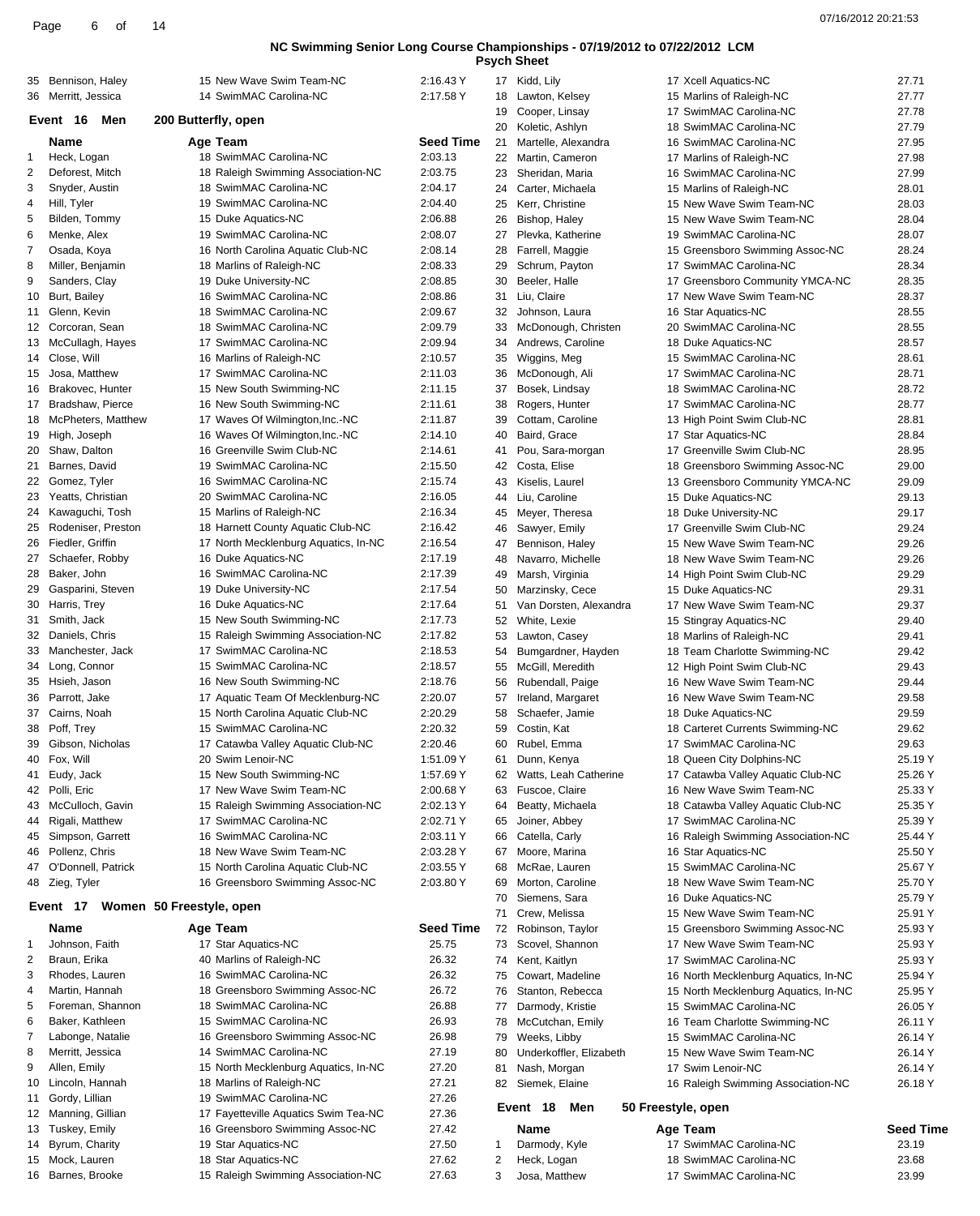**Psych Sheet**

|          |                                    |                                                                    |                        |          | <b>PSych Sheet</b>                      |                                                               |                           |
|----------|------------------------------------|--------------------------------------------------------------------|------------------------|----------|-----------------------------------------|---------------------------------------------------------------|---------------------------|
| 35       | Bennison, Haley                    | 15 New Wave Swim Team-NC                                           | 2:16.43 Y              |          | 17 Kidd, Lily                           | 17 Xcell Aquatics-NC                                          | 27.71                     |
|          | 36 Merritt, Jessica                | 14 SwimMAC Carolina-NC                                             | 2:17.58 Y              | 18       | Lawton, Kelsey                          | 15 Marlins of Raleigh-NC                                      | 27.77                     |
|          | Event 16<br>Men                    | 200 Butterfly, open                                                |                        | 19<br>20 | Cooper, Linsay<br>Koletic, Ashlyn       | 17 SwimMAC Carolina-NC<br>18 SwimMAC Carolina-NC              | 27.78<br>27.79            |
|          | Name                               | Age Team                                                           | <b>Seed Time</b>       | 21       | Martelle, Alexandra                     | 16 SwimMAC Carolina-NC                                        | 27.95                     |
| 1        | Heck, Logan                        | 18 SwimMAC Carolina-NC                                             | 2:03.13                | 22       | Martin, Cameron                         | 17 Marlins of Raleigh-NC                                      | 27.98                     |
| 2        | Deforest, Mitch                    | 18 Raleigh Swimming Association-NC                                 | 2:03.75                | 23       | Sheridan, Maria                         | 16 SwimMAC Carolina-NC                                        | 27.99                     |
| 3        | Snyder, Austin                     | 18 SwimMAC Carolina-NC                                             | 2:04.17                | 24       | Carter, Michaela                        | 15 Marlins of Raleigh-NC                                      | 28.01                     |
| 4        | Hill, Tyler                        | 19 SwimMAC Carolina-NC                                             | 2:04.40                | 25       | Kerr, Christine                         | 15 New Wave Swim Team-NC                                      | 28.03                     |
| 5        | Bilden, Tommy                      | 15 Duke Aquatics-NC                                                | 2:06.88                | 26       | Bishop, Haley                           | 15 New Wave Swim Team-NC                                      | 28.04                     |
| 6<br>7   | Menke, Alex                        | 19 SwimMAC Carolina-NC<br>16 North Carolina Aquatic Club-NC        | 2:08.07<br>2:08.14     | 27<br>28 | Plevka, Katherine                       | 19 SwimMAC Carolina-NC                                        | 28.07<br>28.24            |
| 8        | Osada, Koya<br>Miller, Benjamin    | 18 Marlins of Raleigh-NC                                           | 2:08.33                | 29       | Farrell, Maggie<br>Schrum, Payton       | 15 Greensboro Swimming Assoc-NC<br>17 SwimMAC Carolina-NC     | 28.34                     |
| 9        | Sanders, Clay                      | 19 Duke University-NC                                              | 2:08.85                | 30       | Beeler, Halle                           | 17 Greensboro Community YMCA-NC                               | 28.35                     |
| 10       | Burt, Bailey                       | 16 SwimMAC Carolina-NC                                             | 2:08.86                | 31       | Liu, Claire                             | 17 New Wave Swim Team-NC                                      | 28.37                     |
| 11       | Glenn, Kevin                       | 18 SwimMAC Carolina-NC                                             | 2:09.67                | 32       | Johnson, Laura                          | 16 Star Aquatics-NC                                           | 28.55                     |
|          | 12 Corcoran, Sean                  | 18 SwimMAC Carolina-NC                                             | 2:09.79                | 33       | McDonough, Christen                     | 20 SwimMAC Carolina-NC                                        | 28.55                     |
| 13       | McCullagh, Hayes                   | 17 SwimMAC Carolina-NC                                             | 2:09.94                | 34       | Andrews, Caroline                       | 18 Duke Aquatics-NC                                           | 28.57                     |
|          | 14 Close, Will                     | 16 Marlins of Raleigh-NC                                           | 2:10.57                | 35       | Wiggins, Meg                            | 15 SwimMAC Carolina-NC                                        | 28.61                     |
| 15       | Josa, Matthew                      | 17 SwimMAC Carolina-NC                                             | 2:11.03                | 36       | McDonough, Ali                          | 17 SwimMAC Carolina-NC                                        | 28.71                     |
| 16       | Brakovec, Hunter                   | 15 New South Swimming-NC                                           | 2:11.15                | 37       | Bosek, Lindsay                          | 18 SwimMAC Carolina-NC                                        | 28.72                     |
|          | 17 Bradshaw, Pierce                | 16 New South Swimming-NC                                           | 2:11.61                | 38       | Rogers, Hunter                          | 17 SwimMAC Carolina-NC                                        | 28.77                     |
| 18<br>19 | McPheters, Matthew<br>High, Joseph | 17 Waves Of Wilmington, Inc.-NC<br>16 Waves Of Wilmington, Inc.-NC | 2:11.87<br>2:14.10     | 39<br>40 | Cottam, Caroline<br>Baird, Grace        | 13 High Point Swim Club-NC<br>17 Star Aquatics-NC             | 28.81<br>28.84            |
|          | 20 Shaw, Dalton                    | 16 Greenville Swim Club-NC                                         | 2:14.61                | 41       | Pou, Sara-morgan                        | 17 Greenville Swim Club-NC                                    | 28.95                     |
| 21       | Barnes, David                      | 19 SwimMAC Carolina-NC                                             | 2:15.50                | 42       | Costa, Elise                            | 18 Greensboro Swimming Assoc-NC                               | 29.00                     |
|          | 22 Gomez, Tyler                    | 16 SwimMAC Carolina-NC                                             | 2:15.74                | 43       | Kiselis, Laurel                         | 13 Greensboro Community YMCA-NC                               | 29.09                     |
|          | 23 Yeatts, Christian               | 20 SwimMAC Carolina-NC                                             | 2:16.05                | 44       | Liu, Caroline                           | 15 Duke Aquatics-NC                                           | 29.13                     |
| 24       | Kawaguchi, Tosh                    | 15 Marlins of Raleigh-NC                                           | 2:16.34                | 45       | Meyer, Theresa                          | 18 Duke University-NC                                         | 29.17                     |
| 25       | Rodeniser, Preston                 | 18 Harnett County Aquatic Club-NC                                  | 2:16.42                | 46       | Sawyer, Emily                           | 17 Greenville Swim Club-NC                                    | 29.24                     |
| 26       | Fiedler, Griffin                   | 17 North Mecklenburg Aquatics, In-NC                               | 2:16.54                | 47       | Bennison, Haley                         | 15 New Wave Swim Team-NC                                      | 29.26                     |
|          | 27 Schaefer, Robby                 | 16 Duke Aquatics-NC                                                | 2:17.19                | 48       | Navarro, Michelle                       | 18 New Wave Swim Team-NC                                      | 29.26                     |
| 28       | Baker, John                        | 16 SwimMAC Carolina-NC                                             | 2:17.39                | 49       | Marsh, Virginia                         | 14 High Point Swim Club-NC                                    | 29.29                     |
| 29       | Gasparini, Steven                  | 19 Duke University-NC                                              | 2:17.54                | 50       | Marzinsky, Cece                         | 15 Duke Aquatics-NC                                           | 29.31                     |
| 30<br>31 | Harris, Trey<br>Smith, Jack        | 16 Duke Aquatics-NC<br>15 New South Swimming-NC                    | 2:17.64<br>2:17.73     | 51<br>52 | Van Dorsten, Alexandra<br>White, Lexie  | 17 New Wave Swim Team-NC                                      | 29.37<br>29.40            |
| 32       | Daniels, Chris                     | 15 Raleigh Swimming Association-NC                                 | 2:17.82                | 53       | Lawton, Casey                           | 15 Stingray Aquatics-NC<br>18 Marlins of Raleigh-NC           | 29.41                     |
| 33       | Manchester, Jack                   | 17 SwimMAC Carolina-NC                                             | 2:18.53                | 54       | Bumgardner, Hayden                      | 18 Team Charlotte Swimming-NC                                 | 29.42                     |
| 34       | Long, Connor                       | 15 SwimMAC Carolina-NC                                             | 2:18.57                | 55       | McGill, Meredith                        | 12 High Point Swim Club-NC                                    | 29.43                     |
| 35       | Hsieh, Jason                       | 16 New South Swimming-NC                                           | 2:18.76                | 56       | Rubendall, Paige                        | 16 New Wave Swim Team-NC                                      | 29.44                     |
| 36       | Parrott, Jake                      | 17 Aquatic Team Of Mecklenburg-NC                                  | 2:20.07                | 57       | Ireland, Margaret                       | 16 New Wave Swim Team-NC                                      | 29.58                     |
| 37       | Cairns, Noah                       | 15 North Carolina Aquatic Club-NC                                  | 2:20.29                | 58       | Schaefer, Jamie                         | 18 Duke Aquatics-NC                                           | 29.59                     |
| 38       | Poff, Trey                         | 15 SwimMAC Carolina-NC                                             | 2:20.32                | 59       | Costin, Kat                             | 18 Carteret Currents Swimming-NC                              | 29.62                     |
| 39       | Gibson, Nicholas                   | 17 Catawba Valley Aquatic Club-NC                                  | 2:20.46                | 60       | Rubel, Emma                             | 17 SwimMAC Carolina-NC                                        | 29.63                     |
| 40       | Fox, Will                          | 20 Swim Lenoir-NC                                                  | 1:51.09 Y              | 61       | Dunn, Kenya                             | 18 Queen City Dolphins-NC                                     | 25.19 Y                   |
| 41       | Eudy, Jack<br>Polli, Eric          | 15 New South Swimming-NC<br>17 New Wave Swim Team-NC               | 1:57.69 Y<br>2:00.68 Y | 62       | Watts, Leah Catherine<br>Fuscoe, Claire | 17 Catawba Valley Aquatic Club-NC<br>16 New Wave Swim Team-NC | 25.26 Y<br>25.33 Y        |
| 42<br>43 | McCulloch, Gavin                   | 15 Raleigh Swimming Association-NC                                 | 2:02.13 Y              | 63<br>64 | Beatty, Michaela                        | 18 Catawba Valley Aquatic Club-NC                             | 25.35 Y                   |
| 44       | Rigali, Matthew                    | 17 SwimMAC Carolina-NC                                             | 2:02.71 Y              | 65       | Joiner, Abbey                           | 17 SwimMAC Carolina-NC                                        | 25.39 Y                   |
| 45       | Simpson, Garrett                   | 16 SwimMAC Carolina-NC                                             | 2:03.11 Y              | 66       | Catella, Carly                          | 16 Raleigh Swimming Association-NC                            | 25.44 Y                   |
| 46       | Pollenz, Chris                     | 18 New Wave Swim Team-NC                                           | 2:03.28 Y              | 67       | Moore, Marina                           | 16 Star Aquatics-NC                                           | 25.50 Y                   |
| 47       | O'Donnell, Patrick                 | 15 North Carolina Aquatic Club-NC                                  | 2:03.55 Y              | 68       | McRae, Lauren                           | 15 SwimMAC Carolina-NC                                        | 25.67 Y                   |
|          | 48 Zieg, Tyler                     | 16 Greensboro Swimming Assoc-NC                                    | 2:03.80 Y              | 69       | Morton, Caroline                        | 18 New Wave Swim Team-NC                                      | 25.70 Y                   |
|          | Event 17                           | Women 50 Freestyle, open                                           |                        | 70       | Siemens, Sara                           | 16 Duke Aquatics-NC                                           | 25.79 Y                   |
|          |                                    |                                                                    |                        | 71       | Crew, Melissa                           | 15 New Wave Swim Team-NC                                      | 25.91 Y                   |
|          | Name                               | Age Team                                                           | <b>Seed Time</b>       |          | 72 Robinson, Taylor                     | 15 Greensboro Swimming Assoc-NC                               | 25.93 Y                   |
| 1<br>2   | Johnson, Faith<br>Braun, Erika     | 17 Star Aquatics-NC<br>40 Marlins of Raleigh-NC                    | 25.75<br>26.32         | 73<br>74 | Scovel, Shannon<br>Kent, Kaitlyn        | 17 New Wave Swim Team-NC<br>17 SwimMAC Carolina-NC            | 25.93 Y<br>25.93 Y        |
| 3        | Rhodes, Lauren                     | 16 SwimMAC Carolina-NC                                             | 26.32                  | 75       | Cowart, Madeline                        | 16 North Mecklenburg Aquatics, In-NC                          | 25.94 Y                   |
| 4        | Martin, Hannah                     | 18 Greensboro Swimming Assoc-NC                                    | 26.72                  | 76       | Stanton, Rebecca                        | 15 North Mecklenburg Aquatics, In-NC                          | 25.95 Y                   |
| 5        | Foreman, Shannon                   | 18 SwimMAC Carolina-NC                                             | 26.88                  | 77       | Darmody, Kristie                        | 15 SwimMAC Carolina-NC                                        | 26.05 Y                   |
| 6        | Baker, Kathleen                    | 15 SwimMAC Carolina-NC                                             | 26.93                  |          | 78 McCutchan, Emily                     | 16 Team Charlotte Swimming-NC                                 | 26.11 Y                   |
| 7        | Labonge, Natalie                   | 16 Greensboro Swimming Assoc-NC                                    | 26.98                  | 79       | Weeks, Libby                            | 15 SwimMAC Carolina-NC                                        | 26.14 Y                   |
| 8        | Merritt, Jessica                   | 14 SwimMAC Carolina-NC                                             | 27.19                  | 80       | Underkoffler, Elizabeth                 | 15 New Wave Swim Team-NC                                      | 26.14 Y                   |
| 9        | Allen, Emily                       | 15 North Mecklenburg Aquatics, In-NC                               | 27.20                  | 81       | Nash, Morgan                            | 17 Swim Lenoir-NC                                             | 26.14 Y                   |
| 10       | Lincoln, Hannah                    | 18 Marlins of Raleigh-NC                                           | 27.21                  | 82       | Siemek, Elaine                          | 16 Raleigh Swimming Association-NC                            | 26.18 Y                   |
| 11       | Gordy, Lillian                     | 19 SwimMAC Carolina-NC                                             | 27.26                  |          | Event 18<br>Men                         | 50 Freestyle, open                                            |                           |
|          | 12 Manning, Gillian                | 17 Fayetteville Aquatics Swim Tea-NC                               | 27.36                  |          |                                         |                                                               |                           |
| 14       | 13 Tuskey, Emily<br>Byrum, Charity | 16 Greensboro Swimming Assoc-NC<br>19 Star Aquatics-NC             | 27.42<br>27.50         | 1        | Name<br>Darmody, Kyle                   | Age Team<br>17 SwimMAC Carolina-NC                            | <b>Seed Time</b><br>23.19 |
|          | 15 Mock, Lauren                    | 18 Star Aquatics-NC                                                | 27.62                  | 2        | Heck, Logan                             | 18 SwimMAC Carolina-NC                                        | 23.68                     |
|          | 16 Barnes, Brooke                  | 15 Raleigh Swimming Association-NC                                 | 27.63                  | 3        | Josa, Matthew                           | 17 SwimMAC Carolina-NC                                        | 23.99                     |
|          |                                    |                                                                    |                        |          |                                         |                                                               |                           |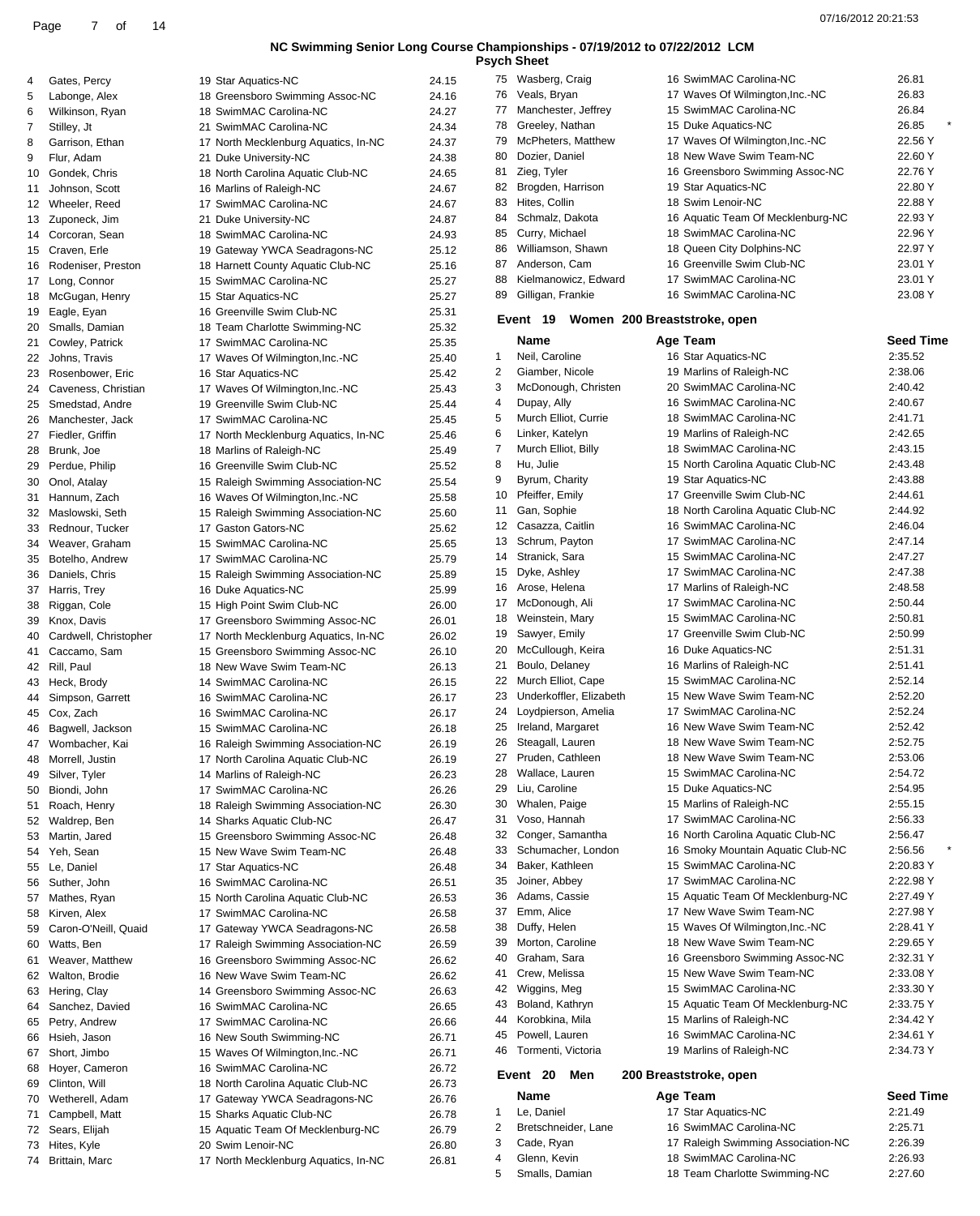1 Le, Daniel 2 Bretschneider, Lane 3 Cade, Ryan 4 Glenn, Kevin 5 Smalls, Damian

**Psych Sheet**

| 4        | Gates, Percy                         | 19 Star Aquatics-NC                                            | 24.15          |
|----------|--------------------------------------|----------------------------------------------------------------|----------------|
| 5        | Labonge, Alex                        | 18 Greensboro Swimming Assoc-NC                                | 24.16          |
| 6        | Wilkinson, Ryan                      | 18 SwimMAC Carolina-NC                                         | 24.27          |
| 7        | Stilley, Jt                          | 21 SwimMAC Carolina-NC                                         | 24.34          |
| 8        | Garrison, Ethan                      | 17 North Mecklenburg Aquatics, In-NC                           | 24.37          |
| 9<br>10  | Flur, Adam<br>Gondek, Chris          | 21 Duke University-NC<br>18 North Carolina Aquatic Club-NC     | 24.38<br>24.65 |
| 11       | Johnson, Scott                       | 16 Marlins of Raleigh-NC                                       | 24.67          |
| 12       | Wheeler, Reed                        | 17 SwimMAC Carolina-NC                                         | 24.67          |
| 13       | Zuponeck, Jim                        | 21 Duke University-NC                                          | 24.87          |
| 14       | Corcoran, Sean                       | 18 SwimMAC Carolina-NC                                         | 24.93          |
| 15       | Craven, Erle                         | 19 Gateway YWCA Seadragons-NC                                  | 25.12          |
| 16       | Rodeniser, Preston                   | 18 Harnett County Aquatic Club-NC                              | 25.16          |
| 17       | Long, Connor                         | 15 SwimMAC Carolina-NC                                         | 25.27          |
| 18<br>19 | McGugan, Henry<br>Eagle, Eyan        | 15 Star Aquatics-NC<br>16 Greenville Swim Club-NC              | 25.27<br>25.31 |
| 20       | Smalls, Damian                       | 18 Team Charlotte Swimming-NC                                  | 25.32          |
| 21       | Cowley, Patrick                      | 17 SwimMAC Carolina-NC                                         | 25.35          |
| 22       | Johns, Travis                        | 17 Waves Of Wilmington, Inc.-NC                                | 25.40          |
| 23       | Rosenbower, Eric                     | 16 Star Aquatics-NC                                            | 25.42          |
| 24       | Caveness, Christian                  | 17 Waves Of Wilmington, Inc.-NC                                | 25.43          |
| 25       | Smedstad, Andre                      | 19 Greenville Swim Club-NC                                     | 25.44          |
| 26<br>27 | Manchester, Jack<br>Fiedler, Griffin | 17 SwimMAC Carolina-NC<br>17 North Mecklenburg Aquatics, In-NC | 25.45<br>25.46 |
| 28       | Brunk, Joe                           | 18 Marlins of Raleigh-NC                                       | 25.49          |
| 29       | Perdue, Philip                       | 16 Greenville Swim Club-NC                                     | 25.52          |
| 30       | Onol, Atalay                         | 15 Raleigh Swimming Association-NC                             | 25.54          |
| 31       | Hannum, Zach                         | 16 Waves Of Wilmington, Inc.-NC                                | 25.58          |
| 32       | Maslowski, Seth                      | 15 Raleigh Swimming Association-NC                             | 25.60          |
| 33       | Rednour, Tucker                      | 17 Gaston Gators-NC                                            | 25.62          |
| 34       | Weaver, Graham                       | 15 SwimMAC Carolina-NC                                         | 25.65          |
| 35<br>36 | Botelho, Andrew<br>Daniels, Chris    | 17 SwimMAC Carolina-NC<br>15 Raleigh Swimming Association-NC   | 25.79<br>25.89 |
| 37       | Harris, Trey                         | 16 Duke Aquatics-NC                                            | 25.99          |
| 38       | Riggan, Cole                         | 15 High Point Swim Club-NC                                     | 26.00          |
| 39       | Knox, Davis                          | 17 Greensboro Swimming Assoc-NC                                | 26.01          |
| 40       | Cardwell, Christopher                | 17 North Mecklenburg Aquatics, In-NC                           | 26.02          |
| 41       | Caccamo, Sam                         | 15 Greensboro Swimming Assoc-NC                                | 26.10          |
| 42       | Rill, Paul                           | 18 New Wave Swim Team-NC                                       | 26.13          |
| 43       | Heck, Brody                          | 14 SwimMAC Carolina-NC                                         | 26.15          |
| 44<br>45 | Simpson, Garrett<br>Cox, Zach        | 16 SwimMAC Carolina-NC<br>16 SwimMAC Carolina-NC               | 26.17<br>26.17 |
| 46       | Bagwell, Jackson                     | 15 SwimMAC Carolina-NC                                         | 26.18          |
| 47       | Wombacher, Kai                       | 16 Raleigh Swimming Association-NC                             | 26.19          |
| 48       | Morrell, Justin                      | 17 North Carolina Aquatic Club-NC                              | 26.19          |
| 49       | Silver, Tyler                        | 14 Marlins of Raleigh-NC                                       | 26.23          |
| 50       | Biondi, John                         | 17 SwimMAC Carolina-NC                                         | 26.26          |
| 51       | Roach, Henry                         | 18 Raleigh Swimming Association-NC                             | 26.30          |
| 52       | Waldrep, Ben                         | 14 Sharks Aquatic Club-NC                                      | 26.47<br>26.48 |
| 53<br>54 | Martin, Jared<br>Yeh, Sean           | 15 Greensboro Swimming Assoc-NC<br>15 New Wave Swim Team-NC    | 26.48          |
| 55       | Le, Daniel                           | 17 Star Aquatics-NC                                            | 26.48          |
| 56       | Suther, John                         | 16 SwimMAC Carolina-NC                                         | 26.51          |
| 57       | Mathes, Ryan                         | 15 North Carolina Aquatic Club-NC                              | 26.53          |
| 58       | Kirven, Alex                         | 17 SwimMAC Carolina-NC                                         | 26.58          |
| 59       | Caron-O'Neill, Quaid                 | 17 Gateway YWCA Seadragons-NC                                  | 26.58          |
| 60       | Watts, Ben                           | 17 Raleigh Swimming Association-NC                             | 26.59          |
| 61       | Weaver, Matthew                      | 16 Greensboro Swimming Assoc-NC                                | 26.62          |
| 62<br>63 | Walton, Brodie<br>Hering, Clay       | 16 New Wave Swim Team-NC<br>14 Greensboro Swimming Assoc-NC    | 26.62<br>26.63 |
| 64       | Sanchez, Davied                      | 16 SwimMAC Carolina-NC                                         | 26.65          |
| 65       | Petry, Andrew                        | 17 SwimMAC Carolina-NC                                         | 26.66          |
| 66       | Hsieh, Jason                         | 16 New South Swimming-NC                                       | 26.71          |
| 67       | Short, Jimbo                         | 15 Waves Of Wilmington, Inc.-NC                                | 26.71          |
| 68       | Hoyer, Cameron                       | 16 SwimMAC Carolina-NC                                         | 26.72          |
| 69       | Clinton, Will                        | 18 North Carolina Aquatic Club-NC                              | 26.73          |
| 70       | Wetherell, Adam                      | 17 Gateway YWCA Seadragons-NC                                  | 26.76          |
| 71<br>72 | Campbell, Matt<br>Sears, Elijah      | 15 Sharks Aquatic Club-NC<br>15 Aquatic Team Of Mecklenburg-NC | 26.78<br>26.79 |
| 73       | Hites, Kyle                          | 20 Swim Lenoir-NC                                              | 26.80          |
| 74       | Brittain, Marc                       | 17 North Mecklenburg Aquatics, In-NC                           | 26.81          |
|          |                                      |                                                                |                |

| 75 | Wasberg, Craig                              | 16 SwimMAC Carolina-NC            | 26.81   |  |
|----|---------------------------------------------|-----------------------------------|---------|--|
| 76 | Veals, Bryan                                | 17 Waves Of Wilmington, Inc.-NC   | 26.83   |  |
| 77 | Manchester, Jeffrey                         | 15 SwimMAC Carolina-NC            | 26.84   |  |
| 78 | Greeley, Nathan                             | 15 Duke Aquatics-NC               | 26.85   |  |
| 79 | McPheters, Matthew                          | 17 Waves Of Wilmington, Inc.-NC   | 22.56 Y |  |
| 80 | Dozier, Daniel                              | 18 New Wave Swim Team-NC          | 22.60 Y |  |
| 81 | Zieg, Tyler                                 | 16 Greensboro Swimming Assoc-NC   | 22.76 Y |  |
| 82 | Brogden, Harrison                           | 19 Star Aquatics-NC               | 22.80 Y |  |
| 83 | Hites, Collin                               | 18 Swim Lenoir-NC                 | 22.88 Y |  |
| 84 | Schmalz, Dakota                             | 16 Aquatic Team Of Mecklenburg-NC | 22.93 Y |  |
| 85 | Curry, Michael                              | 18 SwimMAC Carolina-NC            | 22.96 Y |  |
| 86 | Williamson, Shawn                           | 18 Queen City Dolphins-NC         | 22.97 Y |  |
| 87 | Anderson, Cam                               | 16 Greenville Swim Club-NC        | 23.01 Y |  |
| 88 | Kielmanowicz, Edward                        | 17 SwimMAC Carolina-NC            | 23.01 Y |  |
| 89 | Gilligan, Frankie                           | 16 SwimMAC Carolina-NC            | 23.08 Y |  |
|    | 19<br>Women 200 Breaststroke, open<br>Event |                                   |         |  |

|    | Name                                      |  | Age Team                          | Seed Time |  |  |  |  |
|----|-------------------------------------------|--|-----------------------------------|-----------|--|--|--|--|
| 1  | Neil, Caroline                            |  | 16 Star Aquatics-NC               | 2:35.52   |  |  |  |  |
| 2  | Giamber, Nicole                           |  | 19 Marlins of Raleigh-NC          | 2:38.06   |  |  |  |  |
| 3  | McDonough, Christen                       |  | 20 SwimMAC Carolina-NC            | 2:40.42   |  |  |  |  |
| 4  | Dupay, Ally                               |  | 16 SwimMAC Carolina-NC            | 2:40.67   |  |  |  |  |
| 5  | Murch Elliot, Currie                      |  | 18 SwimMAC Carolina-NC            | 2:41.71   |  |  |  |  |
| 6  | Linker, Katelyn                           |  | 19 Marlins of Raleigh-NC          | 2:42.65   |  |  |  |  |
| 7  | Murch Elliot, Billy                       |  | 18 SwimMAC Carolina-NC            | 2:43.15   |  |  |  |  |
| 8  | Hu, Julie                                 |  | 15 North Carolina Aquatic Club-NC | 2:43.48   |  |  |  |  |
| 9  | Byrum, Charity                            |  | 19 Star Aquatics-NC               | 2:43.88   |  |  |  |  |
| 10 | Pfeiffer, Emily                           |  | 17 Greenville Swim Club-NC        | 2:44.61   |  |  |  |  |
| 11 | Gan, Sophie                               |  | 18 North Carolina Aquatic Club-NC | 2:44.92   |  |  |  |  |
| 12 | Casazza, Caitlin                          |  | 16 SwimMAC Carolina-NC            | 2:46.04   |  |  |  |  |
| 13 | Schrum, Payton                            |  | 17 SwimMAC Carolina-NC            | 2:47.14   |  |  |  |  |
| 14 | Stranick, Sara                            |  | 15 SwimMAC Carolina-NC            | 2:47.27   |  |  |  |  |
| 15 | Dyke, Ashley                              |  | 17 SwimMAC Carolina-NC            | 2:47.38   |  |  |  |  |
| 16 | Arose, Helena                             |  | 17 Marlins of Raleigh-NC          | 2:48.58   |  |  |  |  |
| 17 | McDonough, Ali                            |  | 17 SwimMAC Carolina-NC            | 2:50.44   |  |  |  |  |
| 18 | Weinstein, Mary                           |  | 15 SwimMAC Carolina-NC            | 2:50.81   |  |  |  |  |
| 19 | Sawyer, Emily                             |  | 17 Greenville Swim Club-NC        | 2:50.99   |  |  |  |  |
| 20 | McCullough, Keira                         |  | 16 Duke Aquatics-NC               | 2:51.31   |  |  |  |  |
| 21 | Boulo, Delaney                            |  | 16 Marlins of Raleigh-NC          | 2:51.41   |  |  |  |  |
| 22 | Murch Elliot, Cape                        |  | 15 SwimMAC Carolina-NC            | 2:52.14   |  |  |  |  |
| 23 | Underkoffler, Elizabeth                   |  | 15 New Wave Swim Team-NC          | 2:52.20   |  |  |  |  |
| 24 | Loydpierson, Amelia                       |  | 17 SwimMAC Carolina-NC            | 2:52.24   |  |  |  |  |
| 25 | Ireland, Margaret                         |  | 16 New Wave Swim Team-NC          | 2:52.42   |  |  |  |  |
| 26 | Steagall, Lauren                          |  | 18 New Wave Swim Team-NC          | 2:52.75   |  |  |  |  |
| 27 | Pruden, Cathleen                          |  | 18 New Wave Swim Team-NC          | 2:53.06   |  |  |  |  |
| 28 | Wallace, Lauren                           |  | 15 SwimMAC Carolina-NC            | 2:54.72   |  |  |  |  |
| 29 | Liu, Caroline                             |  | 15 Duke Aquatics-NC               | 2:54.95   |  |  |  |  |
| 30 | Whalen, Paige                             |  | 15 Marlins of Raleigh-NC          | 2:55.15   |  |  |  |  |
| 31 | Voso, Hannah                              |  | 17 SwimMAC Carolina-NC            | 2:56.33   |  |  |  |  |
| 32 | Conger, Samantha                          |  | 16 North Carolina Aquatic Club-NC | 2:56.47   |  |  |  |  |
| 33 | Schumacher, London                        |  | 16 Smoky Mountain Aquatic Club-NC | 2:56.56   |  |  |  |  |
| 34 | Baker, Kathleen                           |  | 15 SwimMAC Carolina-NC            | 2:20.83 Y |  |  |  |  |
| 35 | Joiner, Abbey                             |  | 17 SwimMAC Carolina-NC            | 2:22.98 Y |  |  |  |  |
| 36 | Adams, Cassie                             |  | 15 Aquatic Team Of Mecklenburg-NC | 2:27.49 Y |  |  |  |  |
| 37 | Emm, Alice                                |  | 17 New Wave Swim Team-NC          | 2:27.98 Y |  |  |  |  |
| 38 | Duffy, Helen                              |  | 15 Waves Of Wilmington, Inc.-NC   | 2:28.41 Y |  |  |  |  |
| 39 | Morton, Caroline                          |  | 18 New Wave Swim Team-NC          | 2:29.65 Y |  |  |  |  |
| 40 | Graham, Sara                              |  | 16 Greensboro Swimming Assoc-NC   | 2:32.31 Y |  |  |  |  |
| 41 | Crew, Melissa                             |  | 15 New Wave Swim Team-NC          | 2:33.08 Y |  |  |  |  |
| 42 | Wiggins, Meg                              |  | 15 SwimMAC Carolina-NC            | 2:33.30 Y |  |  |  |  |
| 43 | Boland, Kathryn                           |  | 15 Aquatic Team Of Mecklenburg-NC | 2:33.75 Y |  |  |  |  |
| 44 | Korobkina, Mila                           |  | 15 Marlins of Raleigh-NC          | 2:34.42 Y |  |  |  |  |
| 45 | Powell. Lauren                            |  | 16 SwimMAC Carolina-NC            | 2:34.61 Y |  |  |  |  |
| 46 | Tormenti, Victoria                        |  | 19 Marlins of Raleigh-NC          | 2:34.73 Y |  |  |  |  |
|    | Event 20<br>Men<br>200 Breaststroke, open |  |                                   |           |  |  |  |  |

### **200 Breaststroke, open**

| Aae | Tean |
|-----|------|
|     |      |

| Name                | Age Team                           | <b>Seed Time</b> |
|---------------------|------------------------------------|------------------|
| Le, Daniel          | 17 Star Aquatics-NC                | 2:21.49          |
| Bretschneider, Lane | 16 SwimMAC Carolina-NC             | 2:25.71          |
| Cade, Ryan          | 17 Raleigh Swimming Association-NC | 2:26.39          |
| Glenn, Kevin        | 18 SwimMAC Carolina-NC             | 2:26.93          |
| Smalls, Damian      | 18 Team Charlotte Swimming-NC      | 2:27.60          |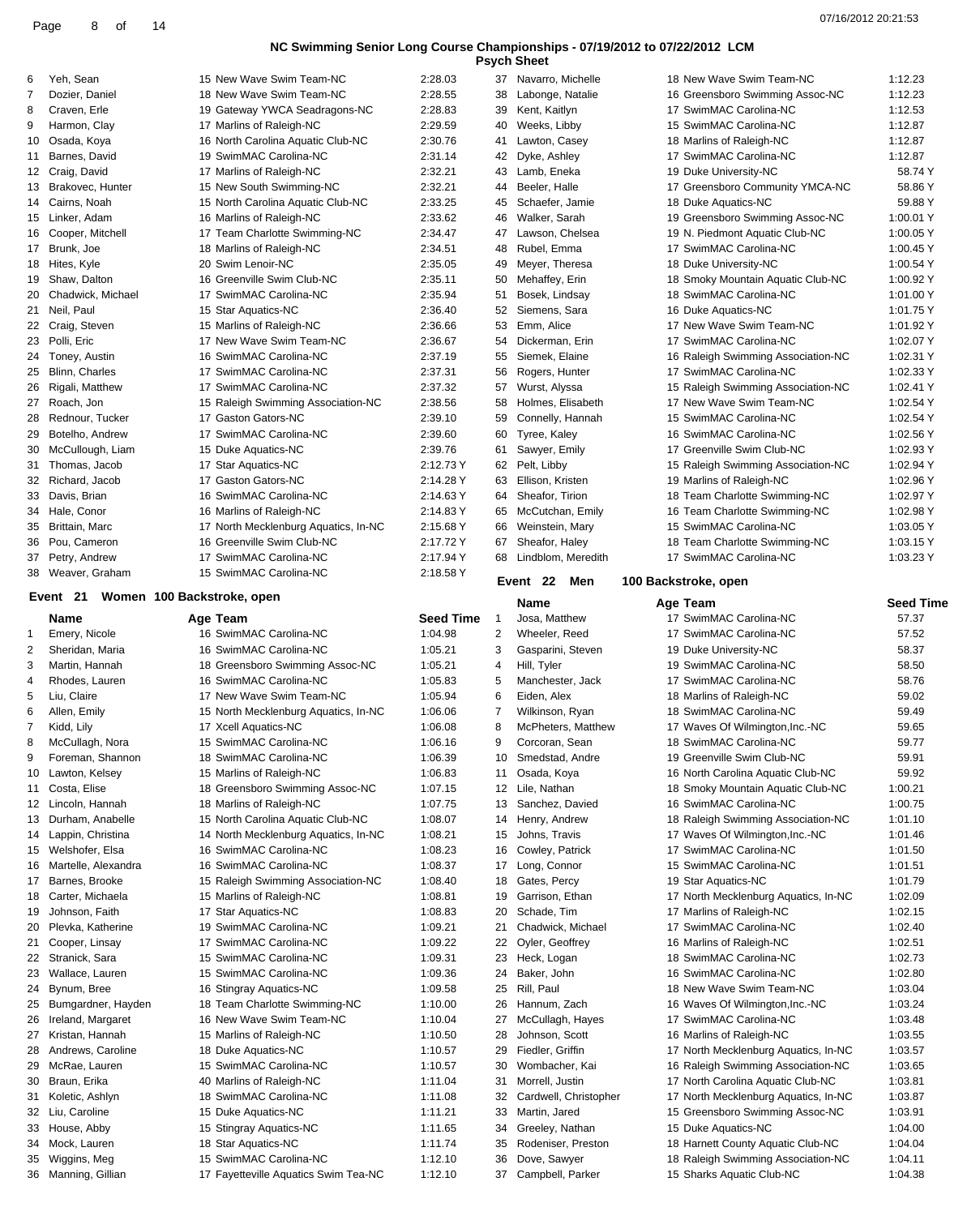|         | <b>Psych Sheet</b> |                      |             |
|---------|--------------------|----------------------|-------------|
| 2:28.03 |                    | 37 Navarro, Michelle | 18 New Wave |
| 2:28.55 |                    | 38 Labonge, Natalie  | 16 Greensbo |
| 2:28.83 |                    | 39 Kent, Kaitlyn     | 17 SwimMAC  |

| 6  | Yeh, Sean                              | 15 New Wave Swim Team-NC             | 2:28.03          | 37             | Navarro, Michelle     |                      | 18 New Wave Swim Team-NC             | 1:12.23          |
|----|----------------------------------------|--------------------------------------|------------------|----------------|-----------------------|----------------------|--------------------------------------|------------------|
| 7  | Dozier, Daniel                         | 18 New Wave Swim Team-NC             | 2:28.55          | 38             |                       |                      | 16 Greensboro Swimming Assoc-NC      | 1:12.23          |
|    |                                        |                                      |                  |                | Labonge, Natalie      |                      |                                      |                  |
| 8  | Craven, Erle                           | 19 Gateway YWCA Seadragons-NC        | 2:28.83          | 39             | Kent, Kaitlyn         |                      | 17 SwimMAC Carolina-NC               | 1:12.53          |
| 9  | Harmon, Clay                           | 17 Marlins of Raleigh-NC             | 2:29.59          | 40             | Weeks, Libby          |                      | 15 SwimMAC Carolina-NC               | 1:12.87          |
| 10 | Osada, Koya                            | 16 North Carolina Aquatic Club-NC    | 2:30.76          | 41             | Lawton, Casey         |                      | 18 Marlins of Raleigh-NC             | 1:12.87          |
| 11 | Barnes, David                          | 19 SwimMAC Carolina-NC               | 2:31.14          |                | 42 Dyke, Ashley       |                      | 17 SwimMAC Carolina-NC               | 1:12.87          |
|    |                                        |                                      |                  |                |                       |                      |                                      |                  |
|    | 12 Craig, David                        | 17 Marlins of Raleigh-NC             | 2:32.21          | 43             | Lamb, Eneka           |                      | 19 Duke University-NC                | 58.74 Y          |
| 13 | Brakovec, Hunter                       | 15 New South Swimming-NC             | 2:32.21          | 44             | Beeler, Halle         |                      | 17 Greensboro Community YMCA-NC      | 58.86Y           |
| 14 | Cairns, Noah                           | 15 North Carolina Aquatic Club-NC    | 2:33.25          | 45             | Schaefer, Jamie       |                      | 18 Duke Aquatics-NC                  | 59.88 Y          |
|    |                                        |                                      |                  |                |                       |                      |                                      |                  |
|    | 15 Linker, Adam                        | 16 Marlins of Raleigh-NC             | 2:33.62          | 46             | Walker, Sarah         |                      | 19 Greensboro Swimming Assoc-NC      | 1:00.01 Y        |
|    | 16 Cooper, Mitchell                    | 17 Team Charlotte Swimming-NC        | 2:34.47          | 47             | Lawson, Chelsea       |                      | 19 N. Piedmont Aquatic Club-NC       | 1:00.05 Y        |
| 17 | Brunk, Joe                             | 18 Marlins of Raleigh-NC             | 2:34.51          | 48             | Rubel, Emma           |                      | 17 SwimMAC Carolina-NC               | 1:00.45 Y        |
| 18 | Hites, Kyle                            | 20 Swim Lenoir-NC                    | 2:35.05          | 49             | Meyer, Theresa        |                      | 18 Duke University-NC                | 1:00.54 Y        |
|    |                                        |                                      |                  |                |                       |                      |                                      |                  |
|    | 19 Shaw, Dalton                        | 16 Greenville Swim Club-NC           | 2:35.11          | 50             | Mehaffey, Erin        |                      | 18 Smoky Mountain Aquatic Club-NC    | 1:00.92 Y        |
| 20 | Chadwick, Michael                      | 17 SwimMAC Carolina-NC               | 2:35.94          | 51             | Bosek, Lindsay        |                      | 18 SwimMAC Carolina-NC               | 1:01.00 Y        |
| 21 | Neil, Paul                             | 15 Star Aquatics-NC                  | 2:36.40          | 52             | Siemens, Sara         |                      | 16 Duke Aquatics-NC                  | 1:01.75 Y        |
|    |                                        |                                      |                  |                |                       |                      |                                      |                  |
|    | 22 Craig, Steven                       | 15 Marlins of Raleigh-NC             | 2:36.66          |                | 53 Emm, Alice         |                      | 17 New Wave Swim Team-NC             | 1:01.92 Y        |
| 23 | Polli, Eric                            | 17 New Wave Swim Team-NC             | 2:36.67          | 54             | Dickerman, Erin       |                      | 17 SwimMAC Carolina-NC               | 1:02.07 Y        |
| 24 | Toney, Austin                          | 16 SwimMAC Carolina-NC               | 2:37.19          | 55             | Siemek, Elaine        |                      | 16 Raleigh Swimming Association-NC   | 1:02.31 Y        |
| 25 | Blinn, Charles                         | 17 SwimMAC Carolina-NC               | 2:37.31          | 56             | Rogers, Hunter        |                      | 17 SwimMAC Carolina-NC               | 1:02.33 Y        |
|    |                                        |                                      |                  |                |                       |                      |                                      |                  |
| 26 | Rigali, Matthew                        | 17 SwimMAC Carolina-NC               | 2:37.32          | 57             | Wurst, Alyssa         |                      | 15 Raleigh Swimming Association-NC   | 1:02.41 Y        |
| 27 | Roach, Jon                             | 15 Raleigh Swimming Association-NC   | 2:38.56          | 58             | Holmes, Elisabeth     |                      | 17 New Wave Swim Team-NC             | 1:02.54 Y        |
| 28 | Rednour, Tucker                        | 17 Gaston Gators-NC                  | 2:39.10          | 59             | Connelly, Hannah      |                      | 15 SwimMAC Carolina-NC               | 1:02.54 Y        |
|    |                                        |                                      |                  |                |                       |                      |                                      |                  |
| 29 | Botelho, Andrew                        | 17 SwimMAC Carolina-NC               | 2:39.60          | 60             | Tyree, Kaley          |                      | 16 SwimMAC Carolina-NC               | 1:02.56 Y        |
| 30 | McCullough, Liam                       | 15 Duke Aquatics-NC                  | 2:39.76          | 61             | Sawyer, Emily         |                      | 17 Greenville Swim Club-NC           | 1:02.93 Y        |
| 31 | Thomas, Jacob                          | 17 Star Aquatics-NC                  | 2:12.73 Y        |                | 62 Pelt, Libby        |                      | 15 Raleigh Swimming Association-NC   | 1:02.94 Y        |
|    |                                        | 17 Gaston Gators-NC                  |                  |                |                       |                      |                                      |                  |
| 32 | Richard, Jacob                         |                                      | 2:14.28 Y        | 63             | Ellison, Kristen      |                      | 19 Marlins of Raleigh-NC             | 1:02.96 Y        |
| 33 | Davis, Brian                           | 16 SwimMAC Carolina-NC               | 2:14.63 Y        | 64             | Sheafor, Tirion       |                      | 18 Team Charlotte Swimming-NC        | 1:02.97 Y        |
| 34 | Hale, Conor                            | 16 Marlins of Raleigh-NC             | 2:14.83 Y        |                | 65 McCutchan, Emily   |                      | 16 Team Charlotte Swimming-NC        | 1:02.98 Y        |
| 35 | Brittain, Marc                         | 17 North Mecklenburg Aquatics, In-NC | 2:15.68 Y        | 66             | Weinstein, Mary       |                      | 15 SwimMAC Carolina-NC               | 1:03.05 Y        |
|    |                                        |                                      |                  |                |                       |                      |                                      |                  |
| 36 | Pou, Cameron                           | 16 Greenville Swim Club-NC           | 2:17.72 Y        | 67             | Sheafor, Haley        |                      | 18 Team Charlotte Swimming-NC        | 1:03.15 Y        |
| 37 | Petry, Andrew                          | 17 SwimMAC Carolina-NC               | 2:17.94 Y        | 68             | Lindblom, Meredith    |                      | 17 SwimMAC Carolina-NC               | 1:03.23 Y        |
| 38 | Weaver, Graham                         | 15 SwimMAC Carolina-NC               | 2:18.58 Y        |                |                       |                      |                                      |                  |
|    |                                        |                                      |                  |                | Event 22<br>Men       | 100 Backstroke, open |                                      |                  |
|    | Event 21<br>Women 100 Backstroke, open |                                      |                  |                |                       |                      |                                      |                  |
|    |                                        |                                      |                  |                |                       |                      |                                      |                  |
|    |                                        |                                      |                  |                | Name                  | Age Team             |                                      | <b>Seed Time</b> |
|    | Name                                   | Age Team                             | <b>Seed Time</b> | $\overline{1}$ | Josa, Matthew         |                      | 17 SwimMAC Carolina-NC               | 57.37            |
| -1 |                                        |                                      |                  |                |                       |                      |                                      |                  |
|    | Emery, Nicole                          | 16 SwimMAC Carolina-NC               | 1:04.98          | $\overline{2}$ | Wheeler, Reed         |                      | 17 SwimMAC Carolina-NC               | 57.52            |
| 2  | Sheridan, Maria                        | 16 SwimMAC Carolina-NC               | 1:05.21          | 3              | Gasparini, Steven     |                      | 19 Duke University-NC                | 58.37            |
| 3  | Martin, Hannah                         | 18 Greensboro Swimming Assoc-NC      | 1:05.21          | 4              | Hill, Tyler           |                      | 19 SwimMAC Carolina-NC               | 58.50            |
| 4  | Rhodes, Lauren                         | 16 SwimMAC Carolina-NC               | 1:05.83          | 5              | Manchester, Jack      |                      | 17 SwimMAC Carolina-NC               | 58.76            |
|    |                                        |                                      |                  |                |                       |                      |                                      |                  |
| 5  | Liu, Claire                            | 17 New Wave Swim Team-NC             | 1:05.94          | 6              | Eiden, Alex           |                      | 18 Marlins of Raleigh-NC             | 59.02            |
| 6  | Allen, Emily                           | 15 North Mecklenburg Aquatics, In-NC | 1:06.06          | 7              | Wilkinson, Ryan       |                      | 18 SwimMAC Carolina-NC               | 59.49            |
| 7  | Kidd, Lily                             | 17 Xcell Aquatics-NC                 | 1:06.08          | 8              | McPheters, Matthew    |                      | 17 Waves Of Wilmington, Inc.-NC      | 59.65            |
| 8  | McCullagh, Nora                        |                                      | 1:06.16          | 9              | Corcoran, Sean        |                      | 18 SwimMAC Carolina-NC               | 59.77            |
|    |                                        | 15 SwimMAC Carolina-NC               |                  |                |                       |                      |                                      |                  |
| 9  | Foreman, Shannon                       | 18 SwimMAC Carolina-NC               | 1:06.39          |                | 10 Smedstad, Andre    |                      | 19 Greenville Swim Club-NC           | 59.91            |
| 10 | Lawton, Kelsey                         | 15 Marlins of Raleigh-NC             | 1:06.83          | 11             | Osada, Koya           |                      | 16 North Carolina Aquatic Club-NC    | 59.92            |
| 11 | Costa, Elise                           | 18 Greensboro Swimming Assoc-NC      | 1:07.15          |                | 12 Lile, Nathan       |                      | 18 Smoky Mountain Aquatic Club-NC    | 1:00.21          |
|    |                                        |                                      |                  |                |                       |                      |                                      |                  |
|    | 12 Lincoln, Hannah                     | 18 Marlins of Raleigh-NC             | 1:07.75          | 13             | Sanchez, Davied       |                      | 16 SwimMAC Carolina-NC               | 1:00.75          |
| 13 | Durham, Anabelle                       | 15 North Carolina Aquatic Club-NC    | 1:08.07          | 14             | Henry, Andrew         |                      | 18 Raleigh Swimming Association-NC   | 1:01.10          |
| 14 | Lappin, Christina                      | 14 North Mecklenburg Aquatics, In-NC | 1:08.21          | 15             | Johns, Travis         |                      | 17 Waves Of Wilmington, Inc.-NC      | 1:01.46          |
|    | 15 Welshofer, Elsa                     | 16 SwimMAC Carolina-NC               | 1:08.23          | 16             | Cowley, Patrick       |                      | 17 SwimMAC Carolina-NC               | 1:01.50          |
|    |                                        |                                      |                  |                |                       |                      |                                      |                  |
| 16 | Martelle, Alexandra                    | 16 SwimMAC Carolina-NC               | 1:08.37          | 17             | Long, Connor          |                      | 15 SwimMAC Carolina-NC               | 1:01.51          |
| 17 | Barnes, Brooke                         | 15 Raleigh Swimming Association-NC   | 1:08.40          | 18             | Gates, Percy          |                      | 19 Star Aquatics-NC                  | 1:01.79          |
| 18 | Carter, Michaela                       | 15 Marlins of Raleigh-NC             | 1:08.81          | 19             | Garrison, Ethan       |                      | 17 North Mecklenburg Aquatics, In-NC | 1:02.09          |
| 19 |                                        |                                      |                  |                | Schade, Tim           |                      |                                      |                  |
|    | Johnson, Faith                         | 17 Star Aquatics-NC                  | 1:08.83          | 20             |                       |                      | 17 Marlins of Raleigh-NC             | 1:02.15          |
| 20 | Plevka, Katherine                      | 19 SwimMAC Carolina-NC               | 1:09.21          | 21             | Chadwick, Michael     |                      | 17 SwimMAC Carolina-NC               | 1:02.40          |
| 21 | Cooper, Linsay                         | 17 SwimMAC Carolina-NC               | 1:09.22          |                | 22 Oyler, Geoffrey    |                      | 16 Marlins of Raleigh-NC             | 1:02.51          |
| 22 | Stranick, Sara                         | 15 SwimMAC Carolina-NC               | 1:09.31          | 23             | Heck, Logan           |                      | 18 SwimMAC Carolina-NC               | 1:02.73          |
|    |                                        |                                      |                  |                |                       |                      |                                      |                  |
| 23 | Wallace, Lauren                        | 15 SwimMAC Carolina-NC               | 1:09.36          | 24             | Baker, John           |                      | 16 SwimMAC Carolina-NC               | 1:02.80          |
| 24 | Bynum, Bree                            | 16 Stingray Aquatics-NC              | 1:09.58          | 25             | Rill, Paul            |                      | 18 New Wave Swim Team-NC             | 1:03.04          |
| 25 | Bumgardner, Hayden                     | 18 Team Charlotte Swimming-NC        | 1:10.00          | 26             | Hannum, Zach          |                      | 16 Waves Of Wilmington, Inc.-NC      | 1:03.24          |
| 26 | Ireland, Margaret                      | 16 New Wave Swim Team-NC             | 1:10.04          | 27             | McCullagh, Hayes      |                      | 17 SwimMAC Carolina-NC               | 1:03.48          |
|    |                                        |                                      |                  |                |                       |                      |                                      |                  |
| 27 | Kristan, Hannah                        | 15 Marlins of Raleigh-NC             | 1:10.50          | 28             | Johnson, Scott        |                      | 16 Marlins of Raleigh-NC             | 1:03.55          |
| 28 | Andrews, Caroline                      | 18 Duke Aquatics-NC                  | 1:10.57          | 29             | Fiedler, Griffin      |                      | 17 North Mecklenburg Aquatics, In-NC | 1:03.57          |
| 29 | McRae, Lauren                          | 15 SwimMAC Carolina-NC               | 1:10.57          | 30             | Wombacher, Kai        |                      | 16 Raleigh Swimming Association-NC   | 1:03.65          |
|    |                                        |                                      |                  |                |                       |                      |                                      |                  |
| 30 | Braun, Erika                           | 40 Marlins of Raleigh-NC             | 1:11.04          | 31             | Morrell, Justin       |                      | 17 North Carolina Aquatic Club-NC    | 1:03.81          |
| 31 | Koletic, Ashlyn                        | 18 SwimMAC Carolina-NC               | 1:11.08          | 32             | Cardwell, Christopher |                      | 17 North Mecklenburg Aquatics, In-NC | 1:03.87          |
| 32 | Liu, Caroline                          | 15 Duke Aquatics-NC                  | 1:11.21          | 33             | Martin, Jared         |                      | 15 Greensboro Swimming Assoc-NC      | 1:03.91          |
|    |                                        |                                      |                  |                |                       |                      |                                      |                  |
| 33 | House, Abby                            | 15 Stingray Aquatics-NC              | 1:11.65          | 34             | Greeley, Nathan       |                      | 15 Duke Aquatics-NC                  | 1:04.00          |
| 34 | Mock, Lauren                           | 18 Star Aquatics-NC                  | 1:11.74          | 35             | Rodeniser, Preston    |                      | 18 Harnett County Aquatic Club-NC    | 1:04.04          |
| 35 | Wiggins, Meg                           | 15 SwimMAC Carolina-NC               | 1:12.10          | 36             | Dove, Sawyer          |                      | 18 Raleigh Swimming Association-NC   | 1:04.11          |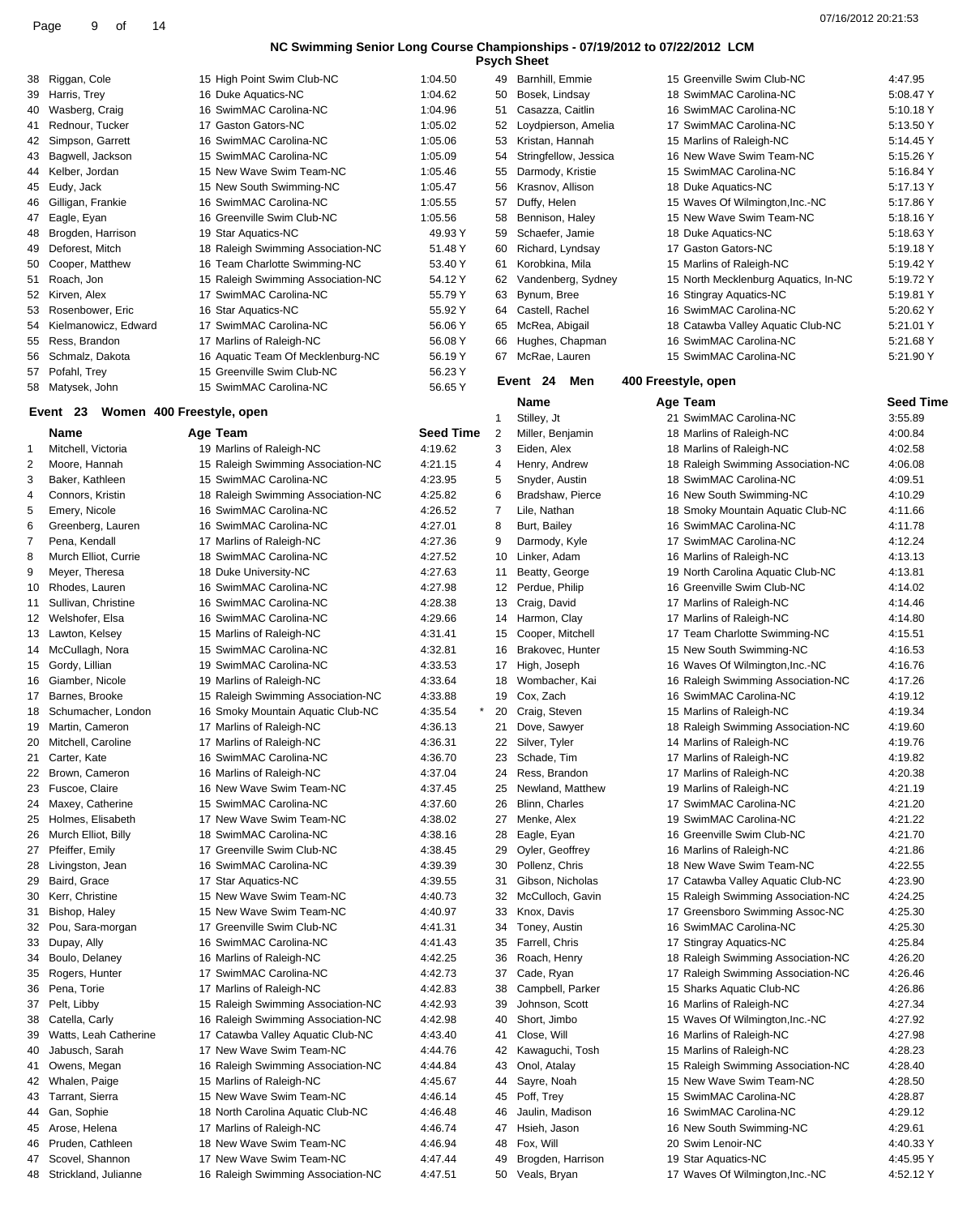| <b>Psych Sheet</b> |  |
|--------------------|--|
|--------------------|--|

| 38 | Riggan, Cole         | 15 High Point Swim Club-NC         | 1:04.50 |
|----|----------------------|------------------------------------|---------|
| 39 | Harris, Trey         | 16 Duke Aquatics-NC                | 1:04.62 |
| 40 | Wasberg, Craig       | 16 SwimMAC Carolina-NC             | 1:04.96 |
| 41 | Rednour, Tucker      | 17 Gaston Gators-NC                | 1:05.02 |
| 42 | Simpson, Garrett     | 16 SwimMAC Carolina-NC             | 1:05.06 |
| 43 | Bagwell, Jackson     | 15 SwimMAC Carolina-NC             | 1:05.09 |
| 44 | Kelber, Jordan       | 15 New Wave Swim Team-NC           | 1:05.46 |
| 45 | Eudy, Jack           | 15 New South Swimming-NC           | 1:05.47 |
| 46 | Gilligan, Frankie    | 16 SwimMAC Carolina-NC             | 1:05.55 |
| 47 | Eagle, Eyan          | 16 Greenville Swim Club-NC         | 1:05.56 |
| 48 | Brogden, Harrison    | 19 Star Aquatics-NC                | 49.93 Y |
| 49 | Deforest, Mitch      | 18 Raleigh Swimming Association-NC | 51.48 Y |
| 50 | Cooper, Matthew      | 16 Team Charlotte Swimming-NC      | 53.40 Y |
| 51 | Roach, Jon           | 15 Raleigh Swimming Association-NC | 54.12 Y |
| 52 | Kirven, Alex         | 17 SwimMAC Carolina-NC             | 55.79 Y |
| 53 | Rosenbower, Eric     | 16 Star Aquatics-NC                | 55.92 Y |
| 54 | Kielmanowicz, Edward | 17 SwimMAC Carolina-NC             | 56.06 Y |
| 55 | Ress, Brandon        | 17 Marlins of Raleigh-NC           | 56.08 Y |
| 56 | Schmalz, Dakota      | 16 Aquatic Team Of Mecklenburg-NC  | 56.19 Y |
| 57 | Pofahl, Trey         | 15 Greenville Swim Club-NC         | 56.23 Y |
| 58 | Matysek, John        | 15 SwimMAC Carolina-NC             | 56.65 Y |
|    |                      |                                    |         |

### **Event 23 Women 400 Freestyle, open**

### **Name Age Team Seed Time**  Mitchell, Victoria 19 Marlins of Raleigh-NC 4:19.62 Moore, Hannah 15 Raleigh Swimming Association-NC 4:21.15 Baker, Kathleen 15 SwimMAC Carolina-NC 4:23.95 Connors, Kristin 18 Raleigh Swimming Association-NC 4:25.82 Emery, Nicole 16 SwimMAC Carolina-NC 4:26.52 Greenberg, Lauren 16 SwimMAC Carolina-NC 4:27.01 Pena, Kendall 17 Marlins of Raleigh-NC 4:27.36 Murch Elliot, Currie 18 SwimMAC Carolina-NC 4:27.52 Meyer, Theresa 18 Duke University-NC 4:27.63 Rhodes, Lauren 16 SwimMAC Carolina-NC 4:27.98 Sullivan, Christine 16 SwimMAC Carolina-NC 4:28.38 Welshofer, Elsa 16 SwimMAC Carolina-NC 4:29.66 Lawton, Kelsey 15 Marlins of Raleigh-NC 4:31.41 14 McCullagh, Nora 15 SwimMAC Carolina-NC 4:32.81 Gordy, Lillian 19 SwimMAC Carolina-NC 4:33.53 Giamber, Nicole 19 Marlins of Raleigh-NC 4:33.64 Barnes, Brooke 15 Raleigh Swimming Association-NC 4:33.88 18 Schumacher, London 16 Smoky Mountain Aquatic Club-NC 4:35.54 Martin, Cameron 17 Marlins of Raleigh-NC 4:36.13 Mitchell, Caroline 17 Marlins of Raleigh-NC 4:36.31 21 Carter, Kate 16 SwimMAC Carolina-NC 4:36.70 Brown, Cameron 16 Marlins of Raleigh-NC 4:37.04 Fuscoe, Claire 16 New Wave Swim Team-NC 4:37.45 24 Maxey, Catherine 15 SwimMAC Carolina-NC 4:37.60 Holmes, Elisabeth 17 New Wave Swim Team-NC 4:38.02 26 Murch Elliot, Billy 18 SwimMAC Carolina-NC 4:38.16 Pfeiffer, Emily 17 Greenville Swim Club-NC 4:38.45 Livingston, Jean 16 SwimMAC Carolina-NC 4:39.39 29 Baird, Grace 17 Star Aquatics-NC 4:39.55 Kerr, Christine 15 New Wave Swim Team-NC 4:40.73 Bishop, Haley 15 New Wave Swim Team-NC 4:40.97 Pou, Sara-morgan 17 Greenville Swim Club-NC 4:41.31 Dupay, Ally 16 SwimMAC Carolina-NC 4:41.43 Boulo, Delaney 16 Marlins of Raleigh-NC 4:42.25 Rogers, Hunter 17 SwimMAC Carolina-NC 4:42.73 Pena, Torie 17 Marlins of Raleigh-NC 4:42.83 Pelt, Libby 15 Raleigh Swimming Association-NC 4:42.93 Catella, Carly 16 Raleigh Swimming Association-NC 4:42.98 Watts, Leah Catherine 17 Catawba Valley Aquatic Club-NC 4:43.40 Jabusch, Sarah 17 New Wave Swim Team-NC 4:44.76 Owens, Megan 16 Raleigh Swimming Association-NC 4:44.84 42 Whalen, Paige 15 Marlins of Raleigh-NC 4:45.67 Tarrant, Sierra 15 New Wave Swim Team-NC 4:46.14 Gan, Sophie 18 North Carolina Aquatic Club-NC 4:46.48 Arose, Helena 17 Marlins of Raleigh-NC 4:46.74 Pruden, Cathleen 18 New Wave Swim Team-NC 4:46.94 47 Scovel, Shannon 17 New Wave Swim Team-NC 4:47.44

Strickland, Julianne 16 Raleigh Swimming Association-NC 4:47.51

| 49       | Barnhill, Emmie                      |                     | 15 Greenville Swim Club-NC                                    | 4:47.95            |
|----------|--------------------------------------|---------------------|---------------------------------------------------------------|--------------------|
| 50       | Bosek, Lindsay                       |                     | 18 SwimMAC Carolina-NC                                        | 5:08.47 Y          |
| 51       | Casazza, Caitlin                     |                     | 16 SwimMAC Carolina-NC                                        | 5:10.18 Y          |
| 52       | Loydpierson, Amelia                  |                     | 17 SwimMAC Carolina-NC                                        | 5:13.50 Y          |
| 53       | Kristan, Hannah                      |                     | 15 Marlins of Raleigh-NC                                      | 5:14.45 Y          |
| 54       | Stringfellow, Jessica                |                     | 16 New Wave Swim Team-NC                                      | 5:15.26 Y          |
| 55       | Darmody, Kristie                     |                     | 15 SwimMAC Carolina-NC                                        | 5:16.84 Y          |
| 56       | Krasnov, Allison                     |                     | 18 Duke Aquatics-NC                                           | 5:17.13 Y          |
| 57       | Duffy, Helen                         |                     | 15 Waves Of Wilmington, Inc.-NC                               | 5:17.86 Y          |
| 58       | Bennison, Haley                      |                     | 15 New Wave Swim Team-NC                                      | 5:18.16 Y          |
| 59       | Schaefer, Jamie                      |                     | 18 Duke Aquatics-NC                                           | 5:18.63 Y          |
| 60       | Richard, Lyndsay                     |                     | 17 Gaston Gators-NC                                           | 5:19.18 Y          |
| 61       | Korobkina, Mila                      |                     | 15 Marlins of Raleigh-NC                                      | 5:19.42 Y          |
| 62       | Vandenberg, Sydney                   |                     | 15 North Mecklenburg Aquatics, In-NC                          | 5:19.72 Y          |
| 63       | Bynum, Bree                          |                     | 16 Stingray Aquatics-NC                                       | 5:19.81 Y          |
| 64       | Castell, Rachel                      |                     | 16 SwimMAC Carolina-NC                                        | 5:20.62 Y          |
| 65       | McRea, Abigail                       |                     | 18 Catawba Valley Aquatic Club-NC                             | 5:21.01 Y          |
| 66       | Hughes, Chapman                      |                     | 16 SwimMAC Carolina-NC                                        | 5:21.68 Y          |
| 67       | McRae, Lauren                        |                     | 15 SwimMAC Carolina-NC                                        | 5:21.90 Y          |
|          | Event 24<br>Men                      | 400 Freestyle, open |                                                               |                    |
|          | Name                                 |                     |                                                               | <b>Seed Time</b>   |
| 1        | Stilley, Jt                          |                     | Age Team<br>21 SwimMAC Carolina-NC                            | 3:55.89            |
| 2        | Miller, Benjamin                     |                     | 18 Marlins of Raleigh-NC                                      | 4:00.84            |
| 3        | Eiden, Alex                          |                     | 18 Marlins of Raleigh-NC                                      | 4:02.58            |
| 4        | Henry, Andrew                        |                     | 18 Raleigh Swimming Association-NC                            |                    |
| 5        |                                      |                     | 18 SwimMAC Carolina-NC                                        | 4:06.08            |
|          | Snyder, Austin<br>Bradshaw, Pierce   |                     |                                                               | 4:09.51<br>4:10.29 |
| 6        | Lile, Nathan                         |                     | 16 New South Swimming-NC<br>18 Smoky Mountain Aquatic Club-NC | 4:11.66            |
| 7<br>8   | Burt, Bailey                         |                     | 16 SwimMAC Carolina-NC                                        | 4:11.78            |
| 9        | Darmody, Kyle                        |                     | 17 SwimMAC Carolina-NC                                        | 4:12.24            |
|          | Linker, Adam                         |                     |                                                               | 4:13.13            |
| 10       |                                      |                     | 16 Marlins of Raleigh-NC<br>19 North Carolina Aquatic Club-NC |                    |
| 11       | Beatty, George                       |                     | 16 Greenville Swim Club-NC                                    | 4:13.81            |
| 12       | Perdue, Philip                       |                     |                                                               | 4:14.02            |
| 13<br>14 | Craig, David                         |                     | 17 Marlins of Raleigh-NC<br>17 Marlins of Raleigh-NC          | 4:14.46<br>4:14.80 |
| 15       | Harmon, Clay                         |                     | 17 Team Charlotte Swimming-NC                                 | 4:15.51            |
|          | Cooper, Mitchell<br>Brakovec, Hunter |                     | 15 New South Swimming-NC                                      | 4:16.53            |
| 16       |                                      |                     | 16 Waves Of Wilmington, Inc.-NC                               |                    |
| 17<br>18 | High, Joseph<br>Wombacher, Kai       |                     | 16 Raleigh Swimming Association-NC                            | 4:16.76<br>4:17.26 |
| 19       | Cox, Zach                            |                     | 16 SwimMAC Carolina-NC                                        | 4:19.12            |
| 20       | Craig, Steven                        |                     | 15 Marlins of Raleigh-NC                                      | 4:19.34            |
|          | Dove, Sawyer                         |                     | 18 Raleigh Swimming Association-NC                            | 4:19.60            |
| 21<br>22 | Silver, Tyler                        |                     | 14 Marlins of Raleigh-NC                                      | 4:19.76            |
| 23       | Schade, Tim                          |                     | 17 Marlins of Raleigh-NC                                      | 4:19.82            |
|          | Ress, Brandon                        |                     | 17 Marlins of Raleigh-NC                                      |                    |
| 24<br>25 | Newland, Matthew                     |                     | 19 Marlins of Raleigh-NC                                      | 4:20.38<br>4:21.19 |
| 26       | Blinn, Charles                       |                     | 17 SwimMAC Carolina-NC                                        | 4:21.20            |
| 27       | Menke, Alex                          |                     | 19 SwimMAC Carolina-NC                                        |                    |
| 28       | Eagle, Eyan                          |                     | 16 Greenville Swim Club-NC                                    | 4:21.22<br>4:21.70 |
| 29       | Oyler, Geoffrey                      |                     | 16 Marlins of Raleigh-NC                                      | 4:21.86            |
| 30       | Pollenz, Chris                       |                     | 18 New Wave Swim Team-NC                                      | 4:22.55            |
| 31       | Gibson, Nicholas                     |                     | 17 Catawba Valley Aquatic Club-NC                             | 4:23.90            |
|          | McCulloch, Gavin                     |                     | 15 Raleigh Swimming Association-NC                            |                    |
| 32<br>33 | Knox, Davis                          |                     | 17 Greensboro Swimming Assoc-NC                               | 4:24.25<br>4:25.30 |
|          |                                      |                     | 16 SwimMAC Carolina-NC                                        | 4:25.30            |
| 34       | Toney, Austin<br>Farrell, Chris      |                     | 17 Stingray Aquatics-NC                                       |                    |
| 35       | Roach, Henry                         |                     | 18 Raleigh Swimming Association-NC                            | 4:25.84            |
| 36       |                                      |                     |                                                               | 4:26.20            |
| 37       | Cade, Ryan                           |                     | 17 Raleigh Swimming Association-NC                            | 4:26.46            |
| 38       | Campbell, Parker                     |                     | 15 Sharks Aquatic Club-NC                                     | 4:26.86            |
| 39       | Johnson, Scott                       |                     | 16 Marlins of Raleigh-NC                                      | 4:27.34            |
| 40       | Short, Jimbo                         |                     | 15 Waves Of Wilmington, Inc.-NC                               | 4:27.92            |
| 41       | Close, Will                          |                     | 16 Marlins of Raleigh-NC                                      | 4:27.98            |
| 42       | Kawaguchi, Tosh                      |                     | 15 Marlins of Raleigh-NC                                      | 4:28.23            |
| 43       | Onol, Atalay                         |                     | 15 Raleigh Swimming Association-NC                            | 4:28.40            |
| 44       | Sayre, Noah                          |                     | 15 New Wave Swim Team-NC                                      | 4:28.50            |

 Poff, Trey 15 SwimMAC Carolina-NC 4:28.87 Jaulin, Madison 16 SwimMAC Carolina-NC 4:29.12 Hsieh, Jason 16 New South Swimming-NC 4:29.61 Fox, Will 20 Swim Lenoir-NC 4:40.33 Y Brogden, Harrison 19 Star Aquatics-NC 4:45.95 Y Veals, Bryan 17 Waves Of Wilmington,Inc.-NC 4:52.12 Y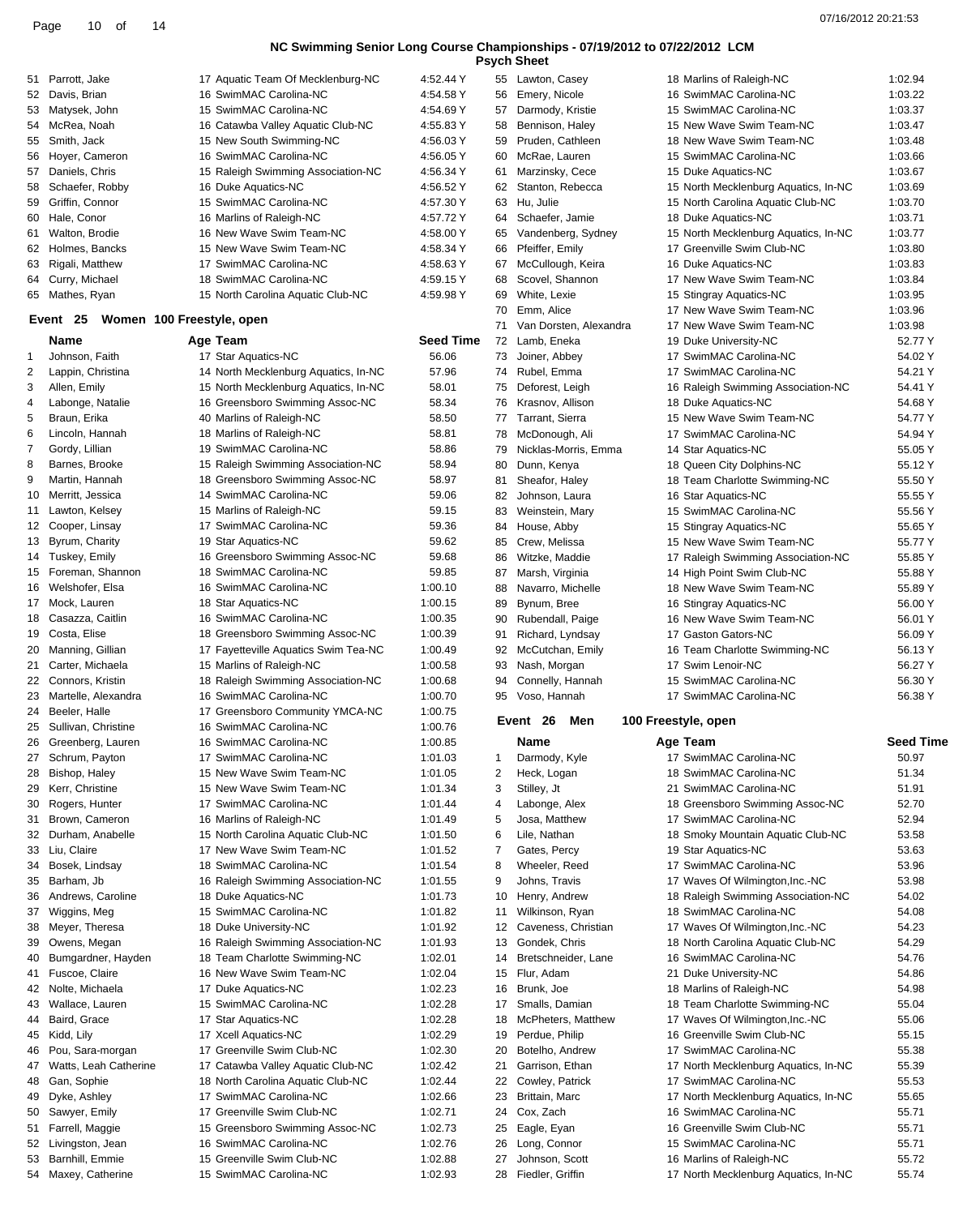| Psych She |  |  |
|-----------|--|--|
|           |  |  |

| 51 | Parrott, Jake                          | 17 Aquatic Team Of Mecklenburg-NC                    | 4:52.44 Y          |                | 55 Lawton, Casey                      | 18 Marlins of Raleigh-NC                                         | 1:02.94          |
|----|----------------------------------------|------------------------------------------------------|--------------------|----------------|---------------------------------------|------------------------------------------------------------------|------------------|
| 52 | Davis, Brian                           | 16 SwimMAC Carolina-NC                               | 4:54.58 Y          | 56             | Emery, Nicole                         | 16 SwimMAC Carolina-NC                                           | 1:03.22          |
| 53 | Matysek, John                          | 15 SwimMAC Carolina-NC                               | 4:54.69 Y          | 57             | Darmody, Kristie                      | 15 SwimMAC Carolina-NC                                           | 1:03.37          |
| 54 | McRea, Noah                            | 16 Catawba Valley Aquatic Club-NC                    | 4:55.83 Y          | 58             | Bennison, Haley                       | 15 New Wave Swim Team-NC                                         | 1:03.47          |
| 55 | Smith, Jack                            | 15 New South Swimming-NC                             | 4:56.03 Y          | 59             | Pruden, Cathleen                      | 18 New Wave Swim Team-NC                                         | 1:03.48          |
| 56 | Hoyer, Cameron                         | 16 SwimMAC Carolina-NC                               | 4:56.05 Y          | 60             | McRae, Lauren                         | 15 SwimMAC Carolina-NC                                           | 1:03.66          |
| 57 | Daniels, Chris                         | 15 Raleigh Swimming Association-NC                   | 4:56.34 Y          | 61             | Marzinsky, Cece                       | 15 Duke Aquatics-NC                                              | 1:03.67          |
|    |                                        |                                                      |                    |                |                                       |                                                                  |                  |
| 58 | Schaefer, Robby                        | 16 Duke Aquatics-NC                                  | 4:56.52 Y          |                | 62 Stanton, Rebecca                   | 15 North Mecklenburg Aquatics, In-NC                             | 1:03.69          |
| 59 | Griffin, Connor                        | 15 SwimMAC Carolina-NC                               | 4:57.30 Y          | 63             | Hu, Julie                             | 15 North Carolina Aquatic Club-NC                                | 1:03.70          |
| 60 | Hale, Conor                            | 16 Marlins of Raleigh-NC                             | 4:57.72 Y          | 64             | Schaefer, Jamie                       | 18 Duke Aquatics-NC                                              | 1:03.71          |
| 61 | Walton, Brodie                         | 16 New Wave Swim Team-NC                             | 4:58.00 Y          | 65             | Vandenberg, Sydney                    | 15 North Mecklenburg Aquatics, In-NC                             | 1:03.77          |
| 62 | Holmes, Bancks                         | 15 New Wave Swim Team-NC                             | 4:58.34 Y          | 66             | Pfeiffer, Emily                       | 17 Greenville Swim Club-NC                                       | 1:03.80          |
| 63 | Rigali, Matthew                        | 17 SwimMAC Carolina-NC                               | 4:58.63 Y          | 67             | McCullough, Keira                     | 16 Duke Aquatics-NC                                              | 1:03.83          |
| 64 | Curry, Michael                         | 18 SwimMAC Carolina-NC                               | 4:59.15 Y          | 68             | Scovel, Shannon                       | 17 New Wave Swim Team-NC                                         | 1:03.84          |
| 65 | Mathes, Ryan                           | 15 North Carolina Aquatic Club-NC                    | 4:59.98 Y          | 69             | White, Lexie                          | 15 Stingray Aquatics-NC                                          | 1:03.95          |
|    |                                        |                                                      |                    |                |                                       |                                                                  |                  |
|    | Event 25                               | Women 100 Freestyle, open                            |                    | 70             | Emm, Alice                            | 17 New Wave Swim Team-NC                                         | 1:03.96          |
|    |                                        |                                                      |                    | 71             | Van Dorsten, Alexandra                | 17 New Wave Swim Team-NC                                         | 1:03.98          |
|    | Name                                   | Age Team                                             | <b>Seed Time</b>   | 72             | Lamb, Eneka                           | 19 Duke University-NC                                            | 52.77 Y          |
| 1  | Johnson, Faith                         | 17 Star Aquatics-NC                                  | 56.06              | 73             | Joiner, Abbey                         | 17 SwimMAC Carolina-NC                                           | 54.02 Y          |
| 2  | Lappin, Christina                      | 14 North Mecklenburg Aquatics, In-NC                 | 57.96              | 74             | Rubel, Emma                           | 17 SwimMAC Carolina-NC                                           | 54.21 Y          |
| 3  | Allen, Emily                           | 15 North Mecklenburg Aquatics, In-NC                 | 58.01              | 75             | Deforest, Leigh                       | 16 Raleigh Swimming Association-NC                               | 54.41 Y          |
| 4  | Labonge, Natalie                       | 16 Greensboro Swimming Assoc-NC                      | 58.34              | 76             | Krasnov, Allison                      | 18 Duke Aquatics-NC                                              | 54.68 Y          |
| 5  | Braun, Erika                           | 40 Marlins of Raleigh-NC                             | 58.50              | 77             | Tarrant, Sierra                       | 15 New Wave Swim Team-NC                                         | 54.77 Y          |
|    |                                        |                                                      |                    |                |                                       |                                                                  |                  |
| 6  | Lincoln, Hannah                        | 18 Marlins of Raleigh-NC                             | 58.81              | 78             | McDonough, Ali                        | 17 SwimMAC Carolina-NC                                           | 54.94 Y          |
| 7  | Gordy, Lillian                         | 19 SwimMAC Carolina-NC                               | 58.86              | 79             | Nicklas-Morris, Emma                  | 14 Star Aquatics-NC                                              | 55.05 Y          |
| 8  | Barnes, Brooke                         | 15 Raleigh Swimming Association-NC                   | 58.94              | 80             | Dunn, Kenya                           | 18 Queen City Dolphins-NC                                        | 55.12 Y          |
| 9  | Martin, Hannah                         | 18 Greensboro Swimming Assoc-NC                      | 58.97              | 81             | Sheafor, Haley                        | 18 Team Charlotte Swimming-NC                                    | 55.50 Y          |
| 10 | Merritt, Jessica                       | 14 SwimMAC Carolina-NC                               | 59.06              | 82             | Johnson, Laura                        | 16 Star Aquatics-NC                                              | 55.55 Y          |
| 11 | Lawton, Kelsey                         | 15 Marlins of Raleigh-NC                             | 59.15              | 83             | Weinstein, Mary                       | 15 SwimMAC Carolina-NC                                           | 55.56 Y          |
| 12 | Cooper, Linsay                         | 17 SwimMAC Carolina-NC                               | 59.36              | 84             | House, Abby                           | 15 Stingray Aquatics-NC                                          | 55.65 Y          |
| 13 | Byrum, Charity                         | 19 Star Aquatics-NC                                  | 59.62              | 85             | Crew, Melissa                         | 15 New Wave Swim Team-NC                                         | 55.77 Y          |
|    |                                        |                                                      |                    |                |                                       |                                                                  |                  |
| 14 | Tuskey, Emily                          | 16 Greensboro Swimming Assoc-NC                      | 59.68              | 86             | Witzke, Maddie                        | 17 Raleigh Swimming Association-NC                               | 55.85 Y          |
| 15 | Foreman, Shannon                       | 18 SwimMAC Carolina-NC                               | 59.85              | 87             | Marsh, Virginia                       | 14 High Point Swim Club-NC                                       | 55.88 Y          |
| 16 | Welshofer, Elsa                        | 16 SwimMAC Carolina-NC                               | 1:00.10            | 88             | Navarro, Michelle                     | 18 New Wave Swim Team-NC                                         | 55.89 Y          |
| 17 | Mock, Lauren                           | 18 Star Aquatics-NC                                  | 1:00.15            | 89             | Bynum, Bree                           | 16 Stingray Aquatics-NC                                          | 56.00 Y          |
| 18 | Casazza, Caitlin                       | 16 SwimMAC Carolina-NC                               | 1:00.35            | 90             | Rubendall, Paige                      | 16 New Wave Swim Team-NC                                         | 56.01 Y          |
| 19 | Costa, Elise                           | 18 Greensboro Swimming Assoc-NC                      | 1:00.39            | 91             | Richard, Lyndsay                      | 17 Gaston Gators-NC                                              | 56.09 Y          |
| 20 | Manning, Gillian                       | 17 Fayetteville Aquatics Swim Tea-NC                 | 1:00.49            | 92             | McCutchan, Emily                      | 16 Team Charlotte Swimming-NC                                    | 56.13 Y          |
| 21 | Carter, Michaela                       | 15 Marlins of Raleigh-NC                             | 1:00.58            | 93             | Nash, Morgan                          | 17 Swim Lenoir-NC                                                | 56.27 Y          |
|    | Connors, Kristin                       | 18 Raleigh Swimming Association-NC                   | 1:00.68            |                |                                       | 15 SwimMAC Carolina-NC                                           |                  |
|    |                                        |                                                      |                    | 94             | Connelly, Hannah                      |                                                                  | 56.30 Y          |
| 22 |                                        |                                                      |                    |                | Voso, Hannah                          | 17 SwimMAC Carolina-NC                                           | 56.38 Y          |
| 23 | Martelle, Alexandra                    | 16 SwimMAC Carolina-NC                               | 1:00.70            | 95             |                                       |                                                                  |                  |
| 24 | Beeler, Halle                          | 17 Greensboro Community YMCA-NC                      | 1:00.75            |                |                                       |                                                                  |                  |
| 25 | Sullivan, Christine                    | 16 SwimMAC Carolina-NC                               | 1:00.76            |                | Event 26<br>Men                       | 100 Freestyle, open                                              |                  |
|    | 26 Greenberg, Lauren                   | 16 SwimMAC Carolina-NC                               | 1:00.85            |                | <b>Name</b>                           | Age Team                                                         | <b>Seed Time</b> |
| 27 | Schrum, Payton                         | 17<br>SwimMAC Carolina-NC                            | 1:01.03            | 1              | Darmody, Kyle                         | 17 SwimMAC Carolina-NC                                           | 50.97            |
|    |                                        |                                                      |                    |                |                                       |                                                                  |                  |
| 28 | Bishop, Haley                          | 15 New Wave Swim Team-NC                             | 1:01.05            | $\overline{2}$ | Heck, Logan                           | 18 SwimMAC Carolina-NC                                           | 51.34            |
| 29 | Kerr, Christine                        | 15 New Wave Swim Team-NC                             | 1:01.34            | 3              | Stilley, Jt                           | 21 SwimMAC Carolina-NC                                           | 51.91            |
| 30 | Rogers, Hunter                         | 17 SwimMAC Carolina-NC                               | 1:01.44            | 4              | Labonge, Alex                         | 18 Greensboro Swimming Assoc-NC                                  | 52.70            |
| 31 | Brown, Cameron                         | 16 Marlins of Raleigh-NC                             | 1:01.49            | 5              | Josa, Matthew                         | 17 SwimMAC Carolina-NC                                           | 52.94            |
| 32 | Durham, Anabelle                       | 15 North Carolina Aquatic Club-NC                    | 1:01.50            | 6              | Lile, Nathan                          | 18 Smoky Mountain Aquatic Club-NC                                | 53.58            |
| 33 | Liu, Claire                            | 17 New Wave Swim Team-NC                             | 1:01.52            | 7              | Gates, Percy                          | 19 Star Aquatics-NC                                              | 53.63            |
| 34 | Bosek, Lindsay                         | 18 SwimMAC Carolina-NC                               | 1:01.54            | 8              | Wheeler, Reed                         | 17 SwimMAC Carolina-NC                                           | 53.96            |
| 35 | Barham, Jb                             | 16 Raleigh Swimming Association-NC                   | 1:01.55            | 9              | Johns, Travis                         | 17 Waves Of Wilmington, Inc.-NC                                  | 53.98            |
| 36 | Andrews, Caroline                      |                                                      | 1:01.73            | 10             |                                       | 18 Raleigh Swimming Association-NC                               | 54.02            |
|    |                                        | 18 Duke Aquatics-NC                                  |                    |                | Henry, Andrew                         |                                                                  |                  |
| 37 | Wiggins, Meg                           | 15 SwimMAC Carolina-NC                               | 1:01.82            | 11             | Wilkinson, Ryan                       | 18 SwimMAC Carolina-NC                                           | 54.08            |
| 38 | Meyer, Theresa                         | 18 Duke University-NC                                | 1:01.92            | 12             | Caveness, Christian                   | 17 Waves Of Wilmington, Inc.-NC                                  | 54.23            |
| 39 | Owens, Megan                           | 16 Raleigh Swimming Association-NC                   | 1:01.93            | 13             | Gondek, Chris                         | 18 North Carolina Aquatic Club-NC                                | 54.29            |
| 40 | Bumgardner, Hayden                     | 18 Team Charlotte Swimming-NC                        | 1:02.01            | 14             | Bretschneider, Lane                   | 16 SwimMAC Carolina-NC                                           | 54.76            |
| 41 | Fuscoe, Claire                         | 16 New Wave Swim Team-NC                             | 1:02.04            | 15             | Flur, Adam                            | 21 Duke University-NC                                            | 54.86            |
| 42 | Nolte, Michaela                        | 17 Duke Aquatics-NC                                  | 1:02.23            | 16             | Brunk, Joe                            | 18 Marlins of Raleigh-NC                                         | 54.98            |
| 43 | Wallace, Lauren                        | 15 SwimMAC Carolina-NC                               | 1:02.28            | 17             | Smalls, Damian                        | 18 Team Charlotte Swimming-NC                                    | 55.04            |
| 44 | Baird, Grace                           | 17 Star Aquatics-NC                                  | 1:02.28            | 18             | McPheters, Matthew                    | 17 Waves Of Wilmington, Inc.-NC                                  | 55.06            |
|    |                                        |                                                      |                    |                |                                       |                                                                  |                  |
| 45 | Kidd, Lily                             | 17 Xcell Aquatics-NC                                 | 1:02.29            | 19             | Perdue, Philip                        | 16 Greenville Swim Club-NC                                       | 55.15            |
| 46 | Pou, Sara-morgan                       | 17 Greenville Swim Club-NC                           | 1:02.30            | 20             | Botelho, Andrew                       | 17 SwimMAC Carolina-NC                                           | 55.38            |
| 47 | Watts, Leah Catherine                  | 17 Catawba Valley Aquatic Club-NC                    | 1:02.42            | 21             | Garrison, Ethan                       | 17 North Mecklenburg Aquatics, In-NC                             | 55.39            |
| 48 | Gan, Sophie                            | 18 North Carolina Aquatic Club-NC                    | 1:02.44            | 22             | Cowley, Patrick                       | 17 SwimMAC Carolina-NC                                           | 55.53            |
| 49 | Dyke, Ashley                           | 17 SwimMAC Carolina-NC                               | 1:02.66            | 23             | Brittain, Marc                        | 17 North Mecklenburg Aquatics, In-NC                             | 55.65            |
| 50 | Sawyer, Emily                          | 17 Greenville Swim Club-NC                           | 1:02.71            | 24             | Cox, Zach                             | 16 SwimMAC Carolina-NC                                           | 55.71            |
|    |                                        |                                                      |                    |                |                                       | 16 Greenville Swim Club-NC                                       |                  |
| 51 | Farrell, Maggie                        | 15 Greensboro Swimming Assoc-NC                      | 1:02.73            | 25             | Eagle, Eyan                           |                                                                  | 55.71            |
| 52 | Livingston, Jean                       | 16 SwimMAC Carolina-NC                               | 1:02.76            | 26             | Long, Connor                          | 15 SwimMAC Carolina-NC                                           | 55.71            |
| 53 | Barnhill, Emmie<br>54 Maxey, Catherine | 15 Greenville Swim Club-NC<br>15 SwimMAC Carolina-NC | 1:02.88<br>1:02.93 | 27             | Johnson, Scott<br>28 Fiedler, Griffin | 16 Marlins of Raleigh-NC<br>17 North Mecklenburg Aquatics, In-NC | 55.72<br>55.74   |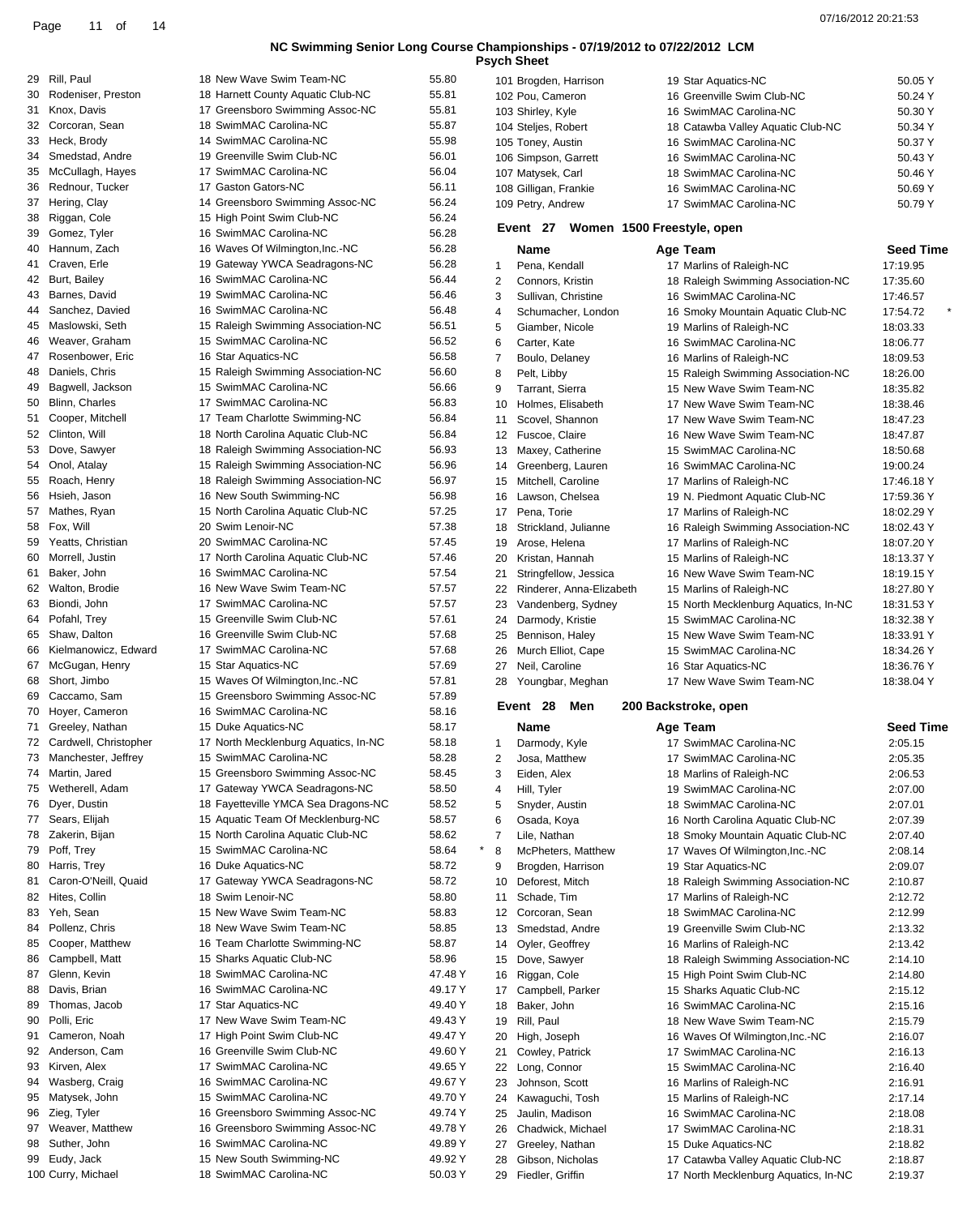|          |                                  |                                                               |                |                | <b>Psych Sheet</b>                     |                                                                |                          |
|----------|----------------------------------|---------------------------------------------------------------|----------------|----------------|----------------------------------------|----------------------------------------------------------------|--------------------------|
| 29       | Rill, Paul                       | 18 New Wave Swim Team-NC                                      | 55.80          |                | 101 Brogden, Harrison                  | 19 Star Aquatics-NC                                            | 50.05 Y                  |
| 30       | Rodeniser, Preston               | 18 Harnett County Aquatic Club-NC                             | 55.81          |                | 102 Pou, Cameron                       | 16 Greenville Swim Club-NC                                     | 50.24 Y                  |
|          | 31 Knox, Davis                   | 17 Greensboro Swimming Assoc-NC                               | 55.81          |                | 103 Shirley, Kyle                      | 16 SwimMAC Carolina-NC                                         | 50.30 Y                  |
|          | 32 Corcoran, Sean                | 18 SwimMAC Carolina-NC                                        | 55.87          |                | 104 Steljes, Robert                    | 18 Catawba Valley Aquatic Club-NC                              | 50.34 Y                  |
| 33       | Heck, Brody                      | 14 SwimMAC Carolina-NC                                        | 55.98          |                | 105 Toney, Austin                      | 16 SwimMAC Carolina-NC                                         | 50.37 Y                  |
| 34       | Smedstad, Andre                  | 19 Greenville Swim Club-NC                                    | 56.01          |                | 106 Simpson, Garrett                   | 16 SwimMAC Carolina-NC                                         | 50.43 Y                  |
| 35       | McCullagh, Hayes                 | 17 SwimMAC Carolina-NC                                        | 56.04          |                | 107 Matysek, Carl                      | 18 SwimMAC Carolina-NC                                         | 50.46 Y                  |
| 36       | Rednour, Tucker                  | 17 Gaston Gators-NC                                           | 56.11          |                | 108 Gilligan, Frankie                  | 16 SwimMAC Carolina-NC                                         | 50.69 Y                  |
|          | 37 Hering, Clay                  | 14 Greensboro Swimming Assoc-NC<br>15 High Point Swim Club-NC | 56.24<br>56.24 |                | 109 Petry, Andrew                      | 17 SwimMAC Carolina-NC                                         | 50.79 Y                  |
| 38<br>39 | Riggan, Cole<br>Gomez, Tyler     | 16 SwimMAC Carolina-NC                                        | 56.28          |                | Event 27                               | Women 1500 Freestyle, open                                     |                          |
| 40       | Hannum, Zach                     | 16 Waves Of Wilmington, Inc.-NC                               | 56.28          |                | <b>Name</b>                            | Age Team                                                       | <b>Seed Time</b>         |
| 41       | Craven, Erle                     | 19 Gateway YWCA Seadragons-NC                                 | 56.28          | $\mathbf{1}$   | Pena, Kendall                          | 17 Marlins of Raleigh-NC                                       | 17:19.95                 |
|          | 42 Burt, Bailey                  | 16 SwimMAC Carolina-NC                                        | 56.44          | 2              | Connors, Kristin                       | 18 Raleigh Swimming Association-NC                             | 17:35.60                 |
| 43       | Barnes, David                    | 19 SwimMAC Carolina-NC                                        | 56.46          | 3              | Sullivan, Christine                    | 16 SwimMAC Carolina-NC                                         | 17:46.57                 |
| 44       | Sanchez, Davied                  | 16 SwimMAC Carolina-NC                                        | 56.48          | $\overline{4}$ | Schumacher, London                     | 16 Smoky Mountain Aquatic Club-NC                              | 17:54.72                 |
| 45       | Maslowski, Seth                  | 15 Raleigh Swimming Association-NC                            | 56.51          | 5              | Giamber, Nicole                        | 19 Marlins of Raleigh-NC                                       | 18:03.33                 |
| 46       | Weaver, Graham                   | 15 SwimMAC Carolina-NC                                        | 56.52          | 6              | Carter, Kate                           | 16 SwimMAC Carolina-NC                                         | 18:06.77                 |
| 47       | Rosenbower, Eric                 | 16 Star Aquatics-NC                                           | 56.58          | 7              | Boulo, Delaney                         | 16 Marlins of Raleigh-NC                                       | 18:09.53                 |
| 48       | Daniels, Chris                   | 15 Raleigh Swimming Association-NC                            | 56.60          | 8              | Pelt, Libby                            | 15 Raleigh Swimming Association-NC                             | 18:26.00                 |
| 49       | Bagwell, Jackson                 | 15 SwimMAC Carolina-NC                                        | 56.66          | 9              | Tarrant, Sierra                        | 15 New Wave Swim Team-NC                                       | 18:35.82                 |
| 50       | Blinn, Charles                   | 17 SwimMAC Carolina-NC                                        | 56.83          | 10             | Holmes, Elisabeth                      | 17 New Wave Swim Team-NC                                       | 18:38.46                 |
| 51       | Cooper, Mitchell                 | 17 Team Charlotte Swimming-NC                                 | 56.84          | 11             | Scovel, Shannon                        | 17 New Wave Swim Team-NC                                       | 18:47.23                 |
|          | 52 Clinton, Will                 | 18 North Carolina Aquatic Club-NC                             | 56.84          |                | 12 Fuscoe, Claire                      | 16 New Wave Swim Team-NC                                       | 18:47.87                 |
| 53       | Dove, Sawyer                     | 18 Raleigh Swimming Association-NC                            | 56.93          | 13             | Maxey, Catherine                       | 15 SwimMAC Carolina-NC                                         | 18:50.68                 |
| 54       | Onol, Atalay                     | 15 Raleigh Swimming Association-NC                            | 56.96          | 14             | Greenberg, Lauren                      | 16 SwimMAC Carolina-NC                                         | 19:00.24                 |
| 55       | Roach, Henry                     | 18 Raleigh Swimming Association-NC                            | 56.97          | 15             | Mitchell, Caroline                     | 17 Marlins of Raleigh-NC                                       | 17:46.18 Y               |
| 56       | Hsieh, Jason                     | 16 New South Swimming-NC                                      | 56.98          | 16             | Lawson, Chelsea                        | 19 N. Piedmont Aquatic Club-NC                                 | 17:59.36 Y               |
| 57       | Mathes, Ryan                     | 15 North Carolina Aquatic Club-NC                             | 57.25          | 17             | Pena, Torie                            | 17 Marlins of Raleigh-NC                                       | 18:02.29 Y               |
|          | 58 Fox, Will                     | 20 Swim Lenoir-NC                                             | 57.38          | 18             | Strickland, Julianne                   | 16 Raleigh Swimming Association-NC                             | 18:02.43 Y               |
| 59       | Yeatts, Christian                | 20 SwimMAC Carolina-NC                                        | 57.45          | 19             | Arose, Helena                          | 17 Marlins of Raleigh-NC                                       | 18:07.20 Y               |
| 60       | Morrell, Justin                  | 17 North Carolina Aquatic Club-NC                             | 57.46          | 20             | Kristan, Hannah                        | 15 Marlins of Raleigh-NC                                       | 18:13.37 Y               |
| 61       | Baker, John<br>62 Walton, Brodie | 16 SwimMAC Carolina-NC<br>16 New Wave Swim Team-NC            | 57.54<br>57.57 | 21             | Stringfellow, Jessica                  | 16 New Wave Swim Team-NC                                       | 18:19.15 Y               |
| 63       | Biondi, John                     | 17 SwimMAC Carolina-NC                                        | 57.57          | 22             | Rinderer, Anna-Elizabeth               | 15 Marlins of Raleigh-NC                                       | 18:27.80 Y               |
|          | 64 Pofahl, Trey                  | 15 Greenville Swim Club-NC                                    | 57.61          | 23<br>24       | Vandenberg, Sydney<br>Darmody, Kristie | 15 North Mecklenburg Aquatics, In-NC<br>15 SwimMAC Carolina-NC | 18:31.53 Y<br>18:32.38 Y |
| 65       | Shaw, Dalton                     | 16 Greenville Swim Club-NC                                    | 57.68          | 25             | Bennison, Haley                        | 15 New Wave Swim Team-NC                                       | 18:33.91 Y               |
| 66       | Kielmanowicz, Edward             | 17 SwimMAC Carolina-NC                                        | 57.68          | 26             | Murch Elliot, Cape                     | 15 SwimMAC Carolina-NC                                         | 18:34.26 Y               |
|          | 67 McGugan, Henry                | 15 Star Aquatics-NC                                           | 57.69          | 27             | Neil, Caroline                         | 16 Star Aquatics-NC                                            | 18:36.76 Y               |
| 68       | Short, Jimbo                     | 15 Waves Of Wilmington, Inc.-NC                               | 57.81          |                | 28 Youngbar, Meghan                    | 17 New Wave Swim Team-NC                                       | 18:38.04 Y               |
| 69       | Caccamo, Sam                     | 15 Greensboro Swimming Assoc-NC                               | 57.89          |                |                                        |                                                                |                          |
|          | 70 Hoyer, Cameron                | 16 SwimMAC Carolina-NC                                        | 58.16          |                | Event 28<br>Men                        | 200 Backstroke, open                                           |                          |
|          | 71 Greeley, Nathan               | 15 Duke Aquatics-NC                                           | 58.17          |                | Name                                   | Age Team                                                       | <b>Seed Time</b>         |
|          | Cardwell, Christopher            | 17 North Mecklenburg Aquatics, In-NC                          | 58.18          | $\mathbf{1}$   | Darmody, Kyle                          | 17 SwimMAC Carolina-NC                                         | 2:05.15                  |
|          | 73 Manchester, Jeffrey           | 15 SwimMAC Carolina-NC                                        | 58.28          | 2              | Josa, Matthew                          | 17 SwimMAC Carolina-NC                                         | 2:05.35                  |
|          | 74 Martin, Jared                 | 15 Greensboro Swimming Assoc-NC                               | 58.45          | 3              | Eiden, Alex                            | 18 Marlins of Raleigh-NC                                       | 2:06.53                  |
| 75       | Wetherell, Adam                  | 17 Gateway YWCA Seadragons-NC                                 | 58.50          | 4              | Hill, Tyler                            | 19 SwimMAC Carolina-NC                                         | 2:07.00                  |
|          | 76 Dyer, Dustin                  | 18 Fayetteville YMCA Sea Dragons-NC                           | 58.52          | 5              | Snyder, Austin                         | 18 SwimMAC Carolina-NC                                         | 2:07.01                  |
|          | 77 Sears, Elijah                 | 15 Aquatic Team Of Mecklenburg-NC                             | 58.57          | 6              | Osada, Koya                            | 16 North Carolina Aquatic Club-NC                              | 2:07.39                  |
| 78       | Zakerin, Bijan                   | 15 North Carolina Aquatic Club-NC                             | 58.62          | 7              | Lile, Nathan                           | 18 Smoky Mountain Aquatic Club-NC                              | 2:07.40                  |
| 79       | Poff, Trey                       | 15 SwimMAC Carolina-NC                                        | 58.64          | 8              | McPheters, Matthew                     | 17 Waves Of Wilmington, Inc.-NC                                | 2:08.14                  |
| 80       | Harris, Trey                     | 16 Duke Aquatics-NC                                           | 58.72          | 9              | Brogden, Harrison                      | 19 Star Aquatics-NC                                            | 2:09.07                  |
| 81       | Caron-O'Neill, Quaid             | 17 Gateway YWCA Seadragons-NC                                 | 58.72          | 10             | Deforest, Mitch                        | 18 Raleigh Swimming Association-NC                             | 2:10.87                  |
|          | 82 Hites, Collin                 | 18 Swim Lenoir-NC<br>15 New Wave Swim Team-NC                 | 58.80          | 11             | Schade, Tim                            | 17 Marlins of Raleigh-NC                                       | 2:12.72                  |
| 84       | 83 Yeh, Sean<br>Pollenz, Chris   | 18 New Wave Swim Team-NC                                      | 58.83<br>58.85 |                | 12 Corcoran, Sean<br>Smedstad, Andre   | 18 SwimMAC Carolina-NC<br>19 Greenville Swim Club-NC           | 2:12.99<br>2:13.32       |
| 85       | Cooper, Matthew                  | 16 Team Charlotte Swimming-NC                                 | 58.87          | 13<br>14       | Oyler, Geoffrey                        | 16 Marlins of Raleigh-NC                                       | 2:13.42                  |
| 86       | Campbell, Matt                   | 15 Sharks Aquatic Club-NC                                     | 58.96          |                | 15 Dove, Sawyer                        | 18 Raleigh Swimming Association-NC                             | 2:14.10                  |
| 87       | Glenn, Kevin                     | 18 SwimMAC Carolina-NC                                        | 47.48 Y        | 16             | Riggan, Cole                           | 15 High Point Swim Club-NC                                     | 2:14.80                  |
| 88       | Davis, Brian                     | 16 SwimMAC Carolina-NC                                        | 49.17 Y        | 17             | Campbell, Parker                       | 15 Sharks Aquatic Club-NC                                      | 2:15.12                  |
| 89       | Thomas, Jacob                    | 17 Star Aquatics-NC                                           | 49.40 Y        |                | 18 Baker, John                         | 16 SwimMAC Carolina-NC                                         | 2:15.16                  |
| 90       | Polli, Eric                      | 17 New Wave Swim Team-NC                                      | 49.43 Y        | 19             | Rill, Paul                             | 18 New Wave Swim Team-NC                                       | 2:15.79                  |
| 91       | Cameron, Noah                    | 17 High Point Swim Club-NC                                    | 49.47 Y        | 20             | High, Joseph                           | 16 Waves Of Wilmington, Inc.-NC                                | 2:16.07                  |
|          | 92 Anderson, Cam                 | 16 Greenville Swim Club-NC                                    | 49.60 Y        |                | 21 Cowley, Patrick                     | 17 SwimMAC Carolina-NC                                         | 2:16.13                  |
| 93       | Kirven, Alex                     | 17 SwimMAC Carolina-NC                                        | 49.65 Y        |                | 22 Long, Connor                        | 15 SwimMAC Carolina-NC                                         | 2:16.40                  |
| 94       | Wasberg, Craig                   | 16 SwimMAC Carolina-NC                                        | 49.67 Y        | 23             | Johnson, Scott                         | 16 Marlins of Raleigh-NC                                       | 2:16.91                  |
| 95       | Matysek, John                    | 15 SwimMAC Carolina-NC                                        | 49.70 Y        |                | 24 Kawaguchi, Tosh                     | 15 Marlins of Raleigh-NC                                       | 2:17.14                  |
| 96       | Zieg, Tyler                      | 16 Greensboro Swimming Assoc-NC                               | 49.74 Y        | 25             | Jaulin, Madison                        | 16 SwimMAC Carolina-NC                                         | 2:18.08                  |
| 97       | Weaver, Matthew                  | 16 Greensboro Swimming Assoc-NC                               | 49.78 Y        | 26             | Chadwick, Michael                      | 17 SwimMAC Carolina-NC                                         | 2:18.31                  |
| 98       | Suther, John                     | 16 SwimMAC Carolina-NC                                        | 49.89 Y        |                | 27 Greeley, Nathan                     | 15 Duke Aquatics-NC                                            | 2:18.82                  |
|          | 99 Eudy, Jack                    | 15 New South Swimming-NC                                      | 49.92 Y        | 28             | Gibson, Nicholas                       | 17 Catawba Valley Aquatic Club-NC                              | 2:18.87                  |
|          | 100 Curry, Michael               | 18 SwimMAC Carolina-NC                                        | 50.03 Y        |                | 29 Fiedler, Griffin                    | 17 North Mecklenburg Aquatics, In-NC                           | 2:19.37                  |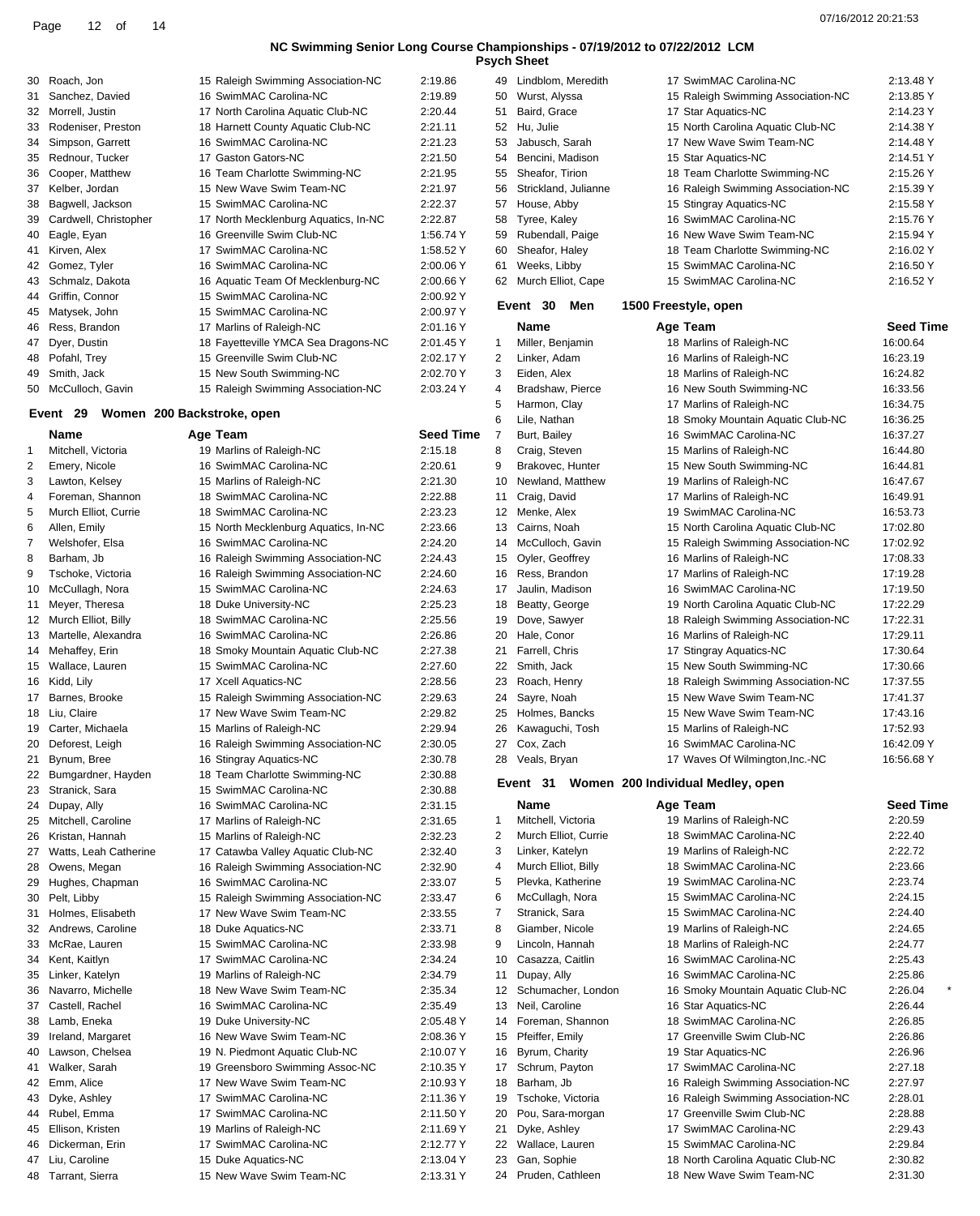|          |                                           |                                                                   |                        |          | <b>Psych Sheet</b>                       |                                                                  |                              |
|----------|-------------------------------------------|-------------------------------------------------------------------|------------------------|----------|------------------------------------------|------------------------------------------------------------------|------------------------------|
| 30       | Roach, Jon                                | 15 Raleigh Swimming Association-NC                                | 2:19.86                |          | 49 Lindblom, Meredith                    | 17 SwimMAC Carolina-NC                                           | 2:13.48 Y                    |
| 31       | Sanchez, Davied                           | 16 SwimMAC Carolina-NC                                            | 2:19.89                | 50       | Wurst, Alyssa                            | 15 Raleigh Swimming Association-NC                               | 2:13.85 Y                    |
| 32       | Morrell, Justin                           | 17 North Carolina Aquatic Club-NC                                 | 2:20.44                | 51       | Baird, Grace                             | 17 Star Aquatics-NC                                              | 2:14.23 Y                    |
| 33       | Rodeniser, Preston                        | 18 Harnett County Aquatic Club-NC                                 | 2:21.11                | 52       | Hu, Julie                                | 15 North Carolina Aquatic Club-NC                                | 2:14.38 Y                    |
| 34       | Simpson, Garrett                          | 16 SwimMAC Carolina-NC<br>17 Gaston Gators-NC                     | 2:21.23                | 53       | Jabusch, Sarah                           | 17 New Wave Swim Team-NC                                         | 2:14.48 Y                    |
| 35<br>36 | Rednour, Tucker<br>Cooper, Matthew        | 16 Team Charlotte Swimming-NC                                     | 2:21.50<br>2:21.95     | 54<br>55 | Bencini, Madison<br>Sheafor, Tirion      | 15 Star Aquatics-NC<br>18 Team Charlotte Swimming-NC             | 2:14.51 Y<br>2:15.26 Y       |
| 37       | Kelber, Jordan                            | 15 New Wave Swim Team-NC                                          | 2:21.97                |          | 56 Strickland, Julianne                  | 16 Raleigh Swimming Association-NC                               | 2:15.39 Y                    |
| 38       | Bagwell, Jackson                          | 15 SwimMAC Carolina-NC                                            | 2:22.37                | 57       | House, Abby                              | 15 Stingray Aquatics-NC                                          | 2:15.58 Y                    |
| 39       | Cardwell, Christopher                     | 17 North Mecklenburg Aquatics, In-NC                              | 2:22.87                | 58       | Tyree, Kaley                             | 16 SwimMAC Carolina-NC                                           | 2:15.76 Y                    |
| 40       | Eagle, Eyan                               | 16 Greenville Swim Club-NC                                        | 1:56.74 Y              | 59       | Rubendall, Paige                         | 16 New Wave Swim Team-NC                                         | 2:15.94 Y                    |
| 41       | Kirven, Alex                              | 17 SwimMAC Carolina-NC                                            | 1:58.52 Y              | 60       | Sheafor, Haley                           | 18 Team Charlotte Swimming-NC                                    | 2:16.02 Y                    |
| 42       | Gomez, Tyler                              | 16 SwimMAC Carolina-NC                                            | 2:00.06 Y              | 61       | Weeks, Libby                             | 15 SwimMAC Carolina-NC                                           | 2:16.50 Y                    |
| 43       | Schmalz, Dakota                           | 16 Aquatic Team Of Mecklenburg-NC                                 | 2:00.66 Y              |          | 62 Murch Elliot, Cape                    | 15 SwimMAC Carolina-NC                                           | 2:16.52 Y                    |
| 44       | Griffin, Connor                           | 15 SwimMAC Carolina-NC                                            | 2:00.92 Y              |          | Event 30<br>Men                          | 1500 Freestyle, open                                             |                              |
| 45       | Matysek, John                             | 15 SwimMAC Carolina-NC                                            | 2:00.97 Y              |          |                                          |                                                                  |                              |
| 46       | Ress, Brandon<br>Dyer, Dustin             | 17 Marlins of Raleigh-NC                                          | 2:01.16 Y              | 1        | Name                                     | Age Team<br>18 Marlins of Raleigh-NC                             | <b>Seed Time</b><br>16:00.64 |
| 47<br>48 | Pofahl, Trey                              | 18 Fayetteville YMCA Sea Dragons-NC<br>15 Greenville Swim Club-NC | 2:01.45 Y<br>2:02.17 Y | 2        | Miller, Benjamin<br>Linker, Adam         | 16 Marlins of Raleigh-NC                                         | 16:23.19                     |
| 49       | Smith, Jack                               | 15 New South Swimming-NC                                          | 2:02.70 Y              | 3        | Eiden, Alex                              | 18 Marlins of Raleigh-NC                                         | 16:24.82                     |
| 50       | McCulloch, Gavin                          | 15 Raleigh Swimming Association-NC                                | 2:03.24 Y              | 4        | Bradshaw, Pierce                         | 16 New South Swimming-NC                                         | 16:33.56                     |
|          |                                           |                                                                   |                        | 5        | Harmon, Clay                             | 17 Marlins of Raleigh-NC                                         | 16:34.75                     |
|          | Event 29                                  | Women 200 Backstroke, open                                        |                        | 6        | Lile, Nathan                             | 18 Smoky Mountain Aquatic Club-NC                                | 16:36.25                     |
|          | Name                                      | Age Team                                                          | Seed Time              | 7        | Burt, Bailey                             | 16 SwimMAC Carolina-NC                                           | 16:37.27                     |
| 1        | Mitchell, Victoria                        | 19 Marlins of Raleigh-NC                                          | 2:15.18                | 8        | Craig, Steven                            | 15 Marlins of Raleigh-NC                                         | 16:44.80                     |
| 2        | Emery, Nicole                             | 16 SwimMAC Carolina-NC                                            | 2:20.61                | 9        | Brakovec, Hunter                         | 15 New South Swimming-NC                                         | 16:44.81                     |
| 3        | Lawton, Kelsey                            | 15 Marlins of Raleigh-NC                                          | 2:21.30                | 10       | Newland, Matthew                         | 19 Marlins of Raleigh-NC                                         | 16:47.67                     |
| 4        | Foreman, Shannon                          | 18 SwimMAC Carolina-NC                                            | 2:22.88                | 11       | Craig, David                             | 17 Marlins of Raleigh-NC                                         | 16:49.91                     |
| 5        | Murch Elliot, Currie                      | 18 SwimMAC Carolina-NC                                            | 2:23.23                |          | 12 Menke, Alex                           | 19 SwimMAC Carolina-NC                                           | 16:53.73                     |
| 6        | Allen, Emily                              | 15 North Mecklenburg Aquatics, In-NC                              | 2:23.66                |          | 13 Cairns, Noah                          | 15 North Carolina Aquatic Club-NC                                | 17:02.80                     |
| 7<br>8   | Welshofer, Elsa<br>Barham, Jb             | 16 SwimMAC Carolina-NC<br>16 Raleigh Swimming Association-NC      | 2:24.20<br>2:24.43     | 14<br>15 | McCulloch, Gavin<br>Oyler, Geoffrey      | 15 Raleigh Swimming Association-NC<br>16 Marlins of Raleigh-NC   | 17:02.92<br>17:08.33         |
| 9        | Tschoke, Victoria                         | 16 Raleigh Swimming Association-NC                                | 2:24.60                |          | 16 Ress, Brandon                         | 17 Marlins of Raleigh-NC                                         | 17:19.28                     |
| 10       | McCullagh, Nora                           | 15 SwimMAC Carolina-NC                                            | 2:24.63                | 17       | Jaulin, Madison                          | 16 SwimMAC Carolina-NC                                           | 17:19.50                     |
| 11       | Meyer, Theresa                            | 18 Duke University-NC                                             | 2:25.23                | 18       | Beatty, George                           | 19 North Carolina Aquatic Club-NC                                | 17:22.29                     |
|          | 12 Murch Elliot, Billy                    | 18 SwimMAC Carolina-NC                                            | 2:25.56                |          | 19 Dove, Sawyer                          | 18 Raleigh Swimming Association-NC                               | 17:22.31                     |
| 13       | Martelle, Alexandra                       | 16 SwimMAC Carolina-NC                                            | 2:26.86                | 20       | Hale, Conor                              | 16 Marlins of Raleigh-NC                                         | 17:29.11                     |
| 14       | Mehaffey, Erin                            | 18 Smoky Mountain Aquatic Club-NC                                 | 2:27.38                | 21       | Farrell, Chris                           | 17 Stingray Aquatics-NC                                          | 17:30.64                     |
|          | 15 Wallace, Lauren                        | 15 SwimMAC Carolina-NC                                            | 2:27.60                |          | 22 Smith, Jack                           | 15 New South Swimming-NC                                         | 17:30.66                     |
| 16       | Kidd, Lily                                | 17 Xcell Aquatics-NC                                              | 2:28.56                | 23       | Roach, Henry                             | 18 Raleigh Swimming Association-NC                               | 17:37.55                     |
| 17       | Barnes, Brooke                            | 15 Raleigh Swimming Association-NC                                | 2:29.63                | 24       | Sayre, Noah                              | 15 New Wave Swim Team-NC                                         | 17:41.37                     |
| 18       | Liu, Claire                               | 17 New Wave Swim Team-NC                                          | 2:29.82                |          | 25 Holmes, Bancks                        | 15 New Wave Swim Team-NC                                         | 17:43.16                     |
|          | 19 Carter, Michaela<br>20 Deforest, Leigh | 15 Marlins of Raleigh-NC<br>16 Raleigh Swimming Association-NC    | 2:29.94<br>2:30.05     |          | 26 Kawaguchi, Tosh<br>27 Cox, Zach       | 15 Marlins of Raleigh-NC<br>16 SwimMAC Carolina-NC               | 17:52.93<br>16:42.09 Y       |
| 21       | Bynum, Bree                               | 16 Stingray Aquatics-NC                                           | 2:30.78                |          | 28 Veals, Bryan                          | 17 Waves Of Wilmington, Inc.-NC                                  | 16:56.68 Y                   |
| 22       | Bumgardner, Hayden                        | 18 Team Charlotte Swimming-NC                                     | 2:30.88                |          |                                          |                                                                  |                              |
| 23       | Stranick, Sara                            | 15 SwimMAC Carolina-NC                                            | 2:30.88                |          | Event 31                                 | Women 200 Individual Medley, open                                |                              |
| 24       | Dupay, Ally                               | 16 SwimMAC Carolina-NC                                            | 2:31.15                |          | Name                                     | Age Team                                                         | <b>Seed Time</b>             |
| 25       | Mitchell, Caroline                        | 17 Marlins of Raleigh-NC                                          | 2:31.65                | 1        | Mitchell, Victoria                       | 19 Marlins of Raleigh-NC                                         | 2:20.59                      |
| 26       | Kristan, Hannah                           | 15 Marlins of Raleigh-NC                                          | 2:32.23                | 2        | Murch Elliot, Currie                     | 18 SwimMAC Carolina-NC                                           | 2:22.40                      |
| 27       | Watts, Leah Catherine                     | 17 Catawba Valley Aquatic Club-NC                                 | 2:32.40                | 3        | Linker, Katelyn                          | 19 Marlins of Raleigh-NC                                         | 2:22.72                      |
| 28       | Owens, Megan                              | 16 Raleigh Swimming Association-NC                                | 2:32.90                | 4        | Murch Elliot, Billy                      | 18 SwimMAC Carolina-NC                                           | 2:23.66                      |
| 29       | Hughes, Chapman                           | 16 SwimMAC Carolina-NC                                            | 2:33.07                | 5        | Plevka, Katherine                        | 19 SwimMAC Carolina-NC                                           | 2:23.74                      |
| 30<br>31 | Pelt, Libby<br>Holmes, Elisabeth          | 15 Raleigh Swimming Association-NC<br>17 New Wave Swim Team-NC    | 2:33.47<br>2:33.55     | 6<br>7   | McCullagh, Nora<br>Stranick, Sara        | 15 SwimMAC Carolina-NC<br>15 SwimMAC Carolina-NC                 | 2:24.15<br>2:24.40           |
| 32       | Andrews, Caroline                         | 18 Duke Aquatics-NC                                               | 2:33.71                | 8        | Giamber, Nicole                          | 19 Marlins of Raleigh-NC                                         | 2:24.65                      |
| 33       | McRae, Lauren                             | 15 SwimMAC Carolina-NC                                            | 2:33.98                | 9        | Lincoln, Hannah                          | 18 Marlins of Raleigh-NC                                         | 2:24.77                      |
| 34       | Kent, Kaitlyn                             | 17 SwimMAC Carolina-NC                                            | 2:34.24                | 10       | Casazza, Caitlin                         | 16 SwimMAC Carolina-NC                                           | 2:25.43                      |
| 35       | Linker, Katelyn                           | 19 Marlins of Raleigh-NC                                          | 2:34.79                | 11       | Dupay, Ally                              | 16 SwimMAC Carolina-NC                                           | 2:25.86                      |
| 36       | Navarro, Michelle                         | 18 New Wave Swim Team-NC                                          | 2:35.34                | 12       | Schumacher, London                       | 16 Smoky Mountain Aquatic Club-NC                                | 2:26.04                      |
| 37       | Castell, Rachel                           | 16 SwimMAC Carolina-NC                                            | 2:35.49                | 13       | Neil, Caroline                           | 16 Star Aquatics-NC                                              | 2:26.44                      |
| 38       | Lamb, Eneka                               | 19 Duke University-NC                                             | 2:05.48 Y              | 14       | Foreman, Shannon                         | 18 SwimMAC Carolina-NC                                           | 2:26.85                      |
| 39       | Ireland, Margaret                         | 16 New Wave Swim Team-NC                                          | 2:08.36 Y              |          | 15 Pfeiffer, Emily                       | 17 Greenville Swim Club-NC                                       | 2:26.86                      |
| 40       | Lawson, Chelsea                           | 19 N. Piedmont Aquatic Club-NC                                    | 2:10.07 Y              | 16       | Byrum, Charity                           | 19 Star Aquatics-NC                                              | 2:26.96                      |
| 41       | Walker, Sarah                             | 19 Greensboro Swimming Assoc-NC                                   | 2:10.35 Y              | 17       | Schrum, Payton                           | 17 SwimMAC Carolina-NC                                           | 2:27.18                      |
| 42       | Emm, Alice                                | 17 New Wave Swim Team-NC                                          | 2:10.93 Y              |          | 18 Barham, Jb                            | 16 Raleigh Swimming Association-NC                               | 2:27.97                      |
| 43<br>44 | Dyke, Ashley                              | 17 SwimMAC Carolina-NC<br>17 SwimMAC Carolina-NC                  | 2:11.36 Y<br>2:11.50 Y |          | 19 Tschoke, Victoria<br>Pou, Sara-morgan | 16 Raleigh Swimming Association-NC<br>17 Greenville Swim Club-NC | 2:28.01<br>2:28.88           |
| 45       | Rubel, Emma<br>Ellison, Kristen           | 19 Marlins of Raleigh-NC                                          | 2:11.69 Y              | 20<br>21 | Dyke, Ashley                             | 17 SwimMAC Carolina-NC                                           | 2:29.43                      |
| 46       | Dickerman, Erin                           | 17 SwimMAC Carolina-NC                                            | 2:12.77 Y              |          | 22 Wallace, Lauren                       | 15 SwimMAC Carolina-NC                                           | 2:29.84                      |
|          | 47 Liu, Caroline                          | 15 Duke Aquatics-NC                                               | 2:13.04 Y              |          | 23 Gan, Sophie                           | 18 North Carolina Aquatic Club-NC                                | 2:30.82                      |
|          |                                           |                                                                   |                        |          |                                          |                                                                  |                              |

48 Tarrant, Sierra 15 New Wave Swim Team-NC 2:13.31 Y

 Gan, Sophie 18 North Carolina Aquatic Club-NC 2:30.82 Pruden, Cathleen 18 New Wave Swim Team-NC 2:31.30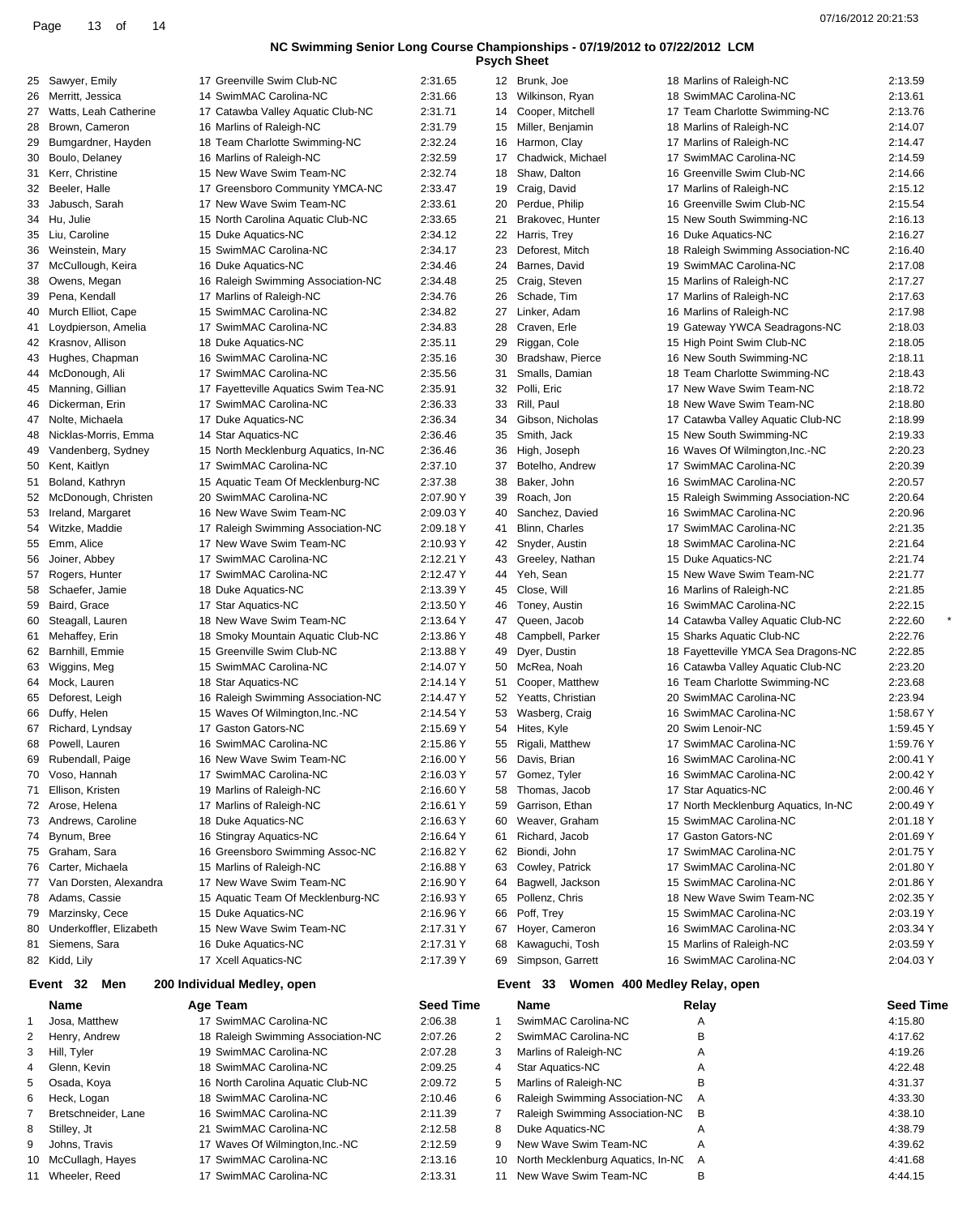| Page 13 of 14 |  |                                                                             | 07/16/2012 20:21:53 |
|---------------|--|-----------------------------------------------------------------------------|---------------------|
|               |  | NC Swimming Senior Long Course Championships - 07/19/2012 to 07/22/2012 LCM |                     |
|               |  | <b>Psych Sheet</b>                                                          |                     |

|                | 25 Sawyer, Emily        | 17 Greenville Swim Club-NC                                | 2:31.65          |              | 12 Brunk, Joe                            | 18 Marlins of Raleigh-NC             | 2:13.59          |
|----------------|-------------------------|-----------------------------------------------------------|------------------|--------------|------------------------------------------|--------------------------------------|------------------|
| 26             | Merritt, Jessica        | 14 SwimMAC Carolina-NC                                    | 2:31.66          |              | 13 Wilkinson, Ryan                       | 18 SwimMAC Carolina-NC               | 2:13.61          |
| 27             | Watts, Leah Catherine   | 17 Catawba Valley Aquatic Club-NC                         | 2:31.71          | 14           | Cooper, Mitchell                         | 17 Team Charlotte Swimming-NC        | 2:13.76          |
| 28             | Brown, Cameron          | 16 Marlins of Raleigh-NC                                  | 2:31.79          | 15           | Miller, Benjamin                         | 18 Marlins of Raleigh-NC             | 2:14.07          |
| 29             | Bumgardner, Hayden      | 18 Team Charlotte Swimming-NC                             | 2:32.24          | 16           | Harmon, Clay                             | 17 Marlins of Raleigh-NC             | 2:14.47          |
| 30             | Boulo, Delaney          | 16 Marlins of Raleigh-NC                                  | 2:32.59          | 17           | Chadwick, Michael                        | 17 SwimMAC Carolina-NC               | 2:14.59          |
| 31             | Kerr, Christine         | 15 New Wave Swim Team-NC                                  | 2:32.74          | 18           | Shaw, Dalton                             | 16 Greenville Swim Club-NC           | 2:14.66          |
|                | 32 Beeler, Halle        | 17 Greensboro Community YMCA-NC                           | 2:33.47          | 19           | Craig, David                             | 17 Marlins of Raleigh-NC             | 2:15.12          |
| 33             | Jabusch, Sarah          | 17 New Wave Swim Team-NC                                  | 2:33.61          | 20           | Perdue, Philip                           | 16 Greenville Swim Club-NC           | 2:15.54          |
|                | 34 Hu, Julie            | 15 North Carolina Aquatic Club-NC                         | 2:33.65          | 21           | Brakovec, Hunter                         | 15 New South Swimming-NC             | 2:16.13          |
|                | 35 Liu, Caroline        | 15 Duke Aquatics-NC                                       | 2:34.12          |              | 22 Harris, Trey                          | 16 Duke Aquatics-NC                  | 2:16.27          |
| 36             | Weinstein, Mary         | 15 SwimMAC Carolina-NC                                    | 2:34.17          | 23           | Deforest, Mitch                          | 18 Raleigh Swimming Association-NC   | 2:16.40          |
|                |                         |                                                           |                  | 24           | Barnes, David                            | 19 SwimMAC Carolina-NC               | 2:17.08          |
| 37             | McCullough, Keira       | 16 Duke Aquatics-NC                                       | 2:34.46          |              |                                          |                                      |                  |
| 38             | Owens, Megan            | 16 Raleigh Swimming Association-NC                        | 2:34.48          | 25           | Craig, Steven                            | 15 Marlins of Raleigh-NC             | 2:17.27          |
| 39             | Pena, Kendall           | 17 Marlins of Raleigh-NC                                  | 2:34.76          | 26           | Schade, Tim                              | 17 Marlins of Raleigh-NC             | 2:17.63          |
| 40             | Murch Elliot, Cape      | 15 SwimMAC Carolina-NC                                    | 2:34.82          | 27           | Linker, Adam                             | 16 Marlins of Raleigh-NC             | 2:17.98          |
|                | 41 Loydpierson, Amelia  | 17 SwimMAC Carolina-NC                                    | 2:34.83          | 28           | Craven, Erle                             | 19 Gateway YWCA Seadragons-NC        | 2:18.03          |
|                | 42 Krasnov, Allison     | 18 Duke Aquatics-NC                                       | 2:35.11          | 29           | Riggan, Cole                             | 15 High Point Swim Club-NC           | 2:18.05          |
| 43             | Hughes, Chapman         | 16 SwimMAC Carolina-NC                                    | 2:35.16          | 30           | Bradshaw, Pierce                         | 16 New South Swimming-NC             | 2:18.11          |
|                | 44 McDonough, Ali       | 17 SwimMAC Carolina-NC                                    | 2:35.56          | 31           | Smalls, Damian                           | 18 Team Charlotte Swimming-NC        | 2:18.43          |
| 45             | Manning, Gillian        | 17 Fayetteville Aquatics Swim Tea-NC                      | 2:35.91          | 32           | Polli, Eric                              | 17 New Wave Swim Team-NC             | 2:18.72          |
| 46             | Dickerman, Erin         | 17 SwimMAC Carolina-NC                                    | 2:36.33          | 33           | Rill, Paul                               | 18 New Wave Swim Team-NC             | 2:18.80          |
| 47             | Nolte, Michaela         | 17 Duke Aquatics-NC                                       | 2:36.34          | 34           | Gibson, Nicholas                         | 17 Catawba Valley Aquatic Club-NC    | 2:18.99          |
| 48             | Nicklas-Morris, Emma    | 14 Star Aquatics-NC                                       | 2:36.46          | 35           | Smith, Jack                              | 15 New South Swimming-NC             | 2:19.33          |
| 49             | Vandenberg, Sydney      | 15 North Mecklenburg Aquatics, In-NC                      | 2:36.46          | 36           | High, Joseph                             | 16 Waves Of Wilmington, Inc.-NC      | 2:20.23          |
| 50             | Kent, Kaitlyn           | 17 SwimMAC Carolina-NC                                    | 2:37.10          | 37           | Botelho, Andrew                          | 17 SwimMAC Carolina-NC               | 2:20.39          |
| 51             | Boland, Kathryn         | 15 Aquatic Team Of Mecklenburg-NC                         | 2:37.38          | 38           | Baker, John                              | 16 SwimMAC Carolina-NC               | 2:20.57          |
|                | 52 McDonough, Christen  | 20 SwimMAC Carolina-NC                                    | 2:07.90 Y        | 39           | Roach, Jon                               | 15 Raleigh Swimming Association-NC   | 2:20.64          |
| 53             | Ireland, Margaret       | 16 New Wave Swim Team-NC                                  | 2:09.03 Y        | 40           | Sanchez, Davied                          | 16 SwimMAC Carolina-NC               | 2:20.96          |
|                | 54 Witzke, Maddie       | 17 Raleigh Swimming Association-NC                        | 2:09.18 Y        | 41           | Blinn, Charles                           | 17 SwimMAC Carolina-NC               | 2:21.35          |
| 55             | Emm, Alice              | 17 New Wave Swim Team-NC                                  | 2:10.93 Y        | 42           | Snyder, Austin                           | 18 SwimMAC Carolina-NC               | 2:21.64          |
| 56             | Joiner, Abbey           | 17 SwimMAC Carolina-NC                                    | 2:12.21 Y        | 43           | Greeley, Nathan                          | 15 Duke Aquatics-NC                  | 2:21.74          |
| 57             | Rogers, Hunter          | 17 SwimMAC Carolina-NC                                    | 2:12.47 Y        | 44           | Yeh, Sean                                | 15 New Wave Swim Team-NC             | 2:21.77          |
|                |                         |                                                           |                  |              |                                          |                                      |                  |
| 58             | Schaefer, Jamie         | 18 Duke Aquatics-NC                                       | 2:13.39 Y        | 45           | Close, Will                              | 16 Marlins of Raleigh-NC             | 2:21.85          |
| 59             | Baird, Grace            | 17 Star Aquatics-NC                                       | 2:13.50 Y        | 46           | Toney, Austin                            | 16 SwimMAC Carolina-NC               | 2:22.15          |
| 60             | Steagall, Lauren        | 18 New Wave Swim Team-NC                                  | 2:13.64 Y        | 47           | Queen, Jacob                             | 14 Catawba Valley Aquatic Club-NC    | 2:22.60          |
| 61             | Mehaffey, Erin          | 18 Smoky Mountain Aquatic Club-NC                         | 2:13.86 Y        | 48           | Campbell, Parker                         | 15 Sharks Aquatic Club-NC            | 2:22.76          |
| 62             | Barnhill, Emmie         | 15 Greenville Swim Club-NC                                | 2:13.88 Y        | 49           | Dyer, Dustin                             | 18 Fayetteville YMCA Sea Dragons-NC  | 2:22.85          |
|                | 63 Wiggins, Meg         | 15 SwimMAC Carolina-NC                                    | 2:14.07 Y        | 50           | McRea, Noah                              | 16 Catawba Valley Aquatic Club-NC    | 2:23.20          |
| 64             | Mock, Lauren            | 18 Star Aquatics-NC                                       | 2:14.14 Y        | 51           | Cooper, Matthew                          | 16 Team Charlotte Swimming-NC        | 2:23.68          |
| 65             | Deforest, Leigh         | 16 Raleigh Swimming Association-NC                        | 2:14.47 Y        | 52           | Yeatts, Christian                        | 20 SwimMAC Carolina-NC               | 2:23.94          |
| 66             | Duffy, Helen            | 15 Waves Of Wilmington, Inc.-NC                           | 2:14.54 Y        | 53           | Wasberg, Craig                           | 16 SwimMAC Carolina-NC               | 1:58.67 Y        |
| 67             | Richard, Lyndsay        | 17 Gaston Gators-NC                                       | 2:15.69 Y        | 54           | Hites, Kyle                              | 20 Swim Lenoir-NC                    | 1:59.45 Y        |
|                | 68 Powell, Lauren       | 16 SwimMAC Carolina-NC                                    | 2:15.86 Y        | 55           | Rigali, Matthew                          | 17 SwimMAC Carolina-NC               | 1:59.76 Y        |
| 69             | Rubendall, Paige        | 16 New Wave Swim Team-NC                                  | 2:16.00 Y        | 56           | Davis, Brian                             | 16 SwimMAC Carolina-NC               | 2:00.41 Y        |
| 70             | Voso, Hannah            | 17 SwimMAC Carolina-NC                                    | 2:16.03 Y        | 57           | Gomez, Tyler                             | 16 SwimMAC Carolina-NC               | 2:00.42 Y        |
| 71             | Ellison, Kristen        | 19 Marlins of Raleigh-NC                                  | 2:16.60 Y        | 58           | Thomas, Jacob                            | 17 Star Aquatics-NC                  | 2:00.46 Y        |
|                | 72 Arose, Helena        | 17 Marlins of Raleigh-NC                                  | 2:16.61 Y        | 59           | Garrison, Ethan                          | 17 North Mecklenburg Aquatics, In-NC | 2:00.49 Y        |
| 73             | Andrews, Caroline       | 18 Duke Aquatics-NC                                       | 2:16.63 Y        | 60           | Weaver, Graham                           | 15 SwimMAC Carolina-NC               | 2:01.18 Y        |
| 74             | Bynum, Bree             | 16 Stingray Aquatics-NC                                   | 2:16.64 Y        | 61           | Richard, Jacob                           | 17 Gaston Gators-NC                  | 2:01.69 Y        |
|                | 75 Graham, Sara         | 16 Greensboro Swimming Assoc-NC                           | 2:16.82 Y        |              | 62 Biondi, John                          | 17 SwimMAC Carolina-NC               | 2:01.75 Y        |
| 76             | Carter, Michaela        | 15 Marlins of Raleigh-NC                                  | 2:16.88 Y        | 63           | Cowley, Patrick                          | 17 SwimMAC Carolina-NC               | 2:01.80 Y        |
| 77             | Van Dorsten, Alexandra  | 17 New Wave Swim Team-NC                                  | 2:16.90 Y        | 64           | Bagwell, Jackson                         | 15 SwimMAC Carolina-NC               | 2:01.86 Y        |
|                | 78 Adams, Cassie        | 15 Aquatic Team Of Mecklenburg-NC                         | 2:16.93 Y        | 65           | Pollenz, Chris                           | 18 New Wave Swim Team-NC             | 2:02.35 Y        |
| 79             | Marzinsky, Cece         | 15 Duke Aquatics-NC                                       | 2:16.96 Y        | 66           | Poff, Trey                               | 15 SwimMAC Carolina-NC               | 2:03.19 Y        |
|                | Underkoffler, Elizabeth | 15 New Wave Swim Team-NC                                  | 2:17.31 Y        | 67           | Hoyer, Cameron                           | 16 SwimMAC Carolina-NC               | 2:03.34 Y        |
| 80             |                         |                                                           |                  |              |                                          |                                      |                  |
| 81             | Siemens, Sara           | 16 Duke Aquatics-NC                                       | 2:17.31 Y        | 68           | Kawaguchi, Tosh                          | 15 Marlins of Raleigh-NC             | 2:03.59 Y        |
|                | 82 Kidd, Lily           | 17 Xcell Aquatics-NC                                      | 2:17.39 Y        | 69           | Simpson, Garrett                         | 16 SwimMAC Carolina-NC               | 2:04.03 Y        |
|                | Men<br>Event 32         | 200 Individual Medley, open                               |                  |              | Women 400 Medley Relay, open<br>Event 33 |                                      |                  |
|                | <b>Name</b>             | Age Team                                                  | <b>Seed Time</b> |              | <b>Name</b>                              | Relay                                | <b>Seed Time</b> |
| 1              | Josa, Matthew           | 17 SwimMAC Carolina-NC                                    | 2:06.38          | $\mathbf{1}$ | SwimMAC Carolina-NC                      | Α                                    | 4:15.80          |
| $\overline{2}$ | Henry, Andrew           | 18 Raleigh Swimming Association-NC                        | 2:07.26          | 2            | SwimMAC Carolina-NC                      | B                                    | 4:17.62          |
| 3              | Hill, Tyler             | 19 SwimMAC Carolina-NC                                    | 2:07.28          | 3            | Marlins of Raleigh-NC                    | Α                                    | 4:19.26          |
| 4              | Glenn, Kevin            | 18 SwimMAC Carolina-NC                                    | 2:09.25          | 4            | Star Aquatics-NC                         | Α                                    | 4:22.48          |
| 5              | Osada, Koya             | 16 North Carolina Aquatic Club-NC                         | 2:09.72          | 5            | Marlins of Raleigh-NC                    | B                                    | 4:31.37          |
| 6              | Heck, Logan             | 18 SwimMAC Carolina-NC                                    | 2:10.46          | 6            | Raleigh Swimming Association-NC          | Α                                    | 4:33.30          |
| 7              | Bretschneider, Lane     | 16 SwimMAC Carolina-NC                                    | 2:11.39          | 7            | Raleigh Swimming Association-NC          | в                                    | 4:38.10          |
| 8              | Stilley, Jt             | 21 SwimMAC Carolina-NC                                    | 2:12.58          | 8            | Duke Aquatics-NC                         | Α                                    | 4:38.79          |
| 9              | Johns, Travis           |                                                           |                  | 9            | New Wave Swim Team-NC                    | Α                                    | 4:39.62          |
|                |                         | 17 Waves Of Wilmington, Inc.-NC<br>17 SwimMAC Carolina-NC | 2:12.59          |              |                                          |                                      |                  |
| 10             | McCullagh, Hayes        |                                                           | 2:13.16          | 10           | North Mecklenburg Aquatics, In-NC        | Α                                    | 4:41.68          |
|                | 11 Wheeler, Reed        | 17 SwimMAC Carolina-NC                                    | 2:13.31          | 11           | New Wave Swim Team-NC                    | В                                    | 4:44.15          |